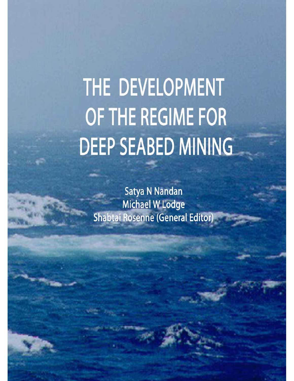# THE DEVELOPMENT OF THE REGIME FOR **DEEP SEABED MINING**

**Satya N Nandan Michael W Lodge** Shabtai Rosenne (General Editor)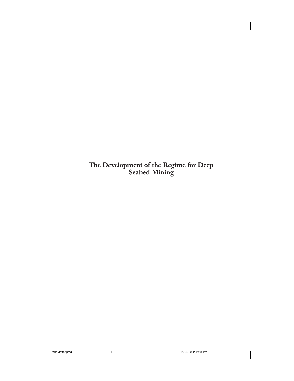$\begin{array}{c|c|c|c|c} \hline \quad \quad & \quad & \quad & \quad & \quad \\ \hline \quad \quad & \quad & \quad & \quad & \quad \\ \hline \end{array}$ 

 $\overline{\overline{}}$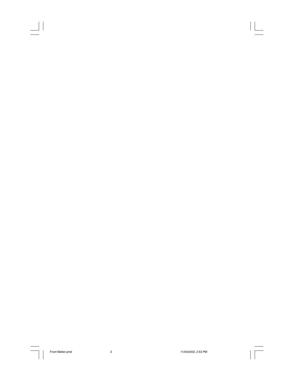$\begin{array}{c|c} \hline \quad \quad & \quad \quad \\ \hline \quad \quad & \quad \quad \\ \hline \quad \quad & \quad \quad \\ \hline \end{array}$ 

 $\frac{1}{\sqrt{1-\frac{1}{2}}}$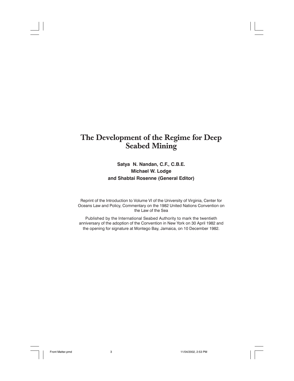# **Satya N. Nandan, C.F., C.B.E. Michael W. Lodge and Shabtai Rosenne (General Editor)**

Reprint of the Introduction to Volume VI of the University of Virginia, Center for Oceans Law and Policy, Commentary on the 1982 United Nations Convention on the Law of the Sea

Published by the International Seabed Authority to mark the twentieth anniversary of the adoption of the Convention in New York on 30 April 1982 and the opening for signature at Montego Bay, Jamaica, on 10 December 1982.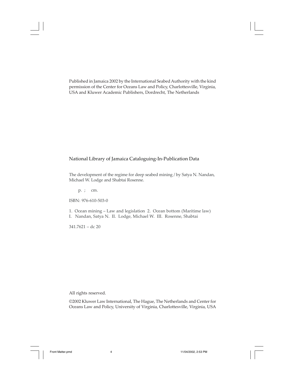Published in Jamaica 2002 by the International Seabed Authority with the kind permission of the Center for Oceans Law and Policy, Charlottesville, Virginia, USA and Kluwer Academic Publishers, Dordrecht, The Netherlands

## National Library of Jamaica Cataloguing-In-Publication Data

The development of the regime for deep seabed mining / by Satya N. Nandan, Michael W. Lodge and Shabtai Rosenne.

p. ; cm.

ISBN: 976-610-503-0

1. Ocean mining - Law and legislation 2. Ocean bottom (Maritime law) I. Nandan, Satya N. II. Lodge, Michael W. III. Rosenne, Shabtai

 $341.7621 - dc$  20

All rights reserved.

©2002 Kluwer Law International, The Hague, The Netherlands and Center for Oceans Law and Policy, University of Virginia, Charlottesville, Virginia, USA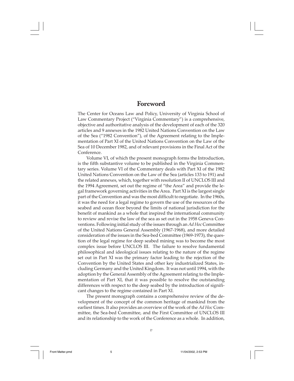# **Foreword**

The Center for Oceans Law and Policy, University of Virginia School of Law Commentary Project ("Virginia Commentary") is a comprehensive, objective and authoritative analysis of the development of each of the 320 articles and 9 annexes in the 1982 United Nations Convention on the Law of the Sea ("1982 Convention"), of the Agreement relating to the Implementation of Part XI of the United Nations Convention on the Law of the Sea of 10 December 1982, and of relevant provisions in the Final Act of the Conference.

Volume VI, of which the present monograph forms the Introduction, is the fifth substantive volume to be published in the Virginia Commentary series. Volume VI of the Commentary deals with Part XI of the 1982 United Nations Convention on the Law of the Sea (articles 133 to 191) and the related annexes, which, together with resolution II of UNCLOS III and the 1994 Agreement, set out the regime of "the Area" and provide the legal framework governing activities in the Area. Part XI is the largest single part of the Convention and was the most difficult to negotiate. In the 1960s, it was the need for a legal regime to govern the use of the resources of the seabed and ocean floor beyond the limits of national jurisdiction for the benefit of mankind as a whole that inspired the international community to review and revise the law of the sea as set out in the 1958 Geneva Conventions. Following initial study of the issues through an *Ad Hoc* Committee of the United Nations General Assembly (1967-1968), and more detailed consideration of the issues in the Sea-bed Committee (1969-1973), the question of the legal regime for deep seabed mining was to become the most complex issue before UNCLOS III. The failure to resolve fundamental philosophical and ideological issues relating to the nature of the regime set out in Part XI was the primary factor leading to the rejection of the Convention by the United States and other key industrialized States, including Germany and the United Kingdom. It was not until 1994, with the adoption by the General Assembly of the Agreement relating to the Implementation of Part XI, that it was possible to resolve the outstanding differences with respect to the deep seabed by the introduction of significant changes to the regime contained in Part XI.

The present monograph contains a comprehensive review of the development of the concept of the common heritage of mankind from the earliest times. It also provides an overview of the work of the *Ad Hoc* Committee, the Sea-bed Committee, and the First Committee of UNCLOS III and its relationship to the work of the Conference as a whole. In addition,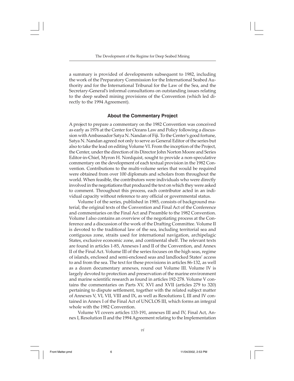a summary is provided of developments subsequent to 1982, including the work of the Preparatory Commission for the International Seabed Authority and for the International Tribunal for the Law of the Sea, and the Secretary-Generalís informal consultations on outstanding issues relating to the deep seabed mining provisions of the Convention (which led directly to the 1994 Agreement).

### **About the Commentary Project**

A project to prepare a commentary on the 1982 Convention was conceived as early as 1976 at the Center for Oceans Law and Policy following a discussion with Ambassador Satya N. Nandan of Fiji. To the Center's good fortune, Satya N. Nandan agreed not only to serve as General Editor of the series but also to take the lead on editing Volume VI. From the inception of the Project, the Center, under the direction of its Director John Norton Moore and Series Editor-in-Chief, Myron H. Nordquist, sought to provide a non-speculative commentary on the development of each textual provision in the 1982 Convention. Contributions to the multi-volume series that would be required were obtained from over 100 diplomats and scholars from throughout the world. When feasible, the contributors were individuals who were directly involved in the negotiations that produced the text on which they were asked to comment. Throughout this process, each contributor acted in an individual capacity without reference to any official or governmental status.

Volume I of the series, published in 1985, consists of background material, the original texts of the Convention and Final Act of the Conference and commentaries on the Final Act and Preamble to the 1982 Convention. Volume I also contains an overview of the negotiating process at the Conference and a discussion of the work of the Drafting Committee. Volume II is devoted to the traditional law of the sea, including territorial sea and contiguous zone, straits used for international navigation, archipelagic States, exclusive economic zone, and continental shelf. The relevant texts are found in articles 1-85, Annexes I and II of the Convention, and Annex II of the Final Act. Volume III of the series focuses on the high seas, regime of islands, enclosed and semi-enclosed seas and landlocked States' access to and from the sea. The text for these provisions in articles 86-132, as well as a dozen documentary annexes, round out Volume III. Volume IV is largely devoted to protection and preservation of the marine environment and marine scientific research as found in articles 192-278. Volume V contains the commentaries on Parts XV, XVI and XVII (articles 279 to 320) pertaining to dispute settlement, together with the related subject matter of Annexes V, VI, VII, VIII and IX, as well as Resolutions I, III and IV contained in Annex I of the Final Act of UNCLOS III, which forms an integral whole with the 1982 Convention.

Volume VI covers articles 133-191, annexes III and IV, Final Act, Annex I, Resolution II and the 1994 Agreement relating to the Implementation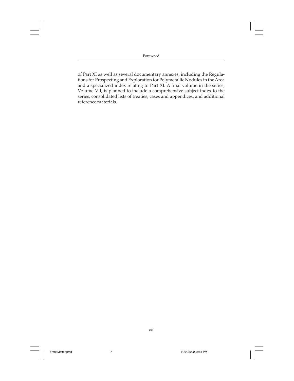Foreword

of Part XI as well as several documentary annexes, including the Regulations for Prospecting and Exploration for Polymetallic Nodules in the Area and a specialized index relating to Part XI. A final volume in the series, Volume VII, is planned to include a comprehensive subject index to the series, consolidated lists of treaties, cases and appendices, and additional reference materials.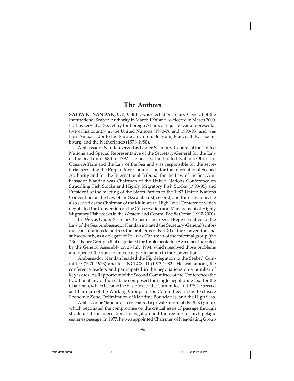# **The Authors**

**SATYA N. NANDAN, C.F., C.B.E.,** was elected Secretary-General of the International Seabed Authority in March 1996 and re-elected in March 2000. He has served as Secretary for Foreign Affairs of Fiji. He was a representative of his country at the United Nations (1970-76 and 1993-95) and was Fijiís Ambassador to the European Union, Belgium, France, Italy, Luxembourg, and the Netherlands (1976-1980).

Ambassador Nandan served as Under-Secretary-General of the United Nations and Special Representative of the Secretary-General for the Law of the Sea from 1983 to 1992. He headed the United Nations Office for Ocean Affairs and the Law of the Sea and was responsible for the secretariat servicing the Preparatory Commission for the International Seabed Authority and for the International Tribunal for the Law of the Sea. Ambassador Nandan was Chairman of the United Nations Conference on Straddling Fish Stocks and Highly Migratory Fish Stocks (1993-95) and President of the meeting of the States Parties to the 1982 United Nations Convention on the Law of the Sea at its first, second, and third sessions. He also served as the Chairman of the Multilateral High Level Conference,which negotiated the Convention on the Conservation and Management of Highly Migratory Fish Stocks in the Western and Central Pacific Ocean (1997-2000).

In 1990, as Under-Secretary-General and Special Representative for the Law of the Sea, Ambassador Nandan initiated the Secretary-General's informal consultations to address the problems of Part XI of the Convention and subsequently, as a delegate of Fiji, was Chairman of the informal group (the ìBoat Paper Groupî) that negotiated the Implementation Agreement adopted by the General Assembly on 28 July 1994, which resolved those problems and opened the door to universal participation in the Convention.

Ambassador Nandan headed the Fiji delegation to the Seabed Committee (1970-1973) and to UNCLOS III (1973-1982). He was among the conference leaders and participated in the negotiations on a number of key issues. As Rapporteur of the Second Committee of the Conference (the traditional law of the sea), he composed the single negotiating text for the Chairman, which became the basic text of the Committee. In 1975, he served as Chairman of the Working Groups of the Committee, on the Exclusive Economic Zone, Delimitation of Maritime Boundaries, and the High Seas.

Ambassador Nandan also co-chaired a private informal (Fiji/UK) group, which negotiated the compromise on the critical issue of passage through straits used for international navigation and the regime for archipelagic sealanes passage. In 1977, he was appointed Chairman of Negotiating Group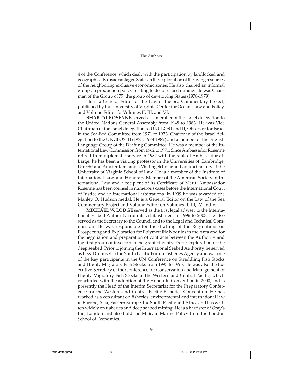The Authors

4 of the Conference, which dealt with the participation by landlocked and geographically disadvantaged States in the exploitation of the living resources of the neighboring exclusive economic zones. He also chaired an informal group on production policy relating to deep seabed mining. He was Chairman of the Group of 77, the group of developing States (1978-1979).

He is a General Editor of the Law of the Sea Commentary Project, published by the University of Virginia Center for Oceans Law and Policy, and Volume Editor forVolumes II, III, and VI.

**SHABTAI ROSENNE** served as a member of the Israel delegation to the United Nations General Assembly from 1948 to 1983. He was Vice Chairman of the Israel delegation to UNCLOS I and II, Observer for Israel in the Sea-Bed Committee from 1971 to 1973, Chairman of the Israel delegation to the UNCLOS III (1973, 1978-1982) and a member of the English Language Group of the Drafting Committee. He was a member of the International Law Commission from 1962 to 1971. Since Ambassador Rosenne retired from diplomatic service in 1982 with the rank of Ambassador-at-Large, he has been a visiting professor in the Universities of Cambridge, Utrecht and Amsterdam, and a Visiting Scholar and adjunct faculty at the University of Virginia School of Law. He is a member of the Institute of International Law, and Honorary Member of the American Society of International Law and a recipient of its Certificate of Merit. Ambassador Rosenne has been counsel in numerous cases before the International Court of Justice and in international arbitrations. In 1999 he was awarded the Manley O. Hudson medal. He is a General Editor on the Law of the Sea Commentary Project and Volume Editor on Volumes II, III, IV and V.

**MICHAEL W. LODGE** served as the first legal adviser to the International Seabed Authority from its establishment in 1996 to 2003. He also served as the Secretary to the Council and to the Legal and Technical Commission. He was responsible for the drafting of the Regulations on Prospecting and Exploration for Polymetallic Nodules in the Area and for the negotiation and preparation of contracts between the Authority and the first group of investors to be granted contracts for exploration of the deep seabed. Prior to joining the International Seabed Authority, he served as Legal Counsel to the South Pacific Forum Fisheries Agency and was one of the key participants in the UN Conference on Straddling Fish Stocks and Highly Migratory Fish Stocks from 1993 to 1995. He was also the Executive Secretary of the Conference for Conservation and Management of Highly Migratory Fish Stocks in the Western and Central Pacific, which concluded with the adoption of the Honolulu Convention in 2000, and is presently the Head of the Interim Secretariat for the Preparatory Conference for the Western and Central Pacific Fisheries Convention. He has worked as a consultant on fisheries, environmental and international law in Europe, Asia, Eastern Europe, the South Pacific and Africa and has written widely on fisheries and deep seabed mining. He is a barrister of Grayís Inn, London and also holds an M.Sc. in Marine Policy from the London School of Economics.

*ix*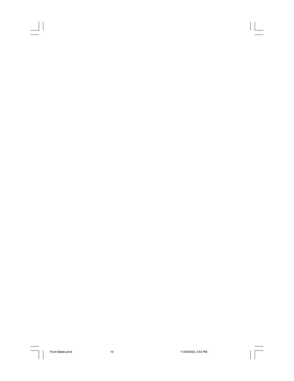$\mathsf{I} \mathrel{\underline{\sqsubseteq}}$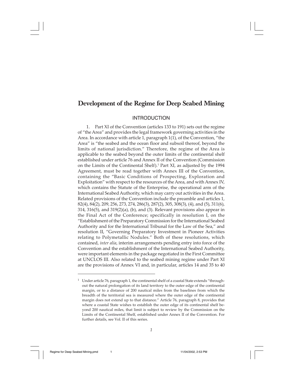### INTRODUCTION

1. Part XI of the Convention (articles 133 to 191) sets out the regime of "the Area" and provides the legal framework governing activities in the Area. In accordance with article 1, paragraph  $1(1)$ , of the Convention, "the Area" is "the seabed and the ocean floor and subsoil thereof, beyond the limits of national jurisdiction." Therefore, the regime of the Area is applicable to the seabed beyond the outer limits of the continental shelf established under article 76 and Annex II of the Convention (Commission on the Limits of the Continental Shelf).<sup>1</sup> Part XI, as adjusted by the 1994 Agreement, must be read together with Annex III of the Convention, containing the "Basic Conditions of Prospecting, Exploration and Exploitation" with respect to the resources of the Area, and with Annex IV, which contains the Statute of the Enterprise, the operational arm of the International Seabed Authority, which may carry out activities in the Area. Related provisions of the Convention include the preamble and articles 1, 82(4), 84(2), 209, 256, 273, 274, 286(3), 287(2), 305, 308(3), (4), and (5), 311(6), 314, 316(5), and 319(2)(a), (b), and (3). Relevant provisions also appear in the Final Act of the Conference; specifically in resolution I, on the ìEstablishment of the Preparatory Commission for the International Seabed Authority and for the International Tribunal for the Law of the Sea," and resolution II, "Governing Preparatory Investment in Pioneer Activities relating to Polymetallic Nodules." Both of these resolutions, which contained, *inter alia*, interim arrangements pending entry into force of the Convention and the establishment of the International Seabed Authority, were important elements in the package negotiated in the First Committee at UNCLOS III. Also related to the seabed mining regime under Part XI are the provisions of Annex VI and, in particular, articles 14 and 35 to 40

Under article 76, paragraph 1, the continental shelf of a coastal State extends "throughout the natural prolongation of its land territory to the outer edge of the continental margin, or to a distance of 200 nautical miles from the baselines from which the breadth of the territorial sea is measured where the outer edge of the continental margin does not extend up to that distance." Article 76, paragraph 8, provides that where a coastal State wishes to establish the outer edge of its continental shelf beyond 200 nautical miles, that limit is subject to review by the Commission on the Limits of the Continental Shelf, established under Annex II of the Convention. For further details, see Vol. II of this series.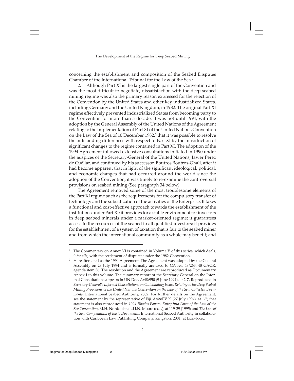concerning the establishment and composition of the Seabed Disputes Chamber of the International Tribunal for the Law of the Sea.2

2. Although Part XI is the largest single part of the Convention and was the most difficult to negotiate, dissatisfaction with the deep seabed mining regime was also the primary reason expressed for the rejection of the Convention by the United States and other key industrialized States, including Germany and the United Kingdom, in 1982. The original Part XI regime effectively prevented industrialized States from becoming party to the Convention for more than a decade. It was not until 1994, with the adoption by the General Assembly of the United Nations of the Agreement relating to the Implementation of Part XI of the United Nations Convention on the Law of the Sea of 10 December 1982, $^3$  that it was possible to resolve the outstanding differences with respect to Part XI by the introduction of significant changes to the regime contained in Part XI. The adoption of the 1994 Agreement followed extensive consultations initiated in 1990 under the auspices of the Secretary-General of the United Nations, Javier Pérez de CuÈllar, and continued by his successor, Boutros Boutros-Ghali, after it had become apparent that in light of the significant ideological, political, and economic changes that had occurred around the world since the adoption of the Convention, it was timely to re-examine the controversial provisions on seabed mining (See paragraph 34 below).

The Agreement removed some of the most troublesome elements of the Part XI regime such as the requirements for the compulsory transfer of technology and the subsidization of the activities of the Enterprise. It takes a functional and cost-effective approach towards the establishment of the institutions under Part XI; it provides for a stable environment for investors in deep seabed minerals under a market-oriented regime; it guarantees access to the resources of the seabed to all qualified investors; it provides for the establishment of a system of taxation that is fair to the seabed miner and from which the international community as a whole may benefit; and

 $2$  The Commentary on Annex VI is contained in Volume V of this series, which deals, *inter alia*, with the settlement of disputes under the 1982 Convention.

<sup>&</sup>lt;sup>3</sup> Hereafter cited as the 1994 Agreement. The Agreement was adopted by the General Assembly on 28 July 1994 and is formally annexed to GA res. 48/263, 48 GAOR, agenda item 36. The resolution and the Agreement are reproduced as Documentary Annex I to this volume. The summary report of the Secretary-General on the Informal Consultations appears in UN Doc. A/48/950 (9 June 1994), at 2-7. Reproduced in *Secretary-Generalís Informal Consultations on Outstanding Issues Relating to the Deep Seabed Mining Provisions of the United Nations Convention on the Law of the Sea: Collected Documents*, International Seabed Authority, 2002. For further details on the Agreement, see the statement by the representative of Fiji, A/48/PV.99 (27 July 1994), at 1-7; that statement is also reproduced in *1994 Rhodes Papers: Entry into Force of the Law of the Sea Convention*, M.H. Nordquist and J.N. Moore (eds.), at 119-29 (1995) and *The Law of the Sea: Compendium of Basic Documents*, International Seabed Authority in collaboration with Caribbean Law Publishing Company, Kingston, 2001, at lxxii-lxxix.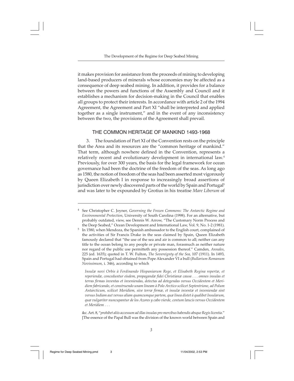it makes provision for assistance from the proceeds of mining to developing land-based producers of minerals whose economies may be affected as a consequence of deep seabed mining. In addition, it provides for a balance between the powers and functions of the Assembly and Council and it establishes a mechanism for decision-making in the Council that enables all groups to protect their interests. In accordance with article 2 of the 1994 Agreement, the Agreement and Part XI "shall be interpreted and applied together as a single instrument," and in the event of any inconsistency between the two, the provisions of the Agreement shall prevail.

### THE COMMON HERITAGE OF MANKIND 1493-1968

3. The foundation of Part XI of the Convention rests on the principle that the Area and its resources are the "common heritage of mankind." That term, although nowhere defined in the Convention, represents a relatively recent and evolutionary development in international law.<sup>4</sup> Previously, for over 300 years, the basis for the legal framework for ocean governance had been the doctrine of the freedom of the seas. As long ago as 1580, the notion of freedom of the seas had been asserted most vigorously by Queen Elizabeth I in response to increasingly broad assertions of jurisdiction over newly discovered parts of the world by Spain and Portugal<sup>5</sup> and was later to be expounded by Grotius in his treatise *Mare Liberum* of

 $\&c.$  Art. 8, "prohibet aliis accessum ad illas insulas pro mercibus habendis absque Regis licentia." [The essence of the Papal Bull was the division of the known world between Spain and

<sup>4</sup> See Christopher C. Joyner, *Governing the Frozen Commons: The Antarctic Regime and Environmental Protection*, University of South Carolina (1998). For an alternative, but probably outdated, view, see Dennis W. Arrow, "The Customary Norm Process and the Deep Seabed," Ocean Development and International Law, Vol. 9, No. 1-2 (1981).

<sup>5</sup> In 1580, when Mendoza, the Spanish ambassador to the English court, complained of the activities of Sir Francis Drake in the seas claimed by Spain, Queen Elizabeth famously declared that "the use of the sea and air is common to all; neither can any title to the ocean belong to any people or private man, forasmuch as neither nature nor regard of the public use permitteth any possession thereof." Camden, Annales, 225 (ed. 1635); quoted in T. W. Fulton, *The Sovereignty of the Sea*, 107 (1911). In 1493, Spain and Portugal had obtained from Pope Alexander VI a bull (*Bullarium Romanum Novissimum*, i. 346), according to which

Insulæ novi Orbis à Ferdinando Hispaniarum Rege, et Elisabeth Regina repertæ, et *reperiendæ, conceduntur eisdem, propagandæ fidei Christianæ causa . . . omnes insulas et terras firmas inventas et inveniendas, detectas ad detegendas versus Occidentem et Meridiem fabricando, et construendo unam lineam ‡ Polo Arctico scilicet Septentrione, ad Polum* Antarcticum, scilicet Meridiem, sive terræ firmæ, et insulæ inventæ et inveniendæ sint versus Indiam aut versus aliam quamcumque partem, quæ linea distet à qualibet Insularum, *quæ vulgariter nuncupantur de los Azores y cabo vierde, centum læucis versus Occidentem et Meridiem . . .*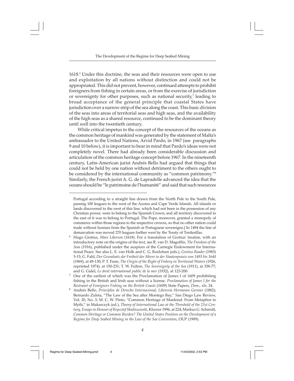1618.<sup>6</sup> Under this doctrine, the seas and their resources were open to use and exploitation by all nations without distinction and could not be appropriated. This did not prevent, however, continued attempts to prohibit foreigners from fishing in certain areas, or from the exercise of jurisdiction or sovereignty for other purposes, such as national security,<sup>7</sup> leading to broad acceptance of the general principle that coastal States have jurisdiction over a narrow strip of the sea along the coast. This basic division of the seas into areas of territorial seas and high seas, and the availability of the high seas as a shared resource, continued to be the dominant theory until well into the twentieth century.

While critical impetus to the concept of the resources of the oceans as the common heritage of mankind was generated by the statement of Maltaís ambassador to the United Nations, Arvid Pardo, in 1967 (see paragraphs 9 and 10 below), it is important to bear in mind that Pardoís ideas were not completely novel. There had already been considerable discussion and articulation of the common heritage concept before 1967. In the nineteenth century, Latin-American jurist Andrés Bello had argued that things that could not be held by one nation without detriment to the others ought to be considered by the international community as "common patrimony." $8$ Similarly, the French jurist A. G. de Lapradelle advanced the idea that the oceans should be "le patrimoine de l'humanité" and said that such resources

Portugal according to a straight line drawn from the North Pole to the South Pole, passing 100 leagues to the west of the Azores and Cape Verde Islands. All islands or lands discovered to the west of this line, which had not been in the possession of any Christian power, were to belong to the Spanish Crown; and all territory discovered to the east of it was to belong to Portugal. The Pope, moreover, granted a monopoly of commerce within those regions to the respective crowns, so that no other nation could trade without licenses from the Spanish or Portuguese sovereigns.] In 1494 the line of demarcation was moved 270 leagues farther west by the Treaty of Tordesillas.

Hugo Grotius, *Mare Liberum* (1618). For a translation of Grotius' treatise, with an introductory note on the origins of the text, see R. van D. Magoffin, *The Freedom of the Seas* (1916), published under the auspices of the Carnegie Endowment for International Peace. See also L. E. van Holk and C. G. Roelofsen (eds.), *Grotius Reader* (1983) 5-15; G. Fahl, *Der Grundsatz der Freiheit der Meere in der Staatenpraxis von 1493 bis 1648* (1969), at 49-130; P. T. Fenn, *The Origin of the Right of Fishery in Territorial Waters* (1926, reprinted 1974), at 150-231; T. W. Fulton, *The Sovereignty of the Sea* (1911), at 338-77; and G. Gidel, *Le droit international public de la mer* (1932), at 123-200.

 $^7\,$  One of the earliest of which was the Proclamation of James I of 1609 prohibiting fishing in the British and Irish seas without a license. *Proclamation of James I for the Restraint of Foreigners Fishing on the British Coasts* (1609) State Papers, *Dom*., xlv. 24.

<sup>8</sup> AndrÈs Bello, *Principlos de Derecho Internacional, Libereria Hermanos Gernier* (1882); Bernardo Zuleta, "The Law of the Sea after Montego Bay," San Diego Law Review, Vol. 20, No. 3; M. C. W. Pinto, "Common Heritage of Mankind: From Metaphor to Myth," in Makarczyk (ed.), Theory of International Law at the Threshold of the 21st Cen*tury, Essays in Honour of Krysztof Skubiszewski*, Kluwer 1996, at 224; Markus G. Schmidt, *Common Heritage or Common Burden? The United States Position on the Development of a Regime for Deep Seabed Mining in the Law of the Sea Convention*, OUP (1989).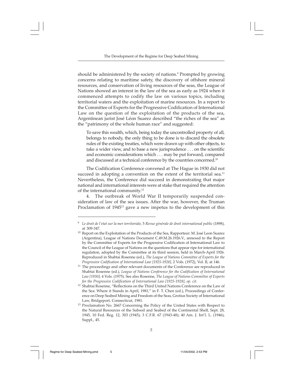should be administered by the society of nations.<sup>9</sup> Prompted by growing concerns relating to maritime safety, the discovery of offshore mineral resources, and conservation of living resources of the seas, the League of Nations showed an interest in the law of the sea as early as 1924 when it commenced attempts to codify the law on various topics, including territorial waters and the exploitation of marine resources. In a report to the Committee of Experts for the Progressive Codification of International Law on the question of the exploitation of the products of the sea, Argentinean jurist José Léon Suarez described "the riches of the sea" as the "patrimony of the whole human race" and suggested:

To save this wealth, which, being today the uncontrolled property of all, belongs to nobody, the only thing to be done is to discard the obsolete rules of the existing treaties, which were drawn up with other objects, to take a wider view, and to base a new jurisprudence . . . on the scientific and economic considerations which . . . may be put forward, compared and discussed at a technical conference by the countries concerned.<sup>10</sup>

The Codification Conference convened at The Hague in 1930 did not succeed in adopting a convention on the extent of the territorial sea.<sup>11</sup> Nevertheless, the Conference did succeed in demonstrating that major national and international interests were at stake that required the attention of the international community.12

4. The outbreak of World War II temporarily suspended consideration of law of the sea issues. After the war, however, the Truman Proclamation of 1945<sup>13</sup> gave a new impetus to the development of this

<sup>9</sup> *Le droit de líetat sur la mer territoriale*, 5 *Revue gÈnÈrale de droit international public* (1898), at 309-347.

 $10$  Report on the Exploitation of the Products of the Sea, Rapporteur: M. José Leon Suarez (Argentina), League of Nations Document C.49.M.26.1926.V., annexed to the Report by the Committee of Experts for the Progressive Codification of International Law to the Council of the League of Nations on the questions that appear ripe for international regulation, adopted by the Committee at its third session, held in March-April 1926. Reproduced in Shabtai Rosenne (ed.), *The League of Nations Committee of Experts for the Progressive Codification of International Law [1925-1928]*, 2 Vols. (1972), Vol. II, at 146.

<sup>&</sup>lt;sup>11</sup> The proceedings and other relevant documents of the Conference are reproduced in Shabtai Rosenne (ed.), *League of Nations Conference for the Codification of International Law [1930]*, 4 Vols. (1975). See also Rosenne, *The League of Nations Committee of Experts for the Progressive Codification of International Law [1925-1928]*, *op. cit*.

 $12$  Shabtai Rosenne, "Reflections on the Third United Nations Conference on the Law of the Sea: Where it Stands in April, 1981," in F. T. Chen (ed.), Proceedings of Conference on Deep Seabed Mining and Freedom of the Seas, Grotius Society of International Law, Bridgeport, Connecticut, 1981.

<sup>&</sup>lt;sup>13</sup> Proclamation No. 2667 Concerning the Policy of the United States with Respect to the Natural Resources of the Subsoil and Seabed of the Continental Shelf, Sept. 28, 1945, 10 Fed. Reg. 12, 303 (1945), 3 C.F.R. 67 (1943-48); 40 Am. J. Intíl. L. (1946), Suppl., 45.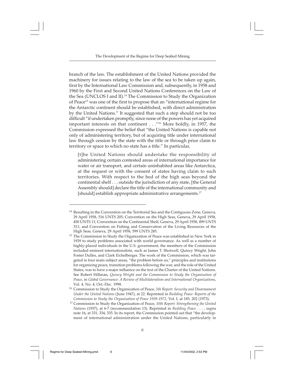branch of the law. The establishment of the United Nations provided the machinery for issues relating to the law of the sea to be taken up again, first by the International Law Commission and, subsequently, in 1958 and 1960 by the First and Second United Nations Conferences on the Law of the Sea (UNCLOS I and II).<sup>14</sup> The Commission to Study the Organization of Peace<sup>15</sup> was one of the first to propose that an "international regime for the Antarctic continent should be established, with direct administration by the United Nations." It suggested that such a step should not be too difficult "if undertaken promptly, since none of the powers has yet acquired important interests on that continent . . ."<sup>16</sup> More boldly, in 1957, the Commission expressed the belief that "the United Nations is capable not only of administering territory, but of acquiring title under international law through cession by the state with the title or through prior claim to territory or space to which no state has a title." In particular,

[t]he United Nations should undertake the responsibility of administering certain contested areas of international importance for water or air transport, and certain uninhabited areas like Antarctica, at the request or with the consent of states having claim to such territories. With respect to the bed of the high seas beyond the continental shelf . . . outside the jurisdiction of any state, [the General Assembly should] declare the title of the international community and [should] establish appropriate administrative arrangements.<sup>17</sup>

<sup>&</sup>lt;sup>14</sup> Resulting in the Convention on the Territorial Sea and the Contiguous Zone, Geneva, 29 April 1958, 516 UNTS 205; Convention on the High Seas, Geneva, 29 April 1958, 450 UNTS 11; Convention on the Continental Shelf, Geneva, 29 April 1958, 499 UNTS 311; and Convention on Fishing and Conservation of the Living Resources of the High Seas, Geneva, 29 April 1958, 599 UNTS 285.

<sup>&</sup>lt;sup>15</sup> The Commission to Study the Organization of Peace was established in New York in 1939 to study problems associated with world governance. As well as a number of highly-placed individuals in the U.S. government, the members of the Commission included eminent internationalists, such as James T. Shotwell, Quincy Wright, John Foster Dulles, and Clark Eichelberger. The work of the Commission, which was targeted in four main subject areas, "the problem before us," principles and institutions for organizing peace, transition problems following the war, and the role of the United States, was to have a major influence on the text of the Charter of the United Nations. See Robert Hillman, *Quincy Wright and the Commission to Study the Organization of Peace*, in *Global Governance: A Review of Multilateralism and International Organizations*, Vol. 4, No. 4, Oct.-Dec. 1998.

<sup>16</sup> Commission to Study the Organization of Peace, *5th Report: Security and Disarmament Under the United Nations* (June 1947), at 22. Reprinted in *Building Peace: Reports of the*

*Commission to Study the Organization of Peace 1939-1972*, Vol. I, at 185, 202 (1973). 17 Commission to Study the Organization of Peace, *10th Report: Strengthening the United Nations* (1957), at 6-7 (recommendation 13). Reprinted in *Building Peace* . . . , supra note 16, at 331, 334, 335. In its report, the Commission pointed out that "the development of international administration under the United Nations, particularly in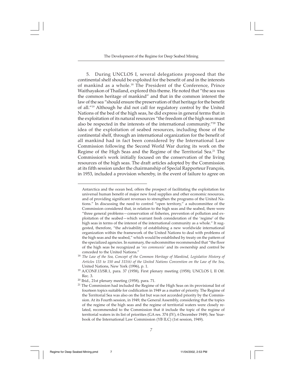5. During UNCLOS I, several delegations proposed that the continental shelf should be exploited for the benefit of and in the interests of mankind as a whole.<sup>18</sup> The President of the Conference, Prince Waithayakon of Thailand, explored this theme. He noted that "the sea was the common heritage of mankind" and that in the common interest the law of the sea "should ensure the preservation of that heritage for the benefit of all."<sup>19</sup> Although he did not call for regulatory control by the United Nations of the bed of the high seas, he did express in general terms that in the exploitation of its natural resources "the freedom of the high seas must also be respected in the interests of the international community.<sup> $720$ </sup> The idea of the exploitation of seabed resources, including those of the continental shelf, through an international organization for the benefit of all mankind had in fact been considered by the International Law Commission following the Second World War during its work on the Regime of the High Seas and the Regime of the Territorial Sea.<sup>21</sup> The Commission's work initially focused on the conservation of the living resources of the high seas. The draft articles adopted by the Commission at its fifth session under the chairmanship of Special Rapporteur François, in 1953, included a provision whereby, in the event of failure to agree on

Antarctica and the ocean bed, offers the prospect of facilitating the exploitation for universal human benefit of major new food supplies and other economic resources, and of providing significant revenues to strengthen the programs of the United Nations." In discussing the need to control "open territory," a subcommittee of the Commission considered that, in relation to the high seas and the seabed, there were "three general problems-conservation of fisheries, prevention of pollution and exploitation of the seabed—which warrant fresh consideration of the 'regime' of the high seas in terms of the interest of the international community as a whole." It suggested, therefore, "the advisability of establishing a new worldwide international organization within the framework of the United Nations to deal with problems of the high seas and the seabed," which would be established by treaty on the pattern of the specialized agencies. In summary, the subcommittee recommended that "the floor of the high seas be recognized as ë*res communisí* and its ownership and control be conceded to the United Nations."

<sup>18</sup> *The Law of the Sea, Concept of the Common Heritage of Mankind, Legislative History of Articles 133 to 150 and 311(6) of the United Nations Convention on the Law of the Sea*, United Nations, New York (1996), p. 1.

<sup>19</sup> A/CONF.13/SR.1, para. 37 (1958), First plenary meeting (1958); UNCLOS I, II Off. Rec. 3.

<sup>20</sup> Ibid., 21st plenary meeting (1958), para. 71.

<sup>&</sup>lt;sup>21</sup> The Commission had included the Regime of the High Seas on its provisional list of fourteen topics suitable for codification in 1949 as a matter of priority. The Regime of the Territorial Sea was also on the list but was not accorded priority by the Commission. At its Fourth session, in 1949, the General Assembly, considering that the topics of the regime of the high seas and the regime of territorial waters were closely related, recommended to the Commission that it include the topic of the regime of territorial waters in its list of priorities (GA res. 374 (IV), 6 December 1949). See Yearbook of the International Law Commission (YB ILC) (1st session, 1949).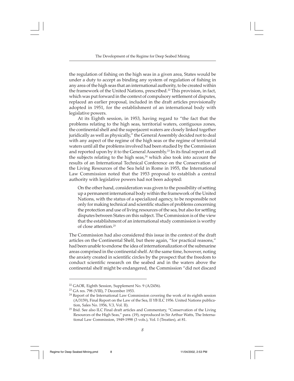the regulation of fishing on the high seas in a given area, States would be under a duty to accept as binding any system of regulation of fishing in any area of the high seas that an international authority, to be created within the framework of the United Nations, prescribed.<sup>22</sup> This provision, in fact, which was put forward in the context of compulsory settlement of disputes, replaced an earlier proposal, included in the draft articles provisionally adopted in 1951, for the establishment of an international body with legislative powers.

At its Eighth session, in 1953, having regard to "the fact that the problems relating to the high seas, territorial waters, contiguous zones, the continental shelf and the superjacent waters are closely linked together juridically as well as physically," the General Assembly decided not to deal with any aspect of the regime of the high seas or the regime of territorial waters until all the problems involved had been studied by the Commission and reported upon by it to the General Assembly.<sup>23</sup> In its final report on all the subjects relating to the high seas, $24$  which also took into account the results of an International Technical Conference on the Conservation of the Living Resources of the Sea held in Rome in 1955, the International Law Commission noted that the 1953 proposal to establish a central authority with legislative powers had not been adopted:

On the other hand, consideration was given to the possibility of setting up a permanent international body within the framework of the United Nations, with the status of a specialized agency, to be responsible not only for making technical and scientific studies of problems concerning the protection and use of living resources of the sea, but also for settling disputes between States on this subject. The Commission is of the view that the establishment of an international study commission is worthy of close attention.25

The Commission had also considered this issue in the context of the draft articles on the Continental Shelf, but there again, "for practical reasons," had been unable to endorse the idea of internationalization of the submarine areas comprised in the continental shelf. At the same time, however, noting the anxiety created in scientific circles by the prospect that the freedom to conduct scientific research on the seabed and in the waters above the continental shelf might be endangered, the Commission "did not discard

<sup>22</sup> GAOR, Eighth Session, Supplement No. 9 (A/2456).

<sup>23</sup> GA res. 798 (VIII), 7 December 1953.

<sup>&</sup>lt;sup>24</sup> Report of the International Law Commission covering the work of its eighth session (A/3159), Final Report on the Law of the Sea, II YB ILC 1956. United Nations publication, Sales No. 1956, V.3, Vol. II).

<sup>&</sup>lt;sup>25</sup> Ibid. See also ILC Final draft articles and Commentary, "Conservation of the Living Resources of the High Seas," para. (19), reproduced in Sir Arthur Watts, The International Law Commission, 1949-1998 (3 vols.), Vol. I (Treaties), at 81.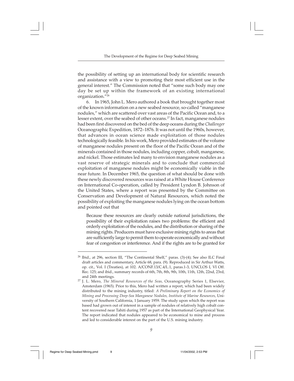the possibility of setting up an international body for scientific research and assistance with a view to promoting their most efficient use in the general interest." The Commission noted that "some such body may one day be set up within the framework of an existing international organization.<sup>"26</sup>

6. In 1965, John L. Mero authored a book that brought together most of the known information on a new seabed resource, so-called "manganese" nodules," which are scattered over vast areas of the Pacific Ocean and, to a lesser extent, over the seabed of other oceans.<sup>27</sup> In fact, manganese nodules had been first discovered on the bed of the deep oceans during the *Challenger* Oceanographic Expedition, 1872-1876. It was not until the 1960s, however, that advances in ocean science made exploitation of those nodules technologically feasible. In his work, Mero provided estimates of the volume of manganese nodules present on the floor of the Pacific Ocean and of the minerals contained in those nodules, including copper, cobalt, manganese, and nickel. Those estimates led many to envision manganese nodules as a vast reserve of strategic minerals and to conclude that commercial exploitation of manganese nodules might be economically viable in the near future. In December 1965, the question of what should be done with these newly discovered resources was raised at a White House Conference on International Co-operation, called by President Lyndon B. Johnson of the United States, where a report was presented by the Committee on Conservation and Development of Natural Resources, which noted the possibility of exploiting the manganese nodules lying on the ocean bottom and pointed out that

Because these resources are clearly outside national jurisdictions, the possibility of their exploitation raises two problems: the efficient and orderly exploitation of the nodules, and the distribution or sharing of the mining rights. Producers must have exclusive mining rights to areas that are sufficiently large to permit them to operate economically and without fear of congestion or interference. And if the rights are to be granted for

 $26$  Ibid., at 296, section III, "The Continental Shelf," paras. (3)-(4); See also ILC Final draft articles and commentary, Article 68, para. (9). Reproduced in Sir Arthur Watts, op. cit., Vol. I (Treaties), at 102. A/CONF.13/C.4/L.1, paras.1-3, UNCLOS I, VI Off. Rec. 125; and ibid., summary records of 6th, 7th, 8th, 9th, 10th, 11th, 12th, 22nd, 23rd, and 24th meetings.

<sup>27</sup> J. L. Mero, *The Mineral Resources of the Seas,* Oceanography Series 1, Elsevier, Amsterdam (1965). Prior to this, Mero had written a report, which had been widely distributed to the mining industry, titled: *A Preliminary Report on the Economics of Mining and Processing Deep-Sea Manganese Nodules, Institute of Marine Resources*, University of Southern California, 1 January 1959. The study upon which the report was based had grown out of interest in a sample of nodules of relatively high cobalt content recovered near Tahiti during 1957 as part of the International Geophysical Year. The report indicated that nodules appeared to be economical to mine and process and led to considerable interest on the part of the U.S. mining industry.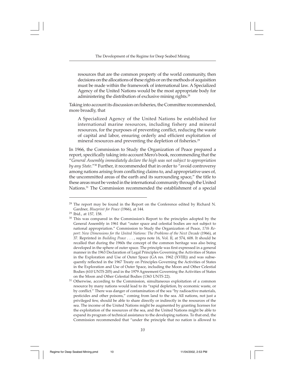resources that are the common property of the world community, then decisions on the allocations of these rights or on the methods of acquisition must be made within the framework of international law. A Specialized Agency of the United Nations would be the most appropriate body for administering the distribution of exclusive mining rights.<sup>28</sup>

Taking into account its discussion on fisheries, the Committee recommended, more broadly, that

A Specialized Agency of the United Nations be established for international marine resources, including fishery and mineral resources, for the purposes of preventing conflict, reducing the waste of capital and labor, ensuring orderly and efficient exploitation of mineral resources and preventing the depletion of fisheries.<sup>29</sup>

In 1966, the Commission to Study the Organization of Peace prepared a report, specifically taking into account Mero's book, recommending that the ì*General Assembly immediately declare the high seas not subject to appropriation* by any State.<sup>"30</sup> Further, it recommended that in order to "avoid controversy among nations arising from conflicting claims to, and appropriative uses of, the uncommitted areas of the earth and its surrounding space," the title to these areas must be vested in the international community through the United Nations.31 The Commission recommended the establishment of a special

<sup>&</sup>lt;sup>28</sup> The report may be found in the Report on the Conference edited by Richard N. Gardner, *Blueprint for Peace* (1966), at 144.

<sup>29</sup> Ibid., at 157, 158.

<sup>&</sup>lt;sup>30</sup> This was compared in the Commission's Report to the principles adopted by the General Assembly in 1961 that "outer space and celestial bodies are not subject to national appropriation.î Commission to Study the Organization of Peace, *17th Report: New Dimensions for the United Nations: The Problems of the Next Decade* (1966), at 37. Reprinted in *Building Peace* . . . , supra note 16, Vol. II, at 574, 608. It should be recalled that during the 1960s the concept of the common heritage was also being developed in the sphere of outer space. The principle was first expressed in a general manner in the 1963 Declaration of Legal Principles Governing the Activities of States in the Exploration and Use of Outer Space (GA res. 1962 (XVIII)) and was subsequently reflected in the 1967 Treaty on Principles Governing the Activities of States in the Exploration and Use of Outer Space, including the Moon and Other Celestial Bodies (610 UNTS 205) and in the 1979 Agreement Governing the Activities of States on the Moon and Other Celestial Bodies (1363 UNTS 22).

<sup>31</sup> Otherwise, according to the Commission, simultaneous exploitation of a common resource by many nations would lead to its "rapid depletion, by economic waste, or by conflict." There was danger of contamination of the sea "by radioactive materials, pesticides and other poisons," coming from land to the sea. All nations, not just a privileged few, should be able to share directly or indirectly in the resources of the sea. The income of the United Nations might be augmented by granting licenses for the exploitation of the resources of the sea, and the United Nations might be able to expand its program of technical assistance to the developing nations. To that end, the Commission recommended that "under the principle that no nation is allowed to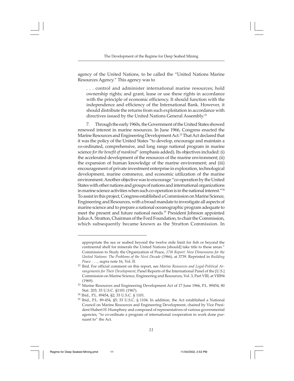agency of the United Nations, to be called the "United Nations Marine Resources Agency." This agency was to

. . . control and administer international marine resources; hold ownership rights; and grant, lease or use these rights in accordance with the principle of economic efficiency. It should function with the independence and efficiency of the International Bank. However, it should distribute the returns from such exploitation in accordance with directives issued by the United Nations General Assembly.<sup>32</sup>

7. Through the early 1960s, the Government of the United States showed renewed interest in marine resources. In June 1966, Congress enacted the Marine Resources and Engineering Development Act.33 That Act declared that it was the policy of the United States "to develop, encourage and maintain a co-ordinated, comprehensive, and long range national program in marine science *for the benefit of mankind*" (emphasis added). Its objectives included: (i) the accelerated development of the resources of the marine environment; (ii) the expansion of human knowledge of the marine environment; and (iii) encouragement of private investment enterprise in exploration, technological development, marine commerce, and economic utilization of the marine environment. Another objective was to encourage "co-operation by the United States with other nations and groups of nations and international organizations in marine science activities when such co-operation is in the national interest.<sup> $\prime$ 34</sup> To assist in this project, Congress established a Commission on Marine Science, Engineering and Resources, with a broad mandate to investigate all aspects of marine science and to prepare a national oceanographic program adequate to meet the present and future national needs.<sup>35</sup> President Johnson appointed Julius A. Stratton, Chairman of the Ford Foundation, to chair the Commission, which subsequently became known as the Stratton Commission. In

appropriate the sea or seabed beyond the twelve mile limit for fish or beyond the continental shelf for minerals the United Nations [should] take title to these areas.<sup>*n*</sup> Commission to Study the Organization of Peace, *17th Report: New Dimensions for the United Nations: The Problems of the Next Decade* (1966), at 3739. Reprinted in *Building Peace* . . . , supra note 16, Vol. II.

<sup>32</sup> Ibid. For official comment on this report, see *Marine Resources and Legal-Political Arrangements for Their Development*, Panel Reports of the International Panel of the [U.S.] Commission on Marine Science, Engineering and Resources, Vol. 3, Part VIII, at VIII94 (1969).

<sup>33</sup> Marine Resources and Engineering Development Act of 17 June 1966, P.L. 89454, 80 Stat. 203; 33 U.S.C. ß1101 (1967).

<sup>34</sup> Ibid., P.L. 89454, ß2; 33 U.S.C. ß 1101.

<sup>35</sup> Ibid., P.L. 89-454, ß5; 33 U.S.C. ß 1104. In addition, the Act established a National Council on Marine Resources and Engineering Development, chaired by Vice President Hubert H. Humphrey and composed of representatives of various governmental agencies, "to co-ordinate a program of international cooperation in work done pursuant to" the Act.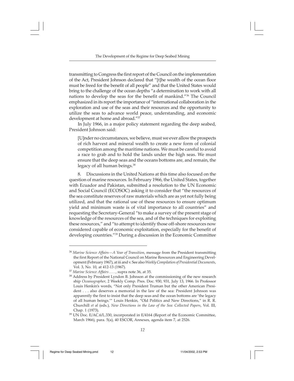transmitting to Congress the first report of the Council on the implementation of the Act, President Johnson declared that "[t]he wealth of the ocean floor must be freed for the benefit of all people" and that the United States would bring to the challenge of the ocean depths "a determination to work with all nations to develop the seas for the benefit of mankind."<sup>36</sup> The Council emphasized in its report the importance of "international collaboration in the exploration and use of the seas and their resources and the opportunity to utilize the seas to advance world peace, understanding, and economic development at home and abroad."<sup>37</sup>

In July 1966, in a major policy statement regarding the deep seabed, President Johnson said:

[U]nder no circumstances, we believe, must we ever allow the prospects of rich harvest and mineral wealth to create a new form of colonial competition among the maritime nations. We must be careful to avoid a race to grab and to hold the lands under the high seas. We must ensure that the deep seas and the oceans bottoms are, and remain, the legacy of all human beings.<sup>38</sup>

8. Discussions in the United Nations at this time also focused on the question of marine resources. In February 1966, the United States, together with Ecuador and Pakistan, submitted a resolution to the UN Economic and Social Council (ECOSOC) asking it to consider that "the resources of the sea constitute reserves of raw materials which are as yet not fully being utilized, and that the rational use of these resources to ensure optimum yield and minimum waste is of vital importance to all countries" and requesting the Secretary-General "to make a survey of the present stage of knowledge of the resources of the sea, and of the techniques for exploiting these resources," and "to attempt to identify those off-shore resources now considered capable of economic exploitation, especially for the benefit of developing countries."<sup>39</sup> During a discussion in the Economic Committee

<sup>&</sup>lt;sup>36</sup> Marine Science Affairs - A Year of Transition, message from the President transmitting the first Report of the National Council on Marine Resources and Engineering Development (February 1967), at iii and v. See also *Weekly Compilation of Presidential Documents*, Vol. 3, No. 10, at 412-13 (1967).

<sup>37</sup> *Marine Science Affairs* . . . , supra note 36, at 35.

<sup>38</sup> Address by President Lyndon B. Johnson at the commissioning of the new research ship *Oceanographer*, 2 Weekly Comp. Pres. Doc. 930, 931, July 13, 1966. In Professor Louis Henkin's words, "Not only President Truman but the other American President . . . also deserves a memorial in the law of the sea: President Johnson was apparently the first to insist that the deep seas and the ocean bottoms are 'the legacy of all human beings."" Louis Henkin, "Old Politics and New Directions," in R. R. Churchill *et al* (eds.), *New Directions in the Law of the Sea: Collected Papers*, Vol. III, Chap. 1 (1973).

<sup>&</sup>lt;sup>39</sup> UN Doc. E/AC.6/L.330, incorporated in E/4164 (Report of the Economic Committee, March 1966), para. 5(a), 40 ESCOR, Annexes, agenda item 7, at 2526.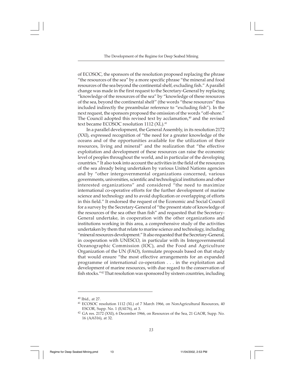of ECOSOC, the sponsors of the resolution proposed replacing the phrase "the resources of the sea" by a more specific phrase "the mineral and food resources of the sea beyond the continental shelf, excluding fish." A parallel change was made in the first request to the Secretary-General by replacing "knowledge of the resources of the sea" by "knowledge of these resources of the sea, beyond the continental shelf" (the words "these resources" thus included indirectly the preambular reference to "excluding fish"). In the next request, the sponsors proposed the omission of the words "off-shore." The Council adopted this revised text by acclamation, $40$  and the revised text became ECOSOC resolution 1112 (XL).<sup>41</sup>

In a parallel development, the General Assembly, in its resolution 2172  $(XXI)$ , expressed recognition of "the need for a greater knowledge of the oceans and of the opportunities available for the utilization of their resources, living and mineral" and the realization that "the effective exploitation and development of these resources can raise the economic level of peoples throughout the world, and in particular of the developing countries." It also took into account the activities in the field of the resources of the sea already being undertaken by various United Nations agencies and by "other intergovernmental organizations concerned, various governments, universities, scientific and technological institutions and other interested organizations" and considered "the need to maximize international co-operative efforts for the further development of marine science and technology and to avoid duplication or overlapping of efforts in this field.î It endorsed the request of the Economic and Social Council for a survey by the Secretary-General of "the present state of knowledge of the resources of the sea other than fish" and requested that the Secretary-General undertake, in cooperation with the other organizations and institutions working in this area, a comprehensive study of the activities undertaken by them that relate to marine science and technology, including "mineral resources development." It also requested that the Secretary-General, in cooperation with UNESCO, in particular with its Intergovernmental Oceanographic Commission (IOC), and the Food and Agriculture Organization of the UN (FAO), formulate proposals based on that study that would ensure "the most effective arrangements for an expanded programme of international co-operation . . . in the exploitation and development of marine resources, with due regard to the conservation of fish stocks."<sup>42</sup> That resolution was sponsored by sixteen countries, including

<sup>40</sup> Ibid., at 27.

<sup>41</sup> ECOSOC resolution 1112 (XL) of 7 March 1966, on NonAgricultural Resources, 40 ESCOR, Supp. No. 1 (E/4176), at 3.

<sup>42</sup> GA res. 2172 (XXI), 6 December 1966, on Resources of the Sea, 21 GAOR, Supp. No. 16 (A/6316), at 32.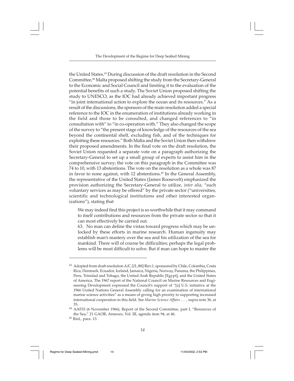the United States.43 During discussion of the draft resolution in the Second Committee,<sup>44</sup> Malta proposed shifting the study from the Secretary-General to the Economic and Social Council and limiting it to the evaluation of the potential benefits of such a study. The Soviet Union proposed shifting the study to UNESCO, as the IOC had already achieved important progress "in joint international action to explore the ocean and its resources." As a result of the discussions, the sponsors of the main resolution added a special reference to the IOC in the enumeration of institutions already working in the field and those to be consulted, and changed references to "in consultation with" to "in co-operation with." They also changed the scope of the survey to "the present stage of knowledge of the resources of the sea beyond the continental shelf, excluding fish, and of the techniques for exploiting these resources." Both Malta and the Soviet Union then withdrew their proposed amendments. In the final vote on the draft resolution, the Soviet Union requested a separate vote on a paragraph authorizing the Secretary-General to set up a small group of experts to assist him in the comprehensive survey; the vote on this paragraph in the Committee was 74 to 10, with 13 abstentions. The vote on the resolution as a whole was 87 in favor to none against, with 12 abstentions.<sup>45</sup> In the General Assembly, the representative of the United States (James Roosevelt) emphasized the provision authorizing the Secretary-General to utilize, *inter alia*, "such voluntary services as may be offered" by the private sector ("universities, scientific and technological institutions and other interested organizations"), stating that

We may indeed find this project is so worthwhile that it may command to itself contributions and resources from the private sector so that it can most effectively be carried out.

63. No man can define the vistas toward progress which may be unlocked by these efforts in marine research. Human ingenuity may establish manís mastery over the sea and his utilization of the sea for mankind. There will of course be difficulties; perhaps the legal problems will be most difficult to solve. But if man can hope to master the

<sup>43</sup> Adopted from draft resolution A/C.2/L.882/Rev.1, sponsored by Chile, Colombia, Costa Rica, Denmark, Ecuador, Iceland, Jamaica, Nigeria, Norway, Panama, the Philippines, Peru, Trinidad and Tobago, the United Arab Republic [Egypt], and the United States of America. The 1967 report of the National Council on Marine Resources and Engineering Development expressed the Council's support of "[a] U.S. initiative at the 1966 United Nations General Assembly calling for an examination of international marine science activities" as a means of giving high priority to supporting increased international cooperation in this field. See *Marine Science Affairs* . . . , supra note 36, at 35.

<sup>&</sup>lt;sup>44</sup> A/6533 (6 November 1966), Report of the Second Committee, part I, "Resources of the Sea," 21 GAOR, Annexes, Vol. III, agenda item 94, at 46.

<sup>45</sup> Ibid., para. 13.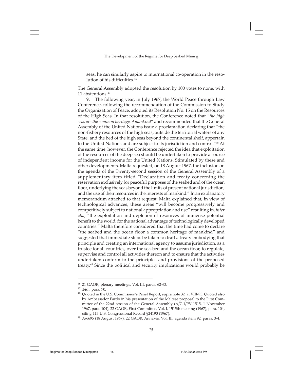seas, he can similarly aspire to international co-operation in the resolution of his difficulties.46

The General Assembly adopted the resolution by 100 votes to none, with 11 abstentions.<sup>47</sup>

9. The following year, in July 1967, the World Peace through Law Conference, following the recommendation of the Commission to Study the Organization of Peace, adopted its Resolution No. 15 on the Resources of the High Seas. In that resolution, the Conference noted that "the high *seas are the common heritage of mankind*î and recommended that the General Assembly of the United Nations issue a proclamation declaring that "the non-fishery resources of the high seas, outside the territorial waters of any State, and the bed of the high seas beyond the continental shelf, appertain to the United Nations and are subject to its jurisdiction and control."<sup>48</sup> At the same time, however, the Conference rejected the idea that exploitation of the resources of the deep sea should be undertaken to provide a source of independent income for the United Nations. Stimulated by these and other developments, Malta requested, on 18 August 1967, the inclusion on the agenda of the Twenty-second session of the General Assembly of a supplementary item titled "Declaration and treaty concerning the reservation exclusively for peaceful purposes of the seabed and of the ocean floor, underlying the seas beyond the limits of present national jurisdiction, and the use of their resources in the interests of mankind." In an explanatory memorandum attached to that request, Malta explained that, in view of technological advances, these areas "will become progressively and competitively subject to national appropriation and use" resulting in, *inter alia*, "the exploitation and depletion of resources of immense potential benefit to the world, for the national advantage of technologically developed countries." Malta therefore considered that the time had come to declare "the seabed and the ocean floor a common heritage of mankind" and suggested that immediate steps be taken to draft a treaty embodying that principle and creating an international agency to assume jurisdiction, as a trustee for all countries, over the sea-bed and the ocean floor, to regulate, supervise and control all activities thereon and to ensure that the activities undertaken conform to the principles and provisions of the proposed treaty.49 Since the political and security implications would probably be

<sup>46</sup> 21 GAOR, plenary meetings, Vol. III, paras. 62-63.

<sup>47</sup> Ibid., para. 70.

<sup>&</sup>lt;sup>48</sup> Quoted in the U.S. Commission's Panel Report, supra note 32, at VIII-95. Quoted also by Ambassador Pardo in his presentation of the Maltese proposal to the First Committee of the 22nd session of the General Assembly (A/C.1/PV 1515, 1 November 1967, para. 104), 22 GAOR, First Committee, Vol. I, 1515th meeting (1967), para. 104, citing 113 U.S. Congressional Record ß24190 (1967).

<sup>49</sup> A/6695 (18 August 1967), 22 GAOR, Annexes, Vol. III, agenda item 92, paras. 3-4.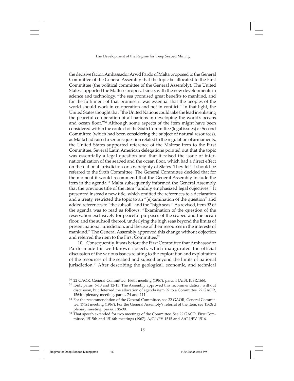the decisive factor, Ambassador Arvid Pardo of Malta proposed to the General Committee of the General Assembly that the topic be allocated to the First Committee (the political committee of the General Assembly). The United States supported the Maltese proposal since, with the new developments in science and technology, "the sea promised great benefits to mankind, and for the fulfilment of that promise it was essential that the peoples of the world should work in co-operation and not in conflict." In that light, the United States thought that "the United Nations could take the lead in enlisting the peaceful co-operation of all nations in developing the world's oceans and ocean floor."<sup>50</sup> Although some aspects of the item might have been considered within the context of the Sixth Committee (legal issues) or Second Committee (which had been considering the subject of natural resources), as Malta had raised a serious question related to the regulation of armaments, the United States supported reference of the Maltese item to the First Committee. Several Latin American delegations pointed out that the topic was essentially a legal question and that it raised the issue of internationalization of the seabed and the ocean floor, which had a direct effect on the national jurisdiction or sovereignty of States. They felt it should be referred to the Sixth Committee. The General Committee decided that for the moment it would recommend that the General Assembly include the item in the agenda.<sup>51</sup> Malta subsequently informed the General Assembly that the previous title of the item "unduly emphasized legal objectives." It presented instead a new title, which omitted the references to a declaration and a treaty, restricted the topic to an "[e]xamination of the question" and added references to "the subsoil" and the "high seas." As revised, item 92 of the agenda was to read as follows: "Examination of the question of the reservation exclusively for peaceful purposes of the seabed and the ocean floor, and the subsoil thereof, underlying the high seas beyond the limits of present national jurisdiction, and the use of their resources in the interests of mankind." The General Assembly approved this change without objection and referred the item to the First Committee.52

10. Consequently, it was before the First Committee that Ambassador Pardo made his well-known speech, which inaugurated the official discussion of the various issues relating to the exploration and exploitation of the resources of the seabed and subsoil beyond the limits of national jurisdiction.<sup>53</sup> After describing the geological, economic, and technical

<sup>50</sup> 22 GAOR, General Committee, 166th meeting (1967), para. 4 (A/BUR/SR.166).

<sup>51</sup> Ibid., paras. 6-10 and 12-13. The Assembly approved this recommendation, without discussion, but deferred the allocation of agenda item 92 to a Committee. 22 GAOR, 1564th plenary meeting, paras. 74 and 111.

<sup>52</sup> For the recommendation of the General Committee, see 22 GAOR, General Committee, 171st meeting (1967). For the General Assembly's referral of the item, see 1563rd plenary meeting, paras. 186-90.

<sup>53</sup> That speech extended for two meetings of the Committee. See 22 GAOR, First Committee, 1515th and 1516th meetings (1967). A/C.1/PV 1515 and A/C.1/PV 1516.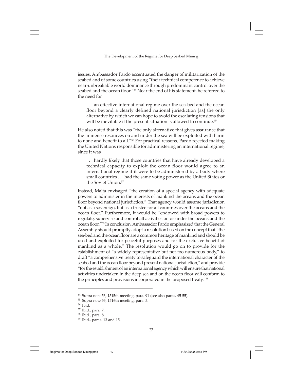issues, Ambassador Pardo accentuated the danger of militarization of the seabed and of some countries using "their technical competence to achieve near-unbreakable world dominance through predominant control over the seabed and the ocean floor.<sup>"54</sup> Near the end of his statement, he referred to the need for

. . . an effective international regime over the sea-bed and the ocean floor beyond a clearly defined national jurisdiction [as] the only alternative by which we can hope to avoid the escalating tensions that will be inevitable if the present situation is allowed to continue.<sup>55</sup>

He also noted that this was "the only alternative that gives assurance that the immense resources on and under the sea will be exploited with harm to none and benefit to all.<sup>"56</sup> For practical reasons, Pardo rejected making the United Nations responsible for administering an international regime, since it was

. . . hardly likely that those countries that have already developed a technical capacity to exploit the ocean floor would agree to an international regime if it were to be administered by a body where small countries . . . had the same voting power as the United States or the Soviet Union.<sup>57</sup>

Instead, Malta envisaged "the creation of a special agency with adequate powers to administer in the interests of mankind the oceans and the ocean floor beyond national jurisdiction." That agency would assume jurisdiction "not as a sovereign, but as a trustee for all countries over the oceans and the ocean floor." Furthermore, it would be "endowed with broad powers to regulate, supervise and control all activities on or under the oceans and the ocean floor."<sup>58</sup> In conclusion, Ambassador Pardo emphasized that the General Assembly should promptly adopt a resolution based on the concept that "the sea-bed and the ocean floor are a common heritage of mankind and should be used and exploited for peaceful purposes and for the exclusive benefit of mankind as a whole." The resolution would go on to provide for the establishment of "a widely representative but not too numerous body," to draft "a comprehensive treaty to safeguard the international character of the seabed and the ocean floor beyond present national jurisdiction," and provide ìfor the establishment of an international agency which will ensure that national activities undertaken in the deep sea and on the ocean floor will conform to the principles and provisions incorporated in the proposed treaty."<sup>59</sup>

<sup>54</sup> Supra note 53, 1515th meeting, para. 91 (see also paras. 45-55).

<sup>55</sup> Supra note 53, 1516th meeting, para. 3.

<sup>56</sup> Ibid.

<sup>57</sup> Ibid., para. 7.

<sup>58</sup> Ibid., para. 8.

<sup>59</sup> Ibid., paras. 13 and 15.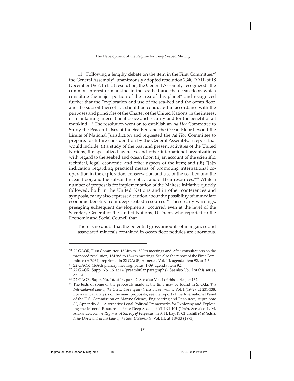11. Following a lengthy debate on the item in the First Committee, $60$ the General Assembly<sup>61</sup> unanimously adopted resolution 2340 (XXII) of 18 December 1967. In that resolution, the General Assembly recognized "the common interest of mankind in the sea-bed and the ocean floor, which constitute the major portion of the area of this planet" and recognized further that the "exploration and use of the sea-bed and the ocean floor, and the subsoil thereof . . . should be conducted in accordance with the purposes and principles of the Charter of the United Nations, in the interest of maintaining international peace and security and for the benefit of all mankind.<sup>"62</sup> The resolution went on to establish an *Ad Hoc* Committee to Study the Peaceful Uses of the Sea-Bed and the Ocean Floor beyond the Limits of National Jurisdiction and requested the *Ad Hoc* Committee to prepare, for future consideration by the General Assembly, a report that would include: (i) a study of the past and present activities of the United Nations, the specialized agencies, and other international organizations with regard to the seabed and ocean floor; (ii) an account of the scientific, technical, legal, economic, and other aspects of the item; and (iii) "[a]n indication regarding practical means of promoting international cooperation in the exploration, conservation and use of the sea-bed and the ocean floor, and the subsoil thereof . . . and of their resources." $63$  While a number of proposals for implementation of the Maltese initiative quickly followed, both in the United Nations and in other conferences and symposia, many also expressed caution about the possibility of immediate economic benefits from deep seabed resources.64 These early warnings, presaging subsequent developments, occurred even at the level of the Secretary-General of the United Nations, U Thant, who reported to the Economic and Social Council that

There is no doubt that the potential gross amounts of manganese and associated minerals contained in ocean floor nodules are enormous.

<sup>60</sup> 22 GAOR, First Committee, 1524th to 1530th meetings and, after consultations on the proposed resolution, 1542nd to 1544th meetings. See also the report of the First Committee (A/6964), reprinted in 22 GAOR, Annexes, Vol. III, agenda item 92, at 2-3.

<sup>61</sup> 22 GAOR, 1639th plenary meeting, paras. 1-39, agenda item 92.

<sup>62</sup> 22 GAOR, Supp. No. 16, at 14 (preambular paragraphs). See also Vol. I of this series, at 161.

<sup>63</sup> 22 GAOR, Supp. No. 16, at 14, para. 2. See also Vol. I of this series, at 162.

<sup>64</sup> The texts of some of the proposals made at the time may be found in S. Oda, *The International Law of the Ocean Development: Basic Documents*, Vol. I (1972), at 231-338. For a critical analysis of the main proposals, see the report of the International Panel of the U.S. Commission on Marine Science, Engineering and Resources, supra note 32, Appendix A-Alternative Legal-Political Frameworks for Exploring and Exploiting the Mineral Resources of the Deep Seas—at VIII-91-104 (1969). See also L. M. Alexander, *Future Regimes: A Survey of Proposals*, in S. H. Lay, R. Churchill *et al* (eds.), *New Directions in the Law of the Sea; Documents*, Vol. III, at 119-33 (1973).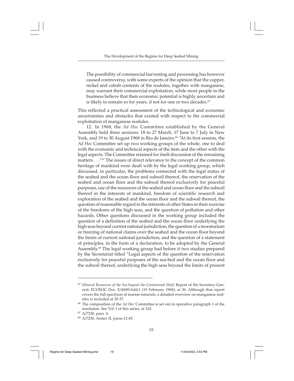The possibility of commercial harvesting and processing has however caused controversy, with some experts of the opinion that the copper, nickel and cobalt contents of the nodules, together with manganese, may warrant their commercial exploitation, while most people in the business believe that their economic potential is highly uncertain and is likely to remain so for years, if not for one or two decades.<sup>65</sup>

This reflected a practical assessment of the technological and economic uncertainties and obstacles that existed with respect to the commercial exploitation of manganese nodules.

12. In 1968, the *Ad Hoc* Committee established by the General Assembly held three sessions: 18 to 27 March, 17 June to 7 July in New York, and 19 to 30 August 1968 in Rio de Janeiro.<sup>66</sup> "At its first session, the *Ad Hoc* Committee set up two working groups of the whole, one to deal with the economic and technical aspects of the item and the other with the legal aspects. The Committee retained for itself discussion of the remaining matters . . . "<sup>67</sup> The issues of direct relevance to the concept of the common heritage of mankind were dealt with by the legal working group, which discussed, in particular, the problems connected with the legal status of the seabed and the ocean floor and subsoil thereof, the reservation of the seabed and ocean floor and the subsoil thereof exclusively for peaceful purposes, use of the resources of the seabed and ocean floor and the subsoil thereof in the interests of mankind, freedom of scientific research and exploration of the seabed and the ocean floor and the subsoil thereof, the question of reasonable regard to the interests of other States in their exercise of the freedoms of the high seas, and the question of pollution and other hazards. Other questions discussed in the working group included the question of a definition of the seabed and the ocean floor underlying the high seas beyond current national jurisdiction, the question of a moratorium or freezing of national claims over the seabed and the ocean floor beyond the limits of current national jurisdiction, and the question of a statement of principles, in the form of a declaration, to be adopted by the General Assembly.68 The legal working group had before it two studies prepared by the Secretariat titled "Legal aspects of the question of the reservation exclusively for peaceful purposes of the sea-bed and the ocean floor and the subsoil thereof, underlying the high seas beyond the limits of present

<sup>65</sup> *Mineral Resources of the Sea beyond the Continental Shelf*, Report of the Secretary-General, ECOSOC Doc. E/4449/Add.1 (19 February 1968), at 36. Although that report covers the full spectrum of marine minerals, a detailed overview on manganese nodules is included at 30-37.

<sup>66</sup> The composition of the *Ad Hoc* Committee is set out in operative paragraph 1 of the resolution. See Vol. I of this series, at 162.

<sup>67</sup> A/7230, para. 4.

<sup>68</sup> A/7230, Annex II, paras.12-45.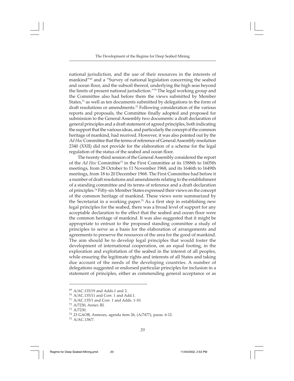national jurisdiction, and the use of their resources in the interests of mankind<sup>769</sup> and a "Survey of national legislation concerning the seabed and ocean floor, and the subsoil thereof, underlying the high seas beyond the limits of present national jurisdiction.<sup> $770$ </sup> The legal working group and the Committee also had before them the views submitted by Member States,<sup>71</sup> as well as ten documents submitted by delegations in the form of draft resolutions or amendments.72 Following consideration of the various reports and proposals, the Committee finally adopted and proposed for submission to the General Assembly two documents: a draft declaration of general principles and a draft statement of agreed principles, both indicating the support that the various ideas, and particularly the concept of the common heritage of mankind, had received. However, it was also pointed out by the *Ad Hoc* Committee that the terms of reference of General Assembly resolution 2340 (XXII) did not provide for the elaboration of a scheme for the legal regulation of the status of the seabed and ocean floor.

The twenty-third session of the General Assembly considered the report of the *Ad Hoc* Committee73 in the First Committee at its 1588th to 1605th meetings, from 28 October to 11 November 1968, and its 1646th to 1649th meetings, from 18 to 20 December 1968. The First Committee had before it a number of draft resolutions and amendments relating to the establishment of a standing committee and its terms of reference and a draft declaration of principles.74 Fifty-six Member States expressed their views on the concept of the common heritage of mankind. These views were summarized by the Secretariat in a working paper.<sup>75</sup> As a first step in establishing new legal principles for the seabed, there was a broad level of support for any acceptable declaration to the effect that the seabed and ocean floor were the common heritage of mankind. It was also suggested that it might be appropriate to entrust to the proposed standing committee a study of principles to serve as a basis for the elaboration of arrangements and agreements to preserve the resources of the area for the good of mankind. The aim should be to develop legal principles that would foster the development of international cooperation, on an equal footing, in the exploration and exploitation of the seabed in the interest of all peoples, while ensuring the legitimate rights and interests of all States and taking due account of the needs of the developing countries. A number of delegations suggested or endorsed particular principles for inclusion in a statement of principles, either as commending general acceptance or as

<sup>69</sup> A/AC.135/19 and Adds.1 and 2.

<sup>70</sup> A/AC.135/11 and Corr. 1 and Add.1.

<sup>71</sup> A/AC.135/1 and Corr. 1 and Adds. 1-10.

<sup>72</sup> A/7230, Annex III.

<sup>73</sup> A/7230.

<sup>74</sup> 23 GAOR, Annexes, agenda item 26, (A/7477), paras. 6-12.

<sup>75</sup> A/AC.138/7.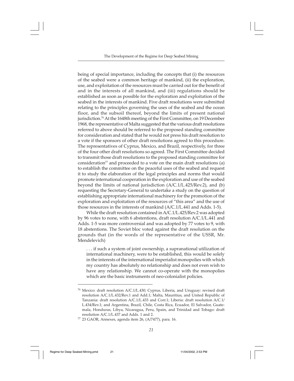being of special importance, including the concepts that (i) the resources of the seabed were a common heritage of mankind, (ii) the exploration, use, and exploitation of the resources must be carried out for the benefit of and in the interests of all mankind, and (iii) regulations should be established as soon as possible for the exploration and exploitation of the seabed in the interests of mankind. Five draft resolutions were submitted relating to the principles governing the uses of the seabed and the ocean floor, and the subsoil thereof, beyond the limits of present national jurisdiction.<sup>76</sup> At the 1648th meeting of the First Committee, on 19 December 1968, the representative of Malta suggested that the various draft resolutions referred to above should be referred to the proposed standing committee for consideration and stated that he would not press his draft resolution to a vote if the sponsors of other draft resolutions agreed to this procedure. The representatives of Cyprus, Mexico, and Brazil, respectively, for three of the four other draft resolutions so agreed. The First Committee decided to transmit those draft resolutions to the proposed standing committee for consideration<sup> $77$ </sup> and proceeded to a vote on the main draft resolutions (a) to establish the committee on the peaceful uses of the seabed and request it to study the elaboration of the legal principles and norms that would promote international cooperation in the exploration and use of the seabed beyond the limits of national jurisdiction (A/C.1/L.425/Rev.2), and (b) requesting the Secretary-General to undertake a study on the question of establishing appropriate international machinery for the promotion of the exploration and exploitation of the resources of "this area" and the use of those resources in the interests of mankind (A/C.1/L.441 and Adds. 1-5).

While the draft resolution contained in A/C.1/L.425/Rev.2 was adopted by 96 votes to none, with 6 abstentions, draft resolution A/C.1/L.441 and Adds. 1-5 was more controversial and was adopted by 77 votes to 9, with 18 abstentions. The Soviet bloc voted against the draft resolution on the grounds that (in the words of the representative of the USSR, Mr. Mendelevich)

. . . if such a system of joint ownership, a supranational utilization of international machinery, were to be established, this would be solely in the interests of the international imperialist monopolies with which my country has absolutely no relationship and does not even wish to have any relationship. We cannot co-operate with the monopolies which are the basic instruments of neo-colonialist policies.

<sup>76</sup> Mexico: draft resolution A/C.1/L.430; Cyprus, Liberia, and Uruguay: revised draft resolution A/C.1/L.432/Rev.1 and Add.1; Malta, Mauritius, and United Republic of Tanzania: draft resolution A/C.1/L.433 and Corr.1; Liberia: draft resolution A/C.1/ L.434/Rev.1; and Argentina, Brazil, Chile, Costa Rica, Ecuador, El Salvador, Guatemala, Honduras, Libya, Nicaragua, Peru, Spain, and Trinidad and Tobago: draft resolution A/C.1/L.437 and Adds. 1 and 2.

<sup>77</sup> 23 GAOR, Annexes, agenda item 26, (A/7477), para. 16.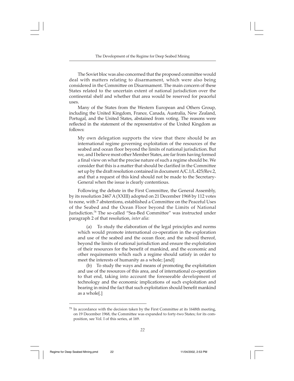The Soviet bloc was also concerned that the proposed committee would deal with matters relating to disarmament, which were also being considered in the Committee on Disarmament. The main concern of these States related to the uncertain extent of national jurisdiction over the continental shelf and whether that area would be reserved for peaceful uses.

Many of the States from the Western European and Others Group, including the United Kingdom, France, Canada, Australia, New Zealand, Portugal, and the United States, abstained from voting. The reasons were reflected in the statement of the representative of the United Kingdom as follows:

My own delegation supports the view that there should be an international regime governing exploitation of the resources of the seabed and ocean floor beyond the limits of national jurisdiction. But we, and I believe most other Member States, are far from having formed a final view on what the precise nature of such a regime should be. We consider that this is a matter that should be clarified in the Committee set up by the draft resolution contained in document A/C.1/L.425/Rev.2, and that a request of this kind should not be made to the Secretary-General when the issue is clearly contentious.

Following the debate in the First Committee, the General Assembly, by its resolution 2467 A (XXIII) adopted on 21 December 1968 by 112 votes to none, with 7 abstentions, established a Committee on the Peaceful Uses of the Seabed and the Ocean Floor beyond the Limits of National Jurisdiction.<sup>78</sup> The so-called "Sea-Bed Committee" was instructed under paragraph 2 of that resolution, *inter alia*:

(a) To study the elaboration of the legal principles and norms which would promote international co-operation in the exploration and use of the seabed and the ocean floor, and the subsoil thereof, beyond the limits of national jurisdiction and ensure the exploitation of their resources for the benefit of mankind, and the economic and other requirements which such a regime should satisfy in order to meet the interests of humanity as a whole; [and]

(b) To study the ways and means of promoting the exploitation and use of the resources of this area, and of international co-operation to that end, taking into account the foreseeable development of technology and the economic implications of such exploitation and bearing in mind the fact that such exploitation should benefit mankind as a whole[.]

<sup>78</sup> In accordance with the decision taken by the First Committee at its 1648th meeting, on 19 December 1968, the Committee was expanded to forty-two States; for its composition, see Vol. I of this series, at 169.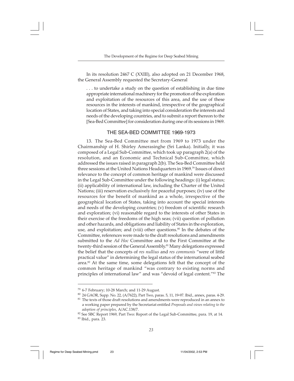In its resolution 2467 C (XXIII), also adopted on 21 December 1968, the General Assembly requested the Secretary-General

. . . to undertake a study on the question of establishing in due time appropriate international machinery for the promotion of the exploration and exploitation of the resources of this area, and the use of these resources in the interests of mankind, irrespective of the geographical location of States, and taking into special consideration the interests and needs of the developing countries, and to submit a report thereon to the [Sea-Bed Committee] for consideration during one of its sessions in 1969.

### THE SEA-BED COMMITTEE 1969-1973

13. The Sea-Bed Committee met from 1969 to 1973 under the Chairmanship of H. Shirley Amerasinghe (Sri Lanka). Initially, it was composed of a Legal Sub-Committee, which took up paragraph 2(a) of the resolution, and an Economic and Technical Sub-Committee, which addressed the issues raised in paragraph 2(b). The Sea-Bed Committee held three sessions at the United Nations Headquarters in 1969.79 Issues of direct relevance to the concept of common heritage of mankind were discussed in the Legal Sub-Committee under the following headings: (i) legal status; (ii) applicability of international law, including the Charter of the United Nations; (iii) reservation exclusively for peaceful purposes; (iv) use of the resources for the benefit of mankind as a whole, irrespective of the geographical location of States, taking into account the special interests and needs of the developing countries; (v) freedom of scientific research and exploration; (vi) reasonable regard to the interests of other States in their exercise of the freedoms of the high seas; (vii) question of pollution and other hazards, and obligations and liability of States in the exploration, use, and exploitation; and (viii) other questions.<sup>80</sup> In the debates of the Committee, references were made to the draft resolutions and amendments submitted to the *Ad Hoc* Committee and to the First Committee at the twenty-third session of the General Assembly.<sup>81</sup> Many delegations expressed the belief that the concepts of *res nullius* and *res communis* "were of little practical valueî in determining the legal status of the international seabed area. $82$  At the same time, some delegations felt that the concept of the common heritage of mankind "was contrary to existing norms and principles of international law" and was "devoid of legal content."<sup>83</sup> The

<sup>79</sup> 6-7 February; 10-28 March; and 11-29 August.

<sup>80</sup> 24 GAOR, Supp. No. 22, (A/7622), Part Two, paras. 5, 11, 19-97. Ibid., annex, paras. 4-29.

 $81$  The texts of those draft resolutions and amendments were reproduced in an annex to a working paper prepared by the Secretariat entitled *Proposals and views relating to the adoption of principles*, A/AC.138/7.

<sup>82</sup> See SBC Report 1969, Part Two: Report of the Legal Sub-Committee, para. 19, at 14. 83 Ibid., para. 23.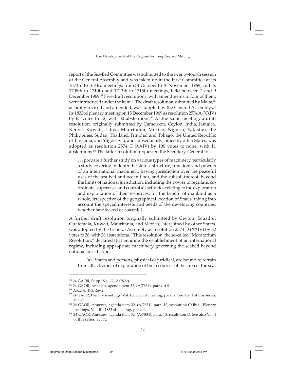report of the Sea-Bed Committee was submitted to the twenty-fourth session of the General Assembly and was taken up in the First Committee at its 1673rd to 1683rd meetings, from 31 October to 10 November 1969, and its 1708th to 1710th and 1713th to 1715th meetings, held between 2 and 9 December 1969.<sup>84</sup> Five draft resolutions, with amendments to four of them, were introduced under the item.<sup>85</sup> The draft resolution submitted by Malta,<sup>86</sup> as orally revised and amended, was adopted by the General Assembly at its 1833rd plenary meeting on 15 December 1969 as resolution 2574 A (XXIV) by 65 votes to 12, with 30 abstentions.<sup>87</sup> At the same meeting, a draft resolution, originally submitted by Cameroon, Ceylon, India, Jamaica, Kenya, Kuwait, Libya, Mauritania, Mexico, Nigeria, Pakistan, the Philippines, Sudan, Thailand, Trinidad and Tobago, the United Republic of Tanzania, and Yugoslavia, and subsequently joined by other States, was adopted as resolution 2574 C (XXIV) by 100 votes to none, with 11 abstentions.<sup>88</sup> The latter resolution requested the Secretary-General to

. . . prepare a further study on various types of machinery, particularly a study covering in depth the status, structure, functions and powers of an international machinery, having jurisdiction over the peaceful uses of the sea-bed and ocean floor, and the subsoil thereof, beyond the limits of national jurisdiction, including the power to regulate, coordinate, supervise, and control all activities relating to the exploration and exploitation of their resources, for the benefit of mankind as a whole, irrespective of the geographical location of States, taking into account the special interests and needs of the developing countries, whether landlocked or coastal[.]

A further draft resolution originally submitted by Ceylon, Ecuador, Guatemala, Kuwait, Mauritania, and Mexico, later joined by other States, was adopted by the General Assembly as resolution 2574 D (XXIV) by 62 votes to 28, with 28 abstentions.<sup>89</sup> This resolution, the so-called "Moratorium Resolution," declared that pending the establishment of an international regime, including appropriate machinery governing the seabed beyond national jurisdiction,

(a) States and persons, physical or juridical, are bound to refrain from all activities of exploration of the resources of the area of the sea-

<sup>84 24</sup> GAOR, Supp. No. 22 (A/7622).

<sup>85 24</sup> GAOR, Annexes, agenda item 32, (A/7834), paras. 4-9.

<sup>86</sup> A/C.1/L.473/Rev.2.

<sup>87 24</sup> GAOR, Plenary meetings, Vol. III, 1833rd meeting, para. 2. See Vol. I of this series, at 169.

<sup>88 24</sup> GAOR, Annexes, agenda item 32, (A/7834), para. 13, resolution C; ibid., Plenary meetings, Vol. III, 1833rd meeting, para. 4.

<sup>89</sup> 24 GAOR, Annexes, agenda item 32, (A/7834), para. 13, resolution D. See also Vol. I of this series, at 172.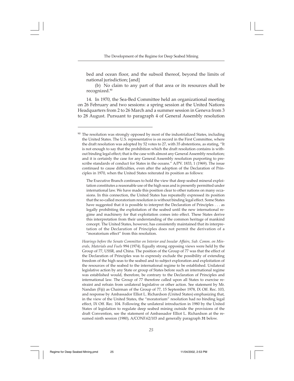bed and ocean floor, and the subsoil thereof, beyond the limits of national jurisdiction; [and]

(b) No claim to any part of that area or its resources shall be recognized.90

14. In 1970, the Sea-Bed Committee held an organizational meeting on 26 February and two sessions: a spring session at the United Nations Headquarters from 2 to 26 March and a summer session in Geneva from 3 to 28 August. Pursuant to paragraph 4 of General Assembly resolution

 $90$  The resolution was strongly opposed by most of the industrialized States, including the United States. The U.S. representative is on record in the First Committee, where the draft resolution was adopted by 52 votes to  $27$ , with 35 abstentions, as stating, "It is not enough to say that the prohibition which the draft resolution contains is without binding legal effect; that is the case with almost any General Assembly resolution; and it is certainly the case for any General Assembly resolution purporting to prescribe standards of conduct for States in the oceans." A/PV. 1833, 1 (1969). The issue continued to cause difficulties, even after the adoption of the Declaration of Principles in 1970, when the United States reiterated its position as follows:

The Executive Branch continues to hold the view that deep seabed mineral exploitation constitutes a reasonable use of the high seas and is presently permitted under international law. We have made this position clear to other nations on many occasions. In this connection, the United States has repeatedly expressed its position that the so-called moratorium resolution is without binding legal effect. Some States have suggested that it is possible to interpret the Declaration of Principles . . . as legally prohibiting the exploitation of the seabed until the new international regime and machinery for that exploitation comes into effect. These States derive this interpretation from their understanding of the common heritage of mankind concept. The United States, however, has consistently maintained that its interpretation of the Declaration of Principles does not permit the derivation of a "moratorium effect" from this resolution.

*Hearings before the Senate Committee on Interior and Insular Affairs, Sub. Comm. on Minerals, Materials and Fuels* 994 (1974). Equally strong opposing views were held by the Group of 77, USSR, and China. The position of the Group of 77 was that the effect of the Declaration of Principles was to expressly exclude the possibility of extending freedom of the high seas to the seabed and to subject exploration and exploitation of the resources of the seabed to the international regime to be established. Unilateral legislative action by any State or group of States before such an international regime was established would, therefore, be contrary to the Declaration of Principles and international law. The Group of 77 therefore called upon all States to exercise restraint and refrain from unilateral legislative or other action. See statement by Mr. Nandan (Fiji) as Chairman of the Group of 77, 15 September 1978, IX Off. Rec. 103, and response by Ambassador Elliot L. Richardson (United States) emphasizing that, in the view of the United States, the "moratorium" resolution had no binding legal effect, IX Off. Rec. 104. Following the unilateral introduction in 1980 by the United States of legislation to regulate deep seabed mining outside the provisions of the draft Convention, see the statement of Ambassador Elliot L. Richardson at the resumed ninth session (1980), A/CONF.62/103 and generally paragraph **31** below.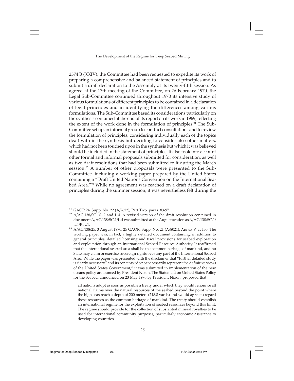2574 B (XXIV), the Committee had been requested to expedite its work of preparing a comprehensive and balanced statement of principles and to submit a draft declaration to the Assembly at its twenty-fifth session. As agreed at the 17th meeting of the Committee, on 26 February 1970, the Legal Sub-Committee continued throughout 1970 its intensive study of various formulations of different principles to be contained in a declaration of legal principles and in identifying the differences among various formulations. The Sub-Committee based its considerations particularly on the synthesis contained at the end of its report on its work in 1969, reflecting the extent of the work done in the formulation of principles.<sup>91</sup> The Sub-Committee set up an informal group to conduct consultations and to review the formulation of principles, considering individually each of the topics dealt with in the synthesis but deciding to consider also other matters, which had not been touched upon in the synthesis but which it was believed should be included in the statement of principles. It also took into account other formal and informal proposals submitted for consideration, as well as two draft resolutions that had been submitted to it during the March session.<sup>92</sup> A number of other proposals were presented to the Sub-Committee, including a working paper prepared by the United States containing a "Draft United Nations Convention on the International Seabed Area."<sup>93</sup> While no agreement was reached on a draft declaration of principles during the summer session, it was nevertheless felt during the

all nations adopt as soon as possible a treaty under which they would renounce all national claims over the natural resources of the seabed beyond the point where the high seas reach a depth of 200 meters (218.8 yards) and would agree to regard these resources as the common heritage of mankind. The treaty should establish an international regime for the exploitation of seabed resources beyond this limit. The regime should provide for the collection of substantial mineral royalties to be used for international community purposes, particularly economic assistance to developing countries.

<sup>91</sup> GAOR 24, Supp. No. 22 (A/7622), Part Two, paras. 83-97.

<sup>&</sup>lt;sup>92</sup> A/AC.138/SC.1/L.2 and L.4. A revised version of the draft resolution contained in document A/AC.138/SC.1/L.4 was submitted at the August session as A/AC.138/SC.1/ L.4/Rev.1.

<sup>93</sup> A/AC.138/25, 3 August 1970. 25 GAOR, Supp. No. 21 (A/8021), Annex V, at 130. The working paper was, in fact, a highly detailed document containing, in addition to general principles, detailed licensing and fiscal provisions for seabed exploration and exploitation through an International Seabed Resource Authority. It reaffirmed that the international seabed area shall be the common heritage of mankind, and no State may claim or exercise sovereign rights over any part of the International Seabed Area. While the paper was presented with the disclaimer that "further detailed study is clearly necessary" and its contents "do not necessarily represent the definitive views of the United States Government," it was submitted in implementation of the new oceans policy announced by President Nixon. The Statement on United States Policy for the Seabed, announced on 23 May 1970 by President Nixon, proposed that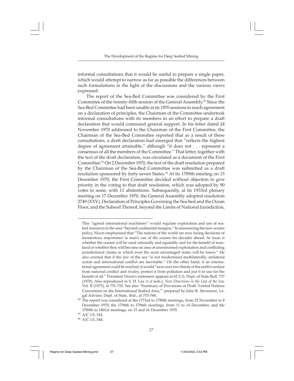informal consultations that it would be useful to prepare a single paper, which would attempt to narrow as far as possible the differences between such formulations in the light of the discussions and the various views expressed.

The report of the Sea-Bed Committee was considered by the First Committee of the twenty-fifth session of the General Assembly.<sup>94</sup> Since the Sea-Bed Committee had been unable at its 1970 sessions to reach agreement on a declaration of principles, the Chairman of the Committee undertook informal consultations with its members in an effort to prepare a draft declaration that would command general support. In his letter dated 24 November 1970 addressed to the Chairman of the First Committee, the Chairman of the Sea-Bed Committee reported that as a result of these consultations, a draft declaration had emerged that "reflects the highest degree of agreement attainable," although "it does not . . . represent a consensus of all the members of the Committee." That letter, together with the text of the draft declaration, was circulated as a document of the First Committee.95 On 2 December 1970, the text of the draft resolution prepared by the Chairman of the Sea-Bed Committee was submitted as a draft resolution sponsored by forty-seven States.<sup>96</sup> At its 1789th meeting on 15 December 1970, the First Committee decided without objection to give priority in the voting to that draft resolution, which was adopted by 90 votes to none, with 11 abstentions. Subsequently, at its 1933rd plenary meeting on 17 December 1970, the General Assembly adopted resolution 2749 (XXV), Declaration of Principles Governing the Sea-bed and the Ocean Floor, and the Subsoil Thereof, beyond the Limits of National Jurisdiction,

This "agreed international machinery" would regulate exploration and use of seabed resources in the area "beyond continental margins." In announcing the new oceans policy, Nixon emphasized that "The nations of the world are now facing decisions of momentous importance to manís use of the oceans for decades ahead. At issue is whether the oceans will be used rationally and equitably and for the benefit of mankind or whether they will become an area of unrestrained exploitation and conflicting jurisdictional claims in which even the most advantaged states will be losers." He also warned that if the law of the sea "is not modernized multilaterally, unilateral action and international conflict are inevitable." On the other hand, if an international agreement could be reached, it would "save over two-thirds of the earth's surface from national conflict and rivalry, protect it from pollution and put it to use for the benefit of all." President Nixon's statement appears at 62 U.S. Dept. of State Bull. 737 (1970). Also reproduced in S. H. Lay *et al* (eds.), *New Directions in the Law of the Sea*, Vol. II (1973), at 751-752. See also "Summary of Provisions of Draft 'United Nations Convention on the International Seabed Area,'" prepared by John R. Stevenson, Legal Adviser, Dept. of State, ibid., at 753-768.

 $^{94}$  The report was considered at the 1773rd to 1789th meetings, from 25 November to 8 December 1970; the 1794th to 1796th meetings, from 11 to 14 December; and the 1789th to 1801st meetings, on 15 and 16 December 1970.

<sup>95</sup> A/C.1/L.542.

<sup>96</sup> A/C.1/L.544.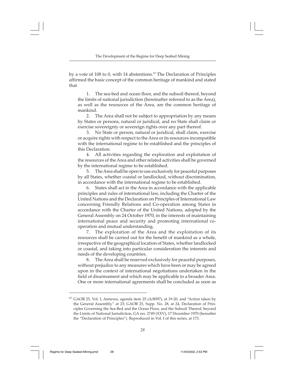by a vote of 108 to 0, with 14 abstentions.<sup>97</sup> The Declaration of Principles affirmed the basic concept of the common heritage of mankind and stated that

1. The sea-bed and ocean floor, and the subsoil thereof, beyond the limits of national jurisdiction (hereinafter referred to as the Area), as well as the resources of the Area, are the common heritage of mankind.

2. The Area shall not be subject to appropriation by any means by States or persons, natural or juridical, and no State shall claim or exercise sovereignty or sovereign rights over any part thereof.

3. No State or person, natural or juridical, shall claim, exercise or acquire rights with respect to the Area or its resources incompatible with the international regime to be established and the principles of this Declaration.

4. All activities regarding the exploration and exploitation of the resources of the Area and other related activities shall be governed by the international regime to be established.

The Area shall be open to use exclusively for peaceful purposes by all States, whether coastal or landlocked, without discrimination, in accordance with the international regime to be established.

6. States shall act in the Area in accordance with the applicable principles and rules of international law, including the Charter of the United Nations and the Declaration on Principles of International Law concerning Friendly Relations and Co-operation among States in accordance with the Charter of the United Nations, adopted by the General Assembly on 24 October 1970, in the interests of maintaining international peace and security and promoting international cooperation and mutual understanding.

7. The exploration of the Area and the exploitation of its resources shall be carried out for the benefit of mankind as a whole, irrespective of the geographical location of States, whether landlocked or coastal, and taking into particular consideration the interests and needs of the developing countries.

8. The Area shall be reserved exclusively for peaceful purposes, without prejudice to any measures which have been or may be agreed upon in the context of international negotiations undertaken in the field of disarmament and which may be applicable to a broader Area. One or more international agreements shall be concluded as soon as

 $97$  GAOR 25, Vol. I, Annexes, agenda item 25 (A/8097), at 19-20, and "Action taken by the General Assembly," at 23; GAOR 25, Supp. No. 28, at 24, Declaration of Principles Governing the Sea-Bed and the Ocean Floor, and the Subsoil Thereof, beyond the Limits of National Jurisdiction, GA res. 2749 (XXV), 17 December 1970 (hereafter the "Declaration of Principles"). Reproduced in Vol. I of this series, at 173.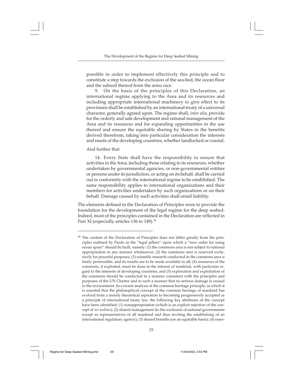possible in order to implement effectively this principle and to constitute a step towards the exclusion of the sea-bed, the ocean floor and the subsoil thereof from the arms race.

9. On the basis of the principles of this Declaration, an international regime applying to the Area and its resources and including appropriate international machinery to give effect to its provisions shall be established by an international treaty of a universal character, generally agreed upon. The regime shall, *inter alia*, provide for the orderly and safe development and rational management of the Area and its resources and for expanding opportunities in the use thereof and ensure the equitable sharing by States in the benefits derived therefrom, taking into particular consideration the interests and needs of the developing countries, whether landlocked or coastal.

## And further that

14. Every State shall have the responsibility to ensure that activities in the Area, including those relating to its resources, whether undertaken by governmental agencies, or non-governmental entities or persons under its jurisdiction, or acting on its behalf, shall be carried out in conformity with the international regime to be established. The same responsibility applies to international organizations and their members for activities undertaken by such organizations or on their behalf. Damage caused by such activities shall entail liability.

The elements defined in the Declaration of Principles were to provide the foundation for the development of the legal regime for the deep seabed. Indeed, most of the principles contained in the Declaration are reflected in Part XI (especially articles 136 to 149).<sup>98</sup>

<sup>&</sup>lt;sup>98</sup> The content of the Declaration of Principles does not differ greatly from the principles outlined by Pardo as the "legal pillars" upon which a "new order for using ocean space" should be built, namely: (1) the commons area is not subject to national appropriation in any manner whatsoever; (2) the commons area is reserved exclusively for peaceful purposes; (3) scientific research conducted in the commons area is freely permissible, and its results are to be made available to all; (4) resources of the commons, if exploited, must be done in the interest of mankind, with particular regard to the interests of developing countries; and (5) exploration and exploitation of the commons should be conducted in a manner consistent with the principles and purposes of the UN Charter and in such a manner that no serious damage is caused to the environment. In a recent analysis of the common heritage principle, in which it is asserted that the philosophical concept of the common heritage of mankind has evolved from a merely theoretical aspiration to becoming progressively accepted as a principle of international treaty law, the following key attributes of the concept have been identified: (1) nonappropriation (which is an explicit rejection of the concept of *res nullius*); (2) shared management (to the exclusion of national governments except as representatives of all mankind and thus inviting the establishing of an international regulatory agency); (3) shared benefits (on an equitable basis); (4) reser-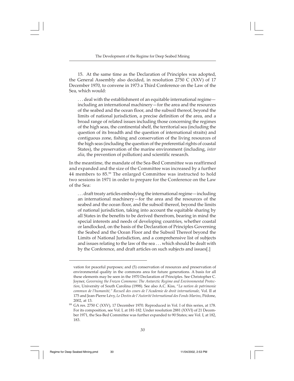15. At the same time as the Declaration of Principles was adopted, the General Assembly also decided, in resolution 2750 C (XXV) of 17 December 1970, to convene in 1973 a Third Conference on the Law of the Sea, which would:

 $\dots$  deal with the establishment of an equitable international regime  $$ including an international machinery—for the area and the resources of the seabed and the ocean floor, and the subsoil thereof, beyond the limits of national jurisdiction, a precise definition of the area, and a broad range of related issues including those concerning the regimes of the high seas, the continental shelf, the territorial sea (including the question of its breadth and the question of international straits) and contiguous zone, fishing and conservation of the living resources of the high seas (including the question of the preferential rights of coastal States), the preservation of the marine environment (including, *inter alia*, the prevention of pollution) and scientific research.

In the meantime, the mandate of the Sea-Bed Committee was reaffirmed and expanded and the size of the Committee was increased by a further 44 members to 85.<sup>99</sup> The enlarged Committee was instructed to hold two sessions in 1971 in order to prepare for the Conference on the Law of the Sea:

 $\dots$  draft treaty articles embodying the international regime  $-$  including an international machinery—for the area and the resources of the seabed and the ocean floor, and the subsoil thereof, beyond the limits of national jurisdiction, taking into account the equitable sharing by all States in the benefits to be derived therefrom, bearing in mind the special interests and needs of developing countries, whether coastal or landlocked, on the basis of the Declaration of Principles Governing the Seabed and the Ocean Floor and the Subsoil Thereof beyond the Limits of National Jurisdiction, and a comprehensive list of subjects and issues relating to the law of the sea . . . which should be dealt with by the Conference, and draft articles on such subjects and issues[.]

vation for peaceful purposes; and (5) conservation of resources and preservation of environmental quality in the commons area for future generations. A basis for all these elements may be seen in the 1970 Declaration of Principles. See Christopher C. Joyner, *Governing the Frozen Commons: The Antarctic Regime and Environmental Protection*, University of South Carolina (1998). See also A.C. Kiss, ì*La notion de patrimonie commun de líhumanitÈ,î Recueil des cours de líAcademie de droit internationale,* Vol. II at 175 and Jean-Pierre Lévy, *Le Destin de l'Autorité International des Fonds Marins*, Pédone, 2002, at 13.

<sup>99</sup> GA res. 2750 C (XXV), 17 December 1970. Reproduced in Vol. I of this series, at 178. For its composition, see Vol. I, at 181-182. Under resolution 2881 (XXVI) of 21 December 1971, the Sea-Bed Committee was further expanded to 90 States; see Vol. I, at 182, 183.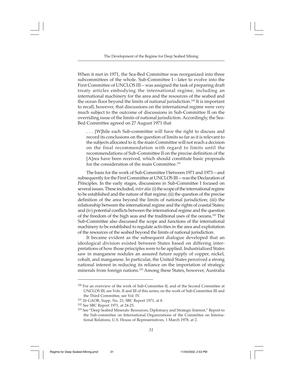When it met in 1971, the Sea-Bed Committee was reorganized into three subcommittees of the whole. Sub-Committee I-later to evolve into the First Committee of UNCLOS III – was assigned the task of preparing draft treaty articles embodying the international regime, including an international machinery for the area and the resources of the seabed and the ocean floor beyond the limits of national jurisdiction.100 It is important to recall, however, that discussions on the international regime were very much subject to the outcome of discussions in Sub-Committee II on the overriding issue of the limits of national jurisdiction. Accordingly, the Sea-Bed Committee agreed on 27 August 1971 that

. . . [W]hile each Sub-committee will have the right to discuss and record its conclusions on the question of limits so far as it is relevant to the subjects allocated to it, the main Committee will not reach a decision on the final recommendation with regard to limits until the recommendations of Sub-Committee II on the precise definition of the [A]rea have been received, which should constitute basic proposals for the consideration of the main Committee.<sup>101</sup>

The basis for the work of Sub-Committee I between 1971 and 1973—and subsequently for the First Committee at UNCLOS III - was the Declaration of Principles. In the early stages, discussions in Sub-Committee I focused on several issues. These included, *inter alia*: (i) the scope of the international regime to be established and the nature of that regime; (ii) the question of the precise definition of the area beyond the limits of national jurisdiction; (iii) the relationship between the international regime and the rights of coastal States; and (iv) potential conflicts between the international regime and the question of the freedom of the high seas and the traditional uses of the oceans.102 The Sub-Committee also discussed the scope and functions of the international machinery to be established to regulate activities in the area and exploitation of the resources of the seabed beyond the limits of national jurisdiction.

It became evident as the subsequent dialogue developed that an ideological division existed between States based on differing interpretations of how those principles were to be applied. Industrialized States saw in manganese nodules an assured future supply of copper, nickel, cobalt, and manganese. In particular, the United States perceived a strong national interest in reducing its reliance on the importation of strategic minerals from foreign nations.103 Among these States, however, Australia

<sup>100</sup> For an overview of the work of Sub-Committee II, and of the Second Committee at UNCLOS III, see Vols. II and III of this series; on the work of Sub-Committee III and the Third Committee, see Vol. IV.

<sup>101 26</sup> GAOR, Supp. No. 21; SBC Report 1971, at 8.

<sup>102</sup> See SBC Report 1971, at 24-25.

 $^{103}$  See "Deep Seabed Minerals: Resources, Diplomacy and Strategic Interest," Report to the Sub-committee on International Organizations of the Committee on International Relations, U.S. House of Representatives, 1 March 1978, at 2.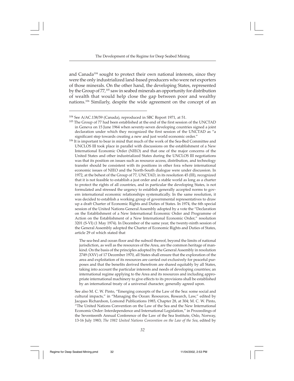and Canada<sup>104</sup> sought to protect their own national interests, since they were the only industrialized land-based producers who were net exporters of those minerals. On the other hand, the developing States, represented by the Group of 77,105 saw in seabed minerals an opportunity for distribution of wealth that would help close the gap between poor and wealthy nations.106 Similarly, despite the wide agreement on the concept of an

The sea-bed and ocean floor and the subsoil thereof, beyond the limits of national jurisdiction, as well as the resources of the Area, are the common heritage of mankind. On the basis of the principles adopted by the General Assembly in resolution 2749 (XXV) of 17 December 1970, all States shall ensure that the exploration of the area and exploitation of its resources are carried out exclusively for peaceful purposes and that the benefits derived therefrom are shared equitably by all States, taking into account the particular interests and needs of developing countries; an international regime applying to the Area and its resources and including appropriate international machinery to give effects to its provisions shall be established by an international treaty of a universal character, generally agreed upon.

See also M. C. W. Pinto, "Emerging concepts of the Law of the Sea: some social and cultural impacts," in "Managing the Ocean: Resources, Research, Law," edited by Jacques Richardson, Lomond Publications 1985, Chapter 28, at 304; M. C. W. Pinto, "The United Nations Convention on the Law of the Sea and the New International Economic Order: Interdependence and International Legislation," in Proceedings of the Seventeenth Annual Conference of the Law of the Sea Institute, Oslo, Norway, 13-16 July 1983; *The 1982 United Nations Convention on the Law of the Sea*, edited by

<sup>104</sup> See A/AC.138/59 (Canada), reproduced in SBC Report 1971, at 51.

<sup>&</sup>lt;sup>105</sup> The Group of 77 had been established at the end of the first session of the UNCTAD in Geneva on 15 June 1964 when seventy-seven developing countries signed a joint declaration under which they recognized the first session of the UNCTAD as "a significant step towards creating a new and just world economic order."

 $^{106}\,$  It is important to bear in mind that much of the work of the Sea-Bed Committee and UNCLOS III took place in parallel with discussions on the establishment of a New International Economic Order (NIEO) and that one of the major concerns of the United States and other industrialized States during the UNCLOS III negotiations was that its position on issues such as resource access, distribution, and technology transfer should be consistent with its positions in other fora where international economic issues of NIEO and the North-South dialogue were under discussion. In 1972, at the behest of the Group of 77, UNCTAD, in its resolution 45 (III), recognized that it is not feasible to establish a just order and a stable world as long as a charter to protect the rights of all countries, and in particular the developing States, is not formulated and stressed the urgency to establish generally accepted norms to govern international economic relationships systematically. In the same resolution, it was decided to establish a working group of governmental representatives to draw up a draft Charter of Economic Rights and Duties of States. In 1974, the 6th special session of the United Nations General Assembly adopted by a vote the "Declaration on the Establishment of a New International Economic Order and Programme of Action on the Establishment of a New International Economic Order," resolution 3201 (S-VI) (1 May 1974). In December of the same year, the twenty-ninth session of the General Assembly adopted the Charter of Economic Rights and Duties of States, article 29 of which stated that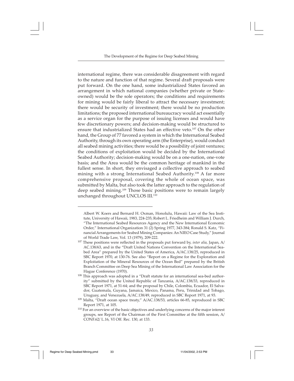international regime, there was considerable disagreement with regard to the nature and function of that regime. Several draft proposals were put forward. On the one hand, some industrialized States favored an arrangement in which national companies (whether private or Stateowned) would be the sole operators; the conditions and requirements for mining would be fairly liberal to attract the necessary investment; there would be security of investment; there would be no production limitations; the proposed international bureaucracy would act essentially as a service organ for the purpose of issuing licenses and would have few discretionary powers; and decision-making would be structured to ensure that industrialized States had an effective veto.<sup>107</sup> On the other hand, the Group of 77 favored a system in which the International Seabed Authority, through its own operating arm (the Enterprise), would conduct all seabed mining activities; there would be a possibility of joint ventures; the conditions of exploitation would be decided by the International Seabed Authority; decision-making would be on a one-nation, one-vote basis; and the Area would be the common heritage of mankind in the fullest sense. In short, they envisaged a collective approach to seabed mining with a strong International Seabed Authority.108 A far more comprehensive proposal, covering the whole of ocean space, was submitted by Malta, but also took the latter approach to the regulation of deep seabed mining.109 Those basic positions were to remain largely unchanged throughout UNCLOS III.110

Albert W. Koers and Bernard H. Oxman, Honolulu, Hawaii: Law of the Sea Institute, University of Hawaii, 1983, 224-235; Robert L. Friedheim and William J. Durch, "The International Seabed Resources Agency and the New International Economic Order," International Organization 31 (2) Spring 1977, 343-384; Ronald S. Katz, "Financial Arrangements for Seabed Mining Companies: An NIEO Case Study," Journal of World Trade Law, Vol. 13 (1979), 209-222.

<sup>107</sup> These positions were reflected in the proposals put forward by, *inter alia*, Japan, A/ AC.138/63, and in the "Draft United Nations Convention on the International Seabed Area<sup>"</sup> prepared by the United States of America, A/AC.138/25, reproduced in SBC Report 1970, at 130-76. See also "Report on a Regime for the Exploration and Exploitation of the Mineral Resources of the Ocean Bed" prepared by the British Branch Committee on Deep Sea Mining of the International Law Association for the Hague Conference (1970).

 $108$  This approach was adopted in a "Draft statute for an international sea-bed authority" submitted by the United Republic of Tanzania, A/AC.138/33, reproduced in SBC Report 1971, at 51-64; and the proposal by Chile, Colombia, Ecuador, El Salvador, Guatemala, Guyana, Jamaica, Mexico, Panama, Peru, Trinidad and Tobago, Uruguay, and Venezuela, A/AC.138/49, reproduced in SBC Report 1971, at 93.

 $109$  Malta, "Draft ocean space treaty," A/AC.138/53, articles 66-85, reproduced in SBC Report 1971, at 105.

<sup>110</sup> For an overview of the basic objectives and underlying concerns of the major interest groups, see Report of the Chairman of the First Committee at the fifth session, A/ CONF.62/ L.16, VI Off. Rec. 130, at 133.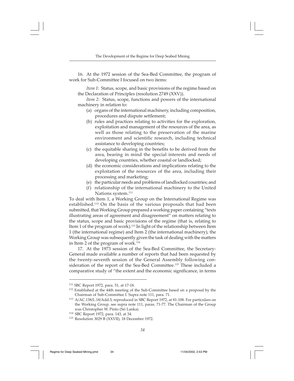16. At the 1972 session of the Sea-Bed Committee, the program of work for Sub-Committee I focused on two items:

*Item 1*: Status, scope, and basic provisions of the regime based on the Declaration of Principles (resolution 2749 (XXV)).

*Item 2*: Status, scope, functions and powers of the international machinery in relation to:

- (a) organs of the international machinery, including composition, procedures and dispute settlement;
- (b) rules and practices relating to activities for the exploration, exploitation and management of the resources of the area, as well as those relating to the preservation of the marine environment and scientific research, including technical assistance to developing countries;
- (c) the equitable sharing in the benefits to be derived from the area, bearing in mind the special interests and needs of developing countries, whether coastal or landlocked;
- (d) the economic considerations and implications relating to the exploitation of the resources of the area, including their processing and marketing;
- (e) the particular needs and problems of landlocked countries; and
- (f) relationship of the international machinery to the United Nations system.<sup>111</sup>

To deal with Item 1, a Working Group on the International Regime was established.112 On the basis of the various proposals that had been submitted, that Working Group prepared a working paper containing "texts illustrating areas of agreement and disagreement" on matters relating to the status, scope and basic provisions of the regime (that is, relating to Item 1 of the program of work).<sup>113</sup> In light of the relationship between Item 1 (the international regime) and Item 2 (the international machinery), the Working Group was subsequently given the task of dealing with the matters in Item 2 of the program of work.<sup>114</sup>

17. At the 1973 session of the Sea-Bed Committee, the Secretary-General made available a number of reports that had been requested by the twenty-seventh session of the General Assembly following consideration of the report of the Sea-Bed Committee.115 These included a comparative study of "the extent and the economic significance, in terms

<sup>111</sup> SBC Report 1972, para. 51, at 17-18.

<sup>112</sup> Established at the 44th meeting of the Sub-Committee based on a proposal by the Chairman of Sub-Committee I. Supra note 111, para. 71.

<sup>113</sup> A/AC.138/L.18/Add.3, reproduced in SBC Report 1972, at 81-108. For particulars on the Working Group, see supra note 111, paras. 71-77. The Chairman of the Group was Christopher W. Pinto (Sri Lanka).

<sup>114</sup> SBC Report 1972, para. 143, at 34.

<sup>115</sup> Resolution 3029 B (XXVII), 18 December 1972.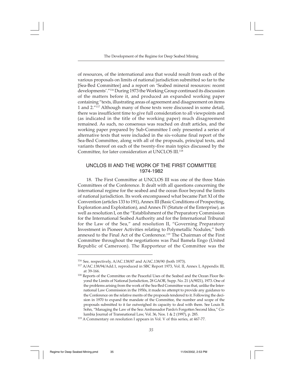of resources, of the international area that would result from each of the various proposals on limits of national jurisdiction submitted so far to the [Sea-Bed Committee] and a report on 'Seabed mineral resources: recent developments'."<sup>116</sup> During 1973 the Working Group continued its discussion of the matters before it, and produced an expanded working paper containing "texts, illustrating areas of agreement and disagreement on items 1 and 2."<sup>117</sup> Although many of those texts were discussed in some detail, there was insufficient time to give full consideration to all viewpoints and (as indicated in the title of the working paper) much disagreement remained. As such, no consensus was reached on draft articles, and the working paper prepared by Sub-Committee I only presented a series of alternative texts that were included in the six-volume final report of the Sea-Bed Committee, along with all of the proposals, principal texts, and variants thereof on each of the twenty-five main topics discussed by the Committee, for later consideration at UNCLOS III.118

## UNCLOS III AND THE WORK OF THE FIRST COMMITTEE 1974-1982

18. The First Committee at UNCLOS III was one of the three Main Committees of the Conference. It dealt with all questions concerning the international regime for the seabed and the ocean floor beyond the limits of national jurisdiction. Its work encompassed what became Part XI of the Convention (articles 133 to 191), Annex III (Basic Conditions of Prospecting, Exploration and Exploitation), and Annex IV (Statute of the Enterprise), as well as resolution I, on the "Establishment of the Preparatory Commission for the International Seabed Authority and for the International Tribunal for the Law of the Sea," and resolution II, "Governing Preparatory Investment in Pioneer Activities relating to Polymetallic Nodules," both annexed to the Final Act of the Conference.119 The Chairman of the First Committee throughout the negotiations was Paul Bamela Engo (United Republic of Cameroon). The Rapporteur of the Committee was the

<sup>116</sup> See, respectively, A/AC.138/87 and A/AC.138/90 (both 1973).

<sup>117</sup> A/AC.138/94/Add.1, reproduced in SBC Report 1973, Vol. II, Annex I, Appendix III, at 39-166.

<sup>118</sup> Reports of the Committee on the Peaceful Uses of the Seabed and the Ocean Floor Beyond the Limits of National Jurisdiction, 28 GAOR, Supp. No. 21 (A/9021), 1973. One of the problems arising from the work of the Sea-Bed Committee was that, unlike the International Law Commission in the 1950s, it made no attempt to provide any guidance to the Conference on the relative merits of the proposals tendered to it. Following the decision in 1970 to expand the mandate of the Committee, the number and scope of the proposals submitted to it far outweighed its capacity to deal with them. See Louis B. Sohn, "Managing the Law of the Sea: Ambassador Pardo's Forgotten Second Idea," Columbia Journal of Transnational Law, Vol. 36, Nos. 1 & 2 (1997), p. 285.

<sup>119</sup> A Commentary on resolution I appears in Vol. V of this series, at 467-77.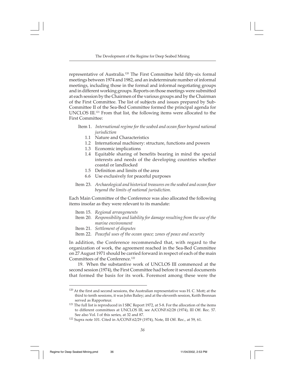representative of Australia.120 The First Committee held fifty-six formal meetings between 1974 and 1982, and an indeterminate number of informal meetings, including those in the formal and informal negotiating groups and in different working groups. Reports on those meetings were submitted at each session by the Chairmen of the various groups and by the Chairman of the First Committee. The list of subjects and issues prepared by Sub-Committee II of the Sea-Bed Committee formed the principal agenda for UNCLOS III.<sup>121</sup> From that list, the following items were allocated to the First Committee:

- Item 1. *International regime for the seabed and ocean floor beyond national jurisdiction*
	- 1.1 Nature and Characteristics
	- 1.2 International machinery: structure, functions and powers
	- 1.3 Economic implications
	- 1.4 Equitable sharing of benefits bearing in mind the special interests and needs of the developing countries whether coastal or landlocked
	- 1.5 Definition and limits of the area
	- 6.6 Use exclusively for peaceful purposes
- Item 23. *Archaeological and historical treasures on the seabed and ocean floor beyond the limits of national jurisdiction.*

Each Main Committee of the Conference was also allocated the following items insofar as they were relevant to its mandate:

- Item 15. *Regional arrangements*
- Item 20. *Responsibility and liability for damage resulting from the use of the marine environment*
- Item 21. *Settlement of disputes*
- Item 22. *Peaceful uses of the ocean space; zones of peace and securit*y

In addition, the Conference recommended that, with regard to the organization of work, the agreement reached in the Sea-Bed Committee on 27 August 1971 should be carried forward in respect of each of the main Committees of the Conference.122

19. When the substantive work of UNCLOS III commenced at the second session (1974), the First Committee had before it several documents that formed the basis for its work. Foremost among these were the

<sup>&</sup>lt;sup>120</sup> At the first and second sessions, the Australian representative was H. C. Mott; at the third to tenth sessions, it was John Bailey; and at the eleventh session, Keith Brennan served as Rapporteur.

<sup>&</sup>lt;sup>121</sup> The full list is reproduced in I SBC Report 1972, at 5-8. For the allocation of the items to different committees at UNCLOS III, see A/CONF.62/28 (1974), III Off. Rec. 57. See also Vol. I of this series, at 32 and 87.

<sup>122</sup> Supra note 101. Cited in A/CONF.62/29 (1974), Note, III Off. Rec., at 59, 61.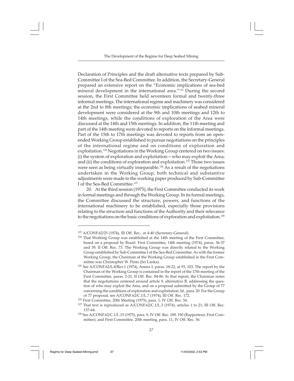Declaration of Principles and the draft alternative texts prepared by Sub-Committee I of the Sea-Bed Committee. In addition, the Secretary-General prepared an extensive report on the "Economic implications of sea-bed mineral development in the international area."<sup>123</sup> During the second session, the First Committee held seventeen formal and twenty-three informal meetings. The international regime and machinery was considered at the 2nd to 8th meetings; the economic implications of seabed mineral development were considered at the 9th and 10th meetings and 12th to 14th meetings, while the conditions of exploration of the Area were discussed at the 14th and 15th meetings. In addition, the 11th meeting and part of the 14th meeting were devoted to reports on the informal meetings. Part of the 15th to 17th meetings was devoted to reports from an openended Working Group established to pursue negotiations on the principles of the international regime and on conditions of exploration and exploitation.<sup>124</sup> Negotiations in the Working Group centered on two issues:  $(i)$  the system of exploration and exploitation — who may exploit the Area; and (ii) the conditions of exploration and exploitation.<sup>125</sup> Those two issues were seen as being virtually inseparable.126 As a result of the negotiations undertaken in the Working Group, both technical and substantive adjustments were made to the working paper produced by Sub-Committee I of the Sea-Bed Committee.127

20. At the third session (1975), the First Committee conducted its work in formal meetings and through the Working Group. In its formal meetings, the Committee discussed the structure, powers, and functions of the international machinery to be established, especially those provisions relating to the structure and functions of the Authority and their relevance to the negotiations on the basic conditions of exploration and exploitation.<sup>128</sup>

<sup>123</sup> A/CONF.62/25 (1974), III Off. Rec., at 4-40 (Secretary-General).

<sup>124</sup> That Working Group was established at the 14th meeting of the First Committee, based on a proposal by Brazil. First Committee, 14th meeting (1974), paras. 36-37 and 39, II Off. Rec. 73. The Working Group was directly related to the Working Group established by Sub-Committee I of the Sea-Bed Committee. As with the former Working Group, the Chairman of the Working Group established in the First Committee was Christopher W. Pinto (Sri Lanka).

<sup>125</sup> See A/CONF.62/L.8/Rev.1 (1974), Annex I, paras. 18-22, at 93, 103. The report by the Chairman of the Working Group is contained in the report of the 17th meeting of the First Committee, paras. 2-21, II Off. Rec. 84-86. In that report, the Chairman notes that the negotiations centered around article 9, alternative B, addressing the question of who may exploit the Area, and on a proposal submitted by the Group of 77 concerning the conditions of exploration and exploitation. Id., para. 20. For the Group of 77 proposal, see A/CONF.62/C.1/L.7 (1974), III Off. Rec. 172.

<sup>126</sup> First Committee, 20th Meeting (1975), para. 1, IV Off. Rec. 54.

 $^{127}$  That text is reproduced as A/CONF.62/C.1/L.3 (1974), articles 1 to 21, III Off. Rec. 157-64.

<sup>128</sup> See A/CONF.62/C.1/L.15 (1975), para. 9, IV Off. Rec. 189, 190 (Rapporteur, First Committee); and First Committee, 20th meeting, para. 11, IV Off. Rec. 56.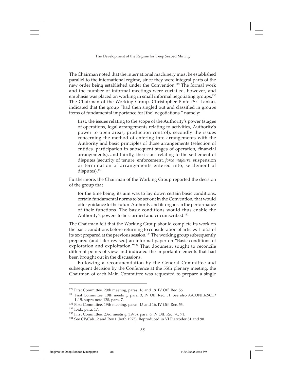The Chairman noted that the international machinery must be established parallel to the international regime, since they were integral parts of the new order being established under the Convention.129 The formal work and the number of informal meetings were curtailed, however, and emphasis was placed on working in small informal negotiating groups.130 The Chairman of the Working Group, Christopher Pinto (Sri Lanka), indicated that the group "had then singled out and classified in groups items of fundamental importance for [the] negotiations," namely:

first, the issues relating to the scope of the Authority's power (stages of operations, legal arrangements relating to activities, Authorityís power to open areas, production control), secondly the issues concerning the method of entering into arrangements with the Authority and basic principles of those arrangements (selection of entities, participation in subsequent stages of operation, financial arrangements), and thirdly, the issues relating to the settlement of disputes (security of tenure, enforcement, *force majeure*, suspension or termination of arrangements entered into, settlement of disputes).<sup>131</sup>

Furthermore, the Chairman of the Working Group reported the decision of the group that

for the time being, its aim was to lay down certain basic conditions, certain fundamental norms to be set out in the Convention, that would offer guidance to the future Authority and its organs in the performance of their functions. The basic conditions would thus enable the Authority's powers to be clarified and circumscribed.<sup>132</sup>

The Chairman felt that the Working Group should complete its work on the basic conditions before returning to consideration of articles 1 to 21 of its text prepared at the previous session.<sup>133</sup> The working group subsequently prepared (and later revised) an informal paper on "Basic conditions of exploration and exploitation. $1134}$  That document sought to reconcile different points of view and indicated the important elements that had been brought out in the discussions.

Following a recommendation by the General Committee and subsequent decision by the Conference at the 55th plenary meeting, the Chairman of each Main Committee was requested to prepare a single

132 Ibid., para. 17.

<sup>&</sup>lt;sup>129</sup> First Committee, 20th meeting, paras. 16 and 18, IV Off. Rec. 56.

<sup>130</sup> First Committee, 19th meeting, para. 3, IV Off. Rec. 51. See also A/CONF.62/C.1/ L.15, supra note 128, para. 7.

<sup>131</sup> First Committee, 19th meeting, paras. 15 and 16, IV Off. Rec. 53.

<sup>133</sup> First Committee, 23rd meeting (1975), para. 6, IV Off. Rec. 70, 71.

<sup>&</sup>lt;sup>134</sup> See CP/Cab.12 and Rev.1 (both 1975). Reproduced in VI Platzöder 81 and 90.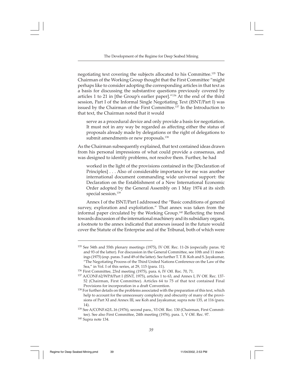negotiating text covering the subjects allocated to his Committee.135 The Chairman of the Working Group thought that the First Committee "might" perhaps like to consider adopting the corresponding articles in that text as a basis for discussing the substantive questions previously covered by articles 1 to 21 in [the Group's earlier paper]."<sup>136</sup> At the end of the third session, Part I of the Informal Single Negotiating Text (ISNT/Part I) was issued by the Chairman of the First Committee.137 In the Introduction to that text, the Chairman noted that it would

serve as a procedural device and only provide a basis for negotiation. It must not in any way be regarded as affecting either the status of proposals already made by delegations or the right of delegations to submit amendments or new proposals.<sup>138</sup>

As the Chairman subsequently explained, that text contained ideas drawn from his personal impressions of what could provide a consensus, and was designed to identify problems, not resolve them. Further, he had

worked in the light of the provisions contained in the [Declaration of Principles] . . . Also of considerable importance for me was another international document commanding wide universal support: the Declaration on the Establishment of a New International Economic Order adopted by the General Assembly on 1 May 1974 at its sixth special session.<sup>139</sup>

Annex I of the ISNT/Part I addressed the "Basic conditions of general survey, exploration and exploitation." That annex was taken from the informal paper circulated by the Working Group.140 Reflecting the trend towards discussion of the international machinery and its subsidiary organs, a footnote to the annex indicated that annexes issued in the future would cover the Statute of the Enterprise and of the Tribunal, both of which were

<sup>135</sup> See 54th and 55th plenary meetings (1975), IV Off. Rec. 11-26 (especially paras. 92 and 93 of the latter). For discussion in the General Committee, see 10th and 11 meetings (1975) (esp. paras. 5 and 49 of the latter). See further T. T. B. Koh and S. Jayakumar, "The Negotiating Process of the Third United Nations Conference on the Law of the Sea," in Vol. I of this series, at 29, 115 (para. 11).

<sup>136</sup> First Committee, 23rd meeting (1975), para. 6, IV Off. Rec. 70, 71.

<sup>137</sup> A/CONF.62/WP.8/Part I (ISNT, 1975), articles 1 to 63, and Annex I, IV Off. Rec. 137- 52 (Chairman, First Committee). Articles 64 to 75 of that text contained Final Provisions for incorporation in a draft Convention.

<sup>&</sup>lt;sup>138</sup> For further details on the problems associated with the preparation of this text, which help to account for the unnecessary complexity and obscurity of many of the provisions of Part XI and Annex III, see Koh and Jayakumar, supra note 135, at 116 (para. 14).

<sup>139</sup> See A/CONF.62/L.16 (1976), second para., VI Off. Rec. 130 (Chairman, First Committee). See also First Committee, 24th meeting (1976), para. 1, V Off. Rec. 97. 140 Supra note 134.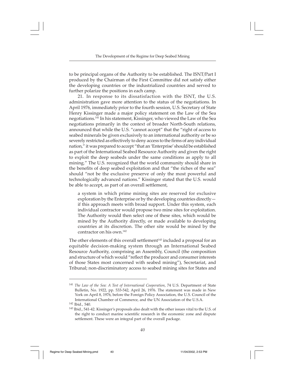to be principal organs of the Authority to be established. The ISNT/Part I produced by the Chairman of the First Committee did not satisfy either the developing countries or the industrialized countries and served to further polarize the positions in each camp.

21. In response to its dissatisfaction with the ISNT, the U.S. administration gave more attention to the status of the negotiations. In April 1976, immediately prior to the fourth session, U.S. Secretary of State Henry Kissinger made a major policy statement on the Law of the Sea negotiations.141 In his statement, Kissinger, who viewed the Law of the Sea negotiations primarily in the context of broader North-South relations, announced that while the U.S. "cannot accept" that the "right of access to seabed minerals be given exclusively to an international authority or be so severely restricted as effectively to deny access to the firms of any individual nation," it was prepared to accept "that an 'Enterprise' should be established as part of the International Seabed Resource Authority and given the right to exploit the deep seabeds under the same conditions as apply to all mining." The U.S. recognized that the world community should share in the benefits of deep seabed exploitation and that "the riches of the sea" should "not be the exclusive preserve of only the most powerful and technologically advanced nations." Kissinger stated that the U.S. would be able to accept, as part of an overall settlement,

a system in which prime mining sites are reserved for exclusive exploration by the Enterprise or by the developing countries directly  $$ if this approach meets with broad support. Under this system, each individual contractor would propose two mine sites for exploitation. The Authority would then select one of these sites, which would be mined by the Authority directly, or made available to developing countries at its discretion. The other site would be mined by the contractor on his own.142

The other elements of this overall settlement<sup>143</sup> included a proposal for an equitable decision-making system through an International Seabed Resource Authority, comprising an Assembly, Council (the composition and structure of which would "reflect the producer and consumer interests of those States most concerned with seabed mining"), Secretariat, and Tribunal; non-discriminatory access to seabed mining sites for States and

<sup>141</sup> *The Law of the Sea: A Test of International Cooperation*, 74 U.S. Department of State Bulletin, No. 1922, pp. 533-542, April 26, 1976. The statement was made in New York on April 8, 1976, before the Foreign Policy Association, the U.S. Council of the International Chamber of Commerce, and the UN Association of the U.S.A.

<sup>142</sup> Ibid., 540.

<sup>143</sup> Ibid., 541-42. Kissinger's proposals also dealt with the other issues vital to the U.S. of the right to conduct marine scientific research in the economic zone and dispute settlement. These were an integral part of the overall package.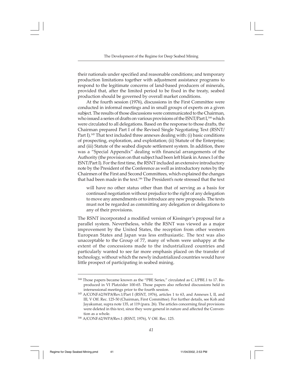their nationals under specified and reasonable conditions; and temporary production limitations together with adjustment assistance programs to respond to the legitimate concerns of land-based producers of minerals, provided that, after the limited period to be fixed in the treaty, seabed production should be governed by overall market conditions.

At the fourth session (1976), discussions in the First Committee were conducted in informal meetings and in small groups of experts on a given subject. The results of those discussions were communicated to the Chairman, who issued a series of drafts on various provisions of the ISNT/Part I,<sup>144</sup> which were circulated to all delegations. Based on the response to those drafts, the Chairman prepared Part I of the Revised Single Negotiating Text (RSNT/ Part I).<sup>145</sup> That text included three annexes dealing with: (i) basic conditions of prospecting, exploration, and exploitation; (ii) Statute of the Enterprise; and (iii) Statute of the seabed dispute settlement system. In addition, there was a "Special Appendix" dealing with financial arrangements of the Authority (the provision on that subject had been left blank in Annex I of the ISNT/Part I). For the first time, the RSNT included an extensive introductory note by the President of the Conference as well as introductory notes by the Chairmen of the First and Second Committees, which explained the changes that had been made in the text.<sup>146</sup> The President's note stressed that the text

will have no other status other than that of serving as a basis for continued negotiation without prejudice to the right of any delegation to move any amendments or to introduce any new proposals. The texts must not be regarded as committing any delegation or delegations to any of their provisions.

The RSNT incorporated a modified version of Kissinger's proposal for a parallel system. Nevertheless, while the RSNT was viewed as a major improvement by the United States, the reception from other western European States and Japan was less enthusiastic. The text was also unacceptable to the Group of 77, many of whom were unhappy at the extent of the concessions made to the industrialized countries and particularly wanted to see far more emphasis placed on the transfer of technology, without which the newly industrialized countries would have little prospect of participating in seabed mining.

<sup>&</sup>lt;sup>144</sup> Those papers became known as the "PBE Series," circulated as C.1/PBE.1 to 17. Reproduced in VI Platzöder 100-65. Those papers also reflected discussions held in intersessional meetings prior to the fourth session.

<sup>145</sup> A/CONF.62/WP.8/Rev.1/Part I (RSNT, 1976), articles 1 to 63, and Annexes I, II, and III, V Off. Rec. 125-50 (Chairman, First Committee). For further details, see Koh and Jayakumar, supra note 135, at 119 (para. 26). The articles concerning final provisions were deleted in this text, since they were general in nature and affected the Convention as a whole.

<sup>146</sup> A/CONF.62/WP.8/Rev.1 (RSNT, 1976), V Off. Rec. 125.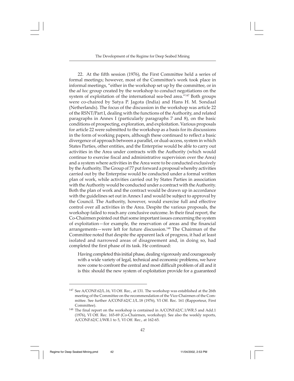22. At the fifth session (1976), the First Committee held a series of formal meetings; however, most of the Committeeís work took place in informal meetings, "either in the workshop set up by the committee, or in the *ad hoc* group created by the workshop to conduct negotiations on the system of exploitation of the international sea-bed area.<sup>"147</sup> Both groups were co-chaired by Satya P. Jagota (India) and Hans H. M. Sondaal (Netherlands). The focus of the discussion in the workshop was article 22 of the RSNT/Part I, dealing with the functions of the Authority, and related paragraphs in Annex I (particularly paragraphs 7 and 8), on the basic conditions of prospecting, exploration, and exploitation. Various proposals for article 22 were submitted to the workshop as a basis for its discussions in the form of working papers, although these continued to reflect a basic divergence of approach between a parallel, or dual-access, system in which States Parties, other entities, and the Enterprise would be able to carry out activities in the Area under contracts with the Authority (which would continue to exercise fiscal and administrative supervision over the Area) and a system where activities in the Area were to be conducted exclusively by the Authority. The Group of 77 put forward a proposal whereby activities carried out by the Enterprise would be conducted under a formal written plan of work, while activities carried out by States Parties in association with the Authority would be conducted under a contract with the Authority. Both the plan of work and the contract would be drawn up in accordance with the guidelines set out in Annex I and would be subject to approval by the Council. The Authority, however, would exercise full and effective control over all activities in the Area. Despite the various proposals, the workshop failed to reach any conclusive outcome. In their final report, the Co-Chairmen pointed out that some important issues concerning the system of exploitation–for example, the reservation of areas and the financial arrangements-were left for future discussion.<sup>148</sup> The Chairman of the Committee noted that despite the apparent lack of progress, it had at least isolated and narrowed areas of disagreement and, in doing so, had completed the first phase of its task. He continued:

Having completed this initial phase, dealing vigorously and courageously with a wide variety of legal, technical and economic problems, we have now come to confront the central and most difficult problem of all and it is this: should the new system of exploitation provide for a guaranteed

<sup>&</sup>lt;sup>147</sup> See A/CONF.62/L.16, VI Off. Rec., at 131. The workshop was established at the 26th meeting of the Committee on the recommendation of the Vice-Chairmen of the Committee. See further A/CONF.62/C.1/L.18 (1976), VI Off. Rec. 161 (Rapporteur, First Committee).

<sup>148</sup> The final report on the workshop is contained in A/CONF.62/C.1/WR.5 and Add.1 (1976), VI Off. Rec. 165-69 (Co-Chairmen, workshop). See also the weekly reports, A/CONF.62/C.1/WR.1 to 5, VI Off. Rec., at 162-65.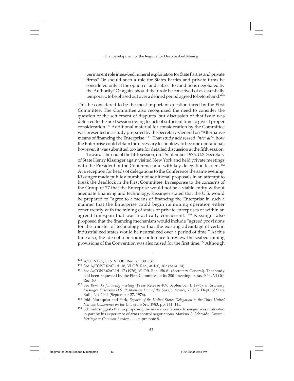permanent role in sea-bed mineral exploitation for State Parties and private firms? Or should such a role for States Parties and private firms be considered only at the option of and subject to conditions negotiated by the Authority? Or again, should their role be conceived of as essentially temporary, to be phased out over a defined period agreed to beforehand?149

This he considered to be the most important question faced by the First Committee. The Committee also recognized the need to consider the question of the settlement of disputes, but discussion of that issue was deferred to the next session owing to lack of sufficient time to give it proper consideration.150 Additional material for consideration by the Committee was presented in a study prepared by the Secretary-General on "Alternative" means of financing the Enterprise.<sup>"151</sup> That study addressed, *inter alia*, how the Enterprise could obtain the necessary technology to become operational; however, it was submitted too late for detailed discussion at the fifth session.

Towards the end of the fifth session, on 1 September 1976, U.S. Secretary of State Henry Kissinger again visited New York and held private meetings with the President of the Conference and with key delegation leaders.<sup>152</sup> At a reception for heads of delegations to the Conference the same evening, Kissinger made public a number of additional proposals in an attempt to break the deadlock in the First Committee. In response to the concerns of the Group of 77 that the Enterprise would not be a viable entity without adequate financing and technology, Kissinger stated that the U.S. would be prepared to "agree to a means of financing the Enterprise in such a manner that the Enterprise could begin its mining operation either concurrently with the mining of states or private enterprises or within an agreed timespan that was practically concurrent.<sup>"153</sup> Kissinger also proposed that the financing mechanism would include "agreed provisions" for the transfer of technology so that the existing advantage of certain industrialized states would be neutralized over a period of time." At this time also, the idea of a periodic conference to review the seabed mining provisions of the Convention was also raised for the first time.154 Although

<sup>149</sup> A/CONF.62/L.16, VI Off. Rec., at 130, 132.

<sup>150</sup> See A/CONF.62/C.1/L.18, VI Off. Rec., at 160, 162 (para. 14).

<sup>151</sup> See A/CONF.62/C.1/L.17 (1976), VI Off. Rec. 156-61 (Secretary-General). That study had been requested by the First Committee at its 28th meeting, paras. 9-14, VI Off. Rec. 60.

<sup>152</sup> See *Remarks following meeting* (Press Release 409, September 1, 1976), in *Secretary Kissinger Discusses U.S. Position on Law of the Sea Conference*, 75 U.S. Dept. of State Bull., No. 1944 (September 27, 1976).

<sup>153</sup> Ibid. Nordquist and Park, *Reports of the United States Delegation to the Third United Nations Conference on the Law of the Sea*, 1983, pp. 141, 145.

<sup>154</sup> Schmidt suggests that in proposing the review conference Kissinger was motivated in part by his experience of arms control negotiations. Markus G. Schmidt, *Common Heritage or Common Burden* . . . , supra note 8.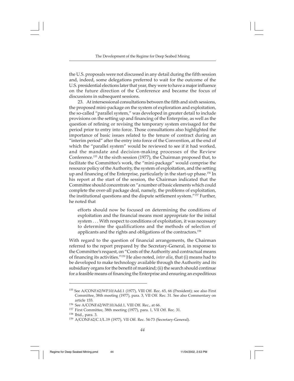the U.S. proposals were not discussed in any detail during the fifth session and, indeed, some delegations preferred to wait for the outcome of the U.S. presidential elections later that year, they were to have a major influence on the future direction of the Conference and became the focus of discussions in subsequent sessions.

23. At intersessional consultations between the fifth and sixth sessions, the proposed mini-package on the system of exploration and exploitation, the so-called "parallel system," was developed in greater detail to include provisions on the setting up and financing of the Enterprise, as well as the question of refining or revising the temporary system envisaged for the period prior to entry into force. Those consultations also highlighted the importance of basic issues related to the tenure of contract during an "interim period" after the entry into force of the Convention, at the end of which the "parallel system" would be reviewed to see if it had worked, and the mandate and decision-making processes of the Review Conference.155 At the sixth session (1977), the Chairman proposed that, to facilitate the Committee's work, the "mini-package" would comprise the resource policy of the Authority, the system of exploitation, and the setting up and financing of the Enterprise, particularly in the start-up phase.156 In his report at the start of the session, the Chairman indicated that the Committee should concentrate on "a number of basic elements which could complete the over-all package deal, namely, the problems of exploitation, the institutional questions and the dispute settlement system."<sup>157</sup> Further, he noted that

efforts should now be focused on determining the conditions of exploitation and the financial means most appropriate for the initial system . . . With respect to conditions of exploitation, it was necessary to determine the qualifications and the methods of selection of applicants and the rights and obligations of the contractors.158

With regard to the question of financial arrangements, the Chairman referred to the report prepared by the Secretary-General, in response to the Committee's request, on "Costs of the Authority and contractual means of financing its activities.<sup>"159</sup> He also noted, *inter alia*, that (i) means had to be developed to make technology available through the Authority and its subsidiary organs for the benefit of mankind; (ii) the search should continue for a feasible means of financing the Enterprise and ensuring an expeditious

<sup>155</sup> See A/CONF.62/WP.10/Add.1 (1977), VIII Off. Rec. 65, 66 (President); see also First Committee, 38th meeting (1977), para. 3, VII Off. Rec. 31. See also Commentary on article 155.

<sup>156</sup> See A/CONF.62/WP.10/Add.1, VIII Off. Rec., at 66.

<sup>157</sup> First Committee, 38th meeting (1977), para. 1, VII Off. Rec. 31.

<sup>158</sup> Ibid., para. 3.

<sup>159</sup> A/CONF.62/C.1/L.19 (1977), VII Off. Rec. 54-73 (Secretary-General).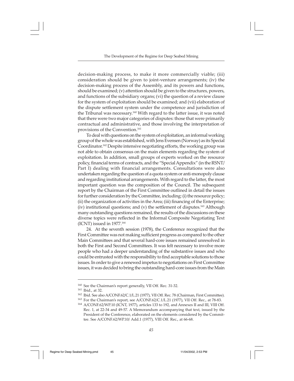decision-making process, to make it more commercially viable; (iii) consideration should be given to joint-venture arrangements; (iv) the decision-making process of the Assembly, and its powers and functions, should be examined; (v) attention should be given to the structures, powers, and functions of the subsidiary organs; (vi) the question of a review clause for the system of exploitation should be examined; and (vii) elaboration of the dispute settlement system under the competence and jurisdiction of the Tribunal was necessary.<sup>160</sup> With regard to the latter issue, it was noted that there were two major categories of disputes: those that were primarily contractual and administrative, and those involving the interpretation of provisions of the Convention.<sup>161</sup>

To deal with questions on the system of exploitation, an informal working group of the whole was established, with Jens Evensen (Norway) as its Special Coordinator.162 Despite intensive negotiating efforts, the working group was not able to obtain consensus on the main elements regarding the system of exploitation. In addition, small groups of experts worked on the resource policy, financial terms of contracts, and the "Special Appendix" (in the RSNT/ Part I) dealing with financial arrangements. Consultations were also undertaken regarding the question of a quota system or anti-monopoly clause and regarding institutional arrangements. With regard to the latter, the most important question was the composition of the Council. The subsequent report by the Chairman of the First Committee outlined in detail the issues for further consideration by the Committee, including: (i) the resource policy; (ii) the organization of activities in the Area; (iii) financing of the Enterprise; (iv) institutional questions; and (v) the settlement of disputes.163 Although many outstanding questions remained, the results of the discussions on these diverse topics were reflected in the Informal Composite Negotiating Text (ICNT) issued in 1977.164

24. At the seventh session (1978), the Conference recognized that the First Committee was not making sufficient progress as compared to the other Main Committees and that several hard-core issues remained unresolved in both the First and Second Committees. It was felt necessary to involve more people who had a deeper understanding of the substantive issues and who could be entrusted with the responsibility to find acceptable solutions to those issues. In order to give a renewed impetus to negotiations on First Committee issues, it was decided to bring the outstanding hard-core issues from the Main

<sup>&</sup>lt;sup>160</sup> See the Chairman's report generally, VII Off. Rec. 31-32.

<sup>161</sup> Ibid., at 32.

<sup>162</sup> Ibid. See also A/CONF.62/C.1/L.21 (1977), VII Off. Rec. 78 (Chairman, First Committee).

<sup>163</sup> For the Chairmanís report, see A/CONF.62/C.1/L.21 (1977), VII Off. Rec., at 78-83. <sup>164</sup> A/CONF.62/WP.10 (ICNT, 1977), articles 133 to 192, and Annexes II and III, VIII Off. Rec. 1, at 22-34 and 49-57. A Memorandum accompanying that text, issued by the President of the Conference, elaborated on the elements considered by the Committee. See A/CONF.62/WP.10/ Add.1 (1977), VIII Off. Rec., at 66-68.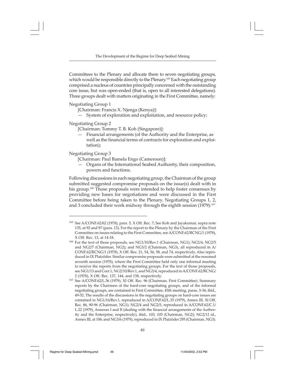Committees to the Plenary and allocate them to seven negotiating groups, which would be responsible directly to the Plenary.<sup>165</sup> Each negotiating group comprised a nucleus of countries principally concerned with the outstanding core issue, but was open-ended (that is, open to all interested delegations). Three groups dealt with matters originating in the First Committee, namely:

Negotiating Group 1

- [Chairman: Francis X. Njenga (Kenya)]:
- $-$  System of exploration and exploitation, and resource policy;

Negotiating Group 2

[Chairman: Tommy T. B. Koh (Singapore)]:

 $-$  Financial arrangements (of the Authority and the Enterprise, as well as the financial terms of contracts for exploration and exploitation);

Negotiating Group 3

- [Chairman: Paul Bamela Engo (Cameroon)]:
- $-$  Organs of the International Seabed Authority, their composition, powers and functions.

Following discussions in each negotiating group, the Chairman of the group submitted suggested compromise proposals on the issue(s) dealt with in his group.<sup>166</sup> Those proposals were intended to help foster consensus by providing new bases for negotiations and were discussed in the First Committee before being taken to the Plenary. Negotiating Groups 1, 2, and 3 concluded their work midway through the eighth session (1979).<sup>167</sup>

<sup>165</sup> See A/CONF.62/62 (1978), para. 5, X Off. Rec. 7; See Koh and Jayakumar, supra note 135, at 92 and 97 (para. 13). For the report to the Plenary by the Chairman of the First Committee on issues relating to the First Committee, see A/CONF.62/RCNG/1 (1978), X Off. Rec. 13, at 14-18.

<sup>166</sup> For the text of those proposals, see NG1/10/Rev.1 (Chairman, NG1); NG2/4, NG2/5 and NG2/7 (Chairman, NG2); and NG3/2 (Chairman, NG3), all reproduced in A/ CONF.62/RCNG/1 (1978), X Off. Rec. 21, 54, 56, 58, and 74, respectively. Also reproduced in IX Platzöder. Similar compromise proposals were submitted at the resumed seventh session (1978), where the First Committee held only one informal meeting to receive the reports from the negotiating groups. For the text of those proposals, see NG1/13 and Corr.1, NG2/10/Rev.1, and NG3/4, reproduced in A/CONF.62/RCNG/ 2 (1978), X Off. Rec. 137, 144, and 158, respectively.

<sup>167</sup> See A/CONF.62/L.36 (1979), XI Off. Rec. 96 (Chairman, First Committee). Summary reports by the Chairmen of the hard-core negotiating groups, and of the informal negotiating groups, are contained in First Committee, 45th meeting, paras. 3-34, ibid., 49-52. The results of the discussions in the negotiating groups on hard-core issues are contained in NG1/16/Rev.1, reproduced in A/CONF.62/L.35 (1979), Annex III, XI Off. Rec. 86, 90-96 (Chairman, NG1); NG2/4 and NG2/5, reproduced in A/CONF.62/C.1/ L.22 (1979), Annexes I and II (dealing with the financial arrangements of the Authority and the Enterprise, respectively), ibid., 103, 105 (Chairman, NG2); NG2/12 id., Annex III, at 106; and NG3/6 (1979), reproduced in IX Platzöder 295 (Chairman, NG3).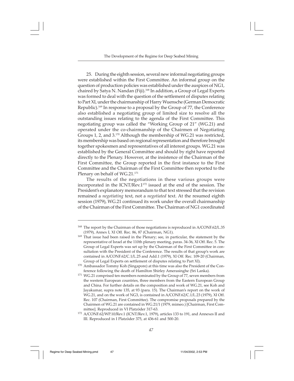25. During the eighth session, several new informal negotiating groups were established within the First Committee. An informal group on the question of production policies was established under the auspices of NG1, chaired by Satya N. Nandan (Fiji).<sup>168</sup> In addition, a Group of Legal Experts was formed to deal with the question of the settlement of disputes relating to Part XI, under the chairmanship of Harry Wuensche (German Democratic Republic).169 In response to a proposal by the Group of 77, the Conference also established a negotiating group of limited size to resolve all the outstanding issues relating to the agenda of the First Committee. This negotiating group was called the "Working Group of 21" (WG.21) and operated under the co-chairmanship of the Chairmen of Negotiating Groups 1, 2, and 3.170 Although the membership of WG.21 was restricted, its membership was based on regional representation and therefore brought together spokesmen and representatives of all interest groups. WG.21 was established by the General Committee and should by right have reported directly to the Plenary. However, at the insistence of the Chairman of the First Committee, the Group reported in the first instance to the First Committee and the Chairman of the First Committee then reported to the Plenary on behalf of WG.21.<sup>171</sup>

The results of the negotiations in these various groups were incorporated in the ICNT/Rev.1172 issued at the end of the session. The President's explanatory memorandum to that text stressed that the revision remained a *negotiating* text, not a *negotiated* text. At the resumed eighth session (1979), WG.21 continued its work under the overall chairmanship of the Chairman of the First Committee. The Chairman of NG1 coordinated

<sup>&</sup>lt;sup>168</sup> The report by the Chairman of those negotiations is reproduced in A/CONF.62/L.35 (1979), Annex I, XI Off. Rec. 86, 87 (Chairman, NG1).

<sup>169</sup> That issue had been raised in the Plenary; see, in particular, the statement by the representative of Israel at the 110th plenary meeting, paras. 34-36, XI Off. Rec. 5. The Group of Legal Experts was set up by the Chairman of the First Committee in consultation with the President of the Conference. The results of that group's work are contained in A/CONF.62/C.1/L.25 and Add.1 (1979), XI Off. Rec. 109-20 (Chairman, Group of Legal Experts on settlement of disputes relating to Part XI).

<sup>170</sup> Ambassador Tommy Koh (Singapore) at this time was also the President of the Conference following the death of Hamilton Shirley Amerasinghe (Sri Lanka).

<sup>&</sup>lt;sup>171</sup> WG.21 comprised ten members nominated by the Group of 77, seven members from the western European countries, three members from the Eastern European Group and China. For further details on the composition and work of WG.21, see Koh and Jayakumar, supra note 135, at 93 (para. 15). The Chairmanís report on the work of WG.21, and on the work of NG3, is contained in A/CONF.62/C.1/L.23 (1979), XI Off. Rec. 107 (Chairman, First Committee). The compromise proposals prepared by the Chairmen of WG.21 are contained in WG.21/1 (1979, mimeo.) [Chairman, First Committee]. Reproduced in VI Platzöder 317-63.

<sup>172</sup> A/CONF.62/WP.10/Rev.1 (ICNT/Rev.1, 1979), articles 133 to 191, and Annexes II and III. Reproduced in I Platzöder 375, at 436-61 and 500-20.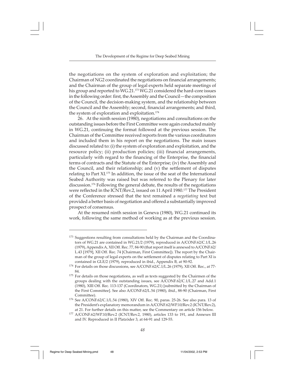the negotiations on the system of exploration and exploitation; the Chairman of NG2 coordinated the negotiations on financial arrangements; and the Chairman of the group of legal experts held separate meetings of his group and reported to WG.21.<sup>173</sup> WG.21 considered the hard-core issues in the following order: first, the Assembly and the Council—the composition of the Council, the decision-making system, and the relationship between the Council and the Assembly; second, financial arrangements; and third, the system of exploration and exploitation.<sup>174</sup>

26. At the ninth session (1980), negotiations and consultations on the outstanding issues before the First Committee were again conducted mainly in WG.21, continuing the format followed at the previous session. The Chairman of the Committee received reports from the various coordinators and included them in his report on the negotiations. The main issues discussed related to: (i) the system of exploration and exploitation, and the resource policy; (ii) production policies; (iii) financial arrangements, particularly with regard to the financing of the Enterprise, the financial terms of contracts and the Statute of the Enterprise; (iv) the Assembly and the Council, and their relationship; and (v) the settlement of disputes relating to Part XI.<sup>175</sup> In addition, the issue of the seat of the International Seabed Authority was raised but was referred to the Plenary for later discussion.176 Following the general debate, the results of the negotiations were reflected in the ICNT/Rev.2, issued on 11 April 1980.<sup>177</sup> The President of the Conference stressed that the text remained a *negotiating* text but provided a better basis of negotiation and offered a substantially improved prospect of consensus.

At the resumed ninth session in Geneva (1980), WG.21 continued its work, following the same method of working as at the previous session.

<sup>&</sup>lt;sup>173</sup> Suggestions resulting from consultations held by the Chairman and the Coordinators of WG.21 are contained in WG.21/2 (1979), reproduced in A/CONF.62/C.1/L.26 (1979), Appendix A, XII Off. Rec. 77, 84-90 (that report itself is annexed to A/CONF.62/ L.43 [1979], XII Off. Rec. 74 [Chairman, First Committee]). The report by the Chairman of the group of legal experts on the settlement of disputes relating to Part XI is contained in GLE/2 (1979), reproduced in ibid., Appendix B, at 90-92.

<sup>174</sup> For details on those discussions, see A/CONF.62/C.1/L.26 (1979), XII Off. Rec., at 77- 84.

 $175$  For details on those negotiations, as well as texts suggested by the Chairmen of the groups dealing with the outstanding issues, see A/CONF.62/C.1/L.27 and Add.1 (1980), XIII Off. Rec. 113-137 (Coordinators, WG.21) [submitted by the Chairman of the First Committee]. See also A/CONF.62/L.54 (1980), ibid., 88-90 (Chairman, First Committee).

<sup>176</sup> See A/CONF.62/C.1/L.54 (1980), XIV Off. Rec. 90, paras. 25-26. See also para. 13 of the President's explanatory memorandum in A/CONF.62/WP.10/Rev.2 (ICNT/Rev.2), at 21. For further details on this matter, see the Commentary on article 156 below.

<sup>177</sup> A/CONF.62/WP.10/Rev.2 (ICNT/Rev.2, 1980), articles 133 to 191, and Annexes III and IV. Reproduced in II Platzöder 3, at 64-91 and 129-55.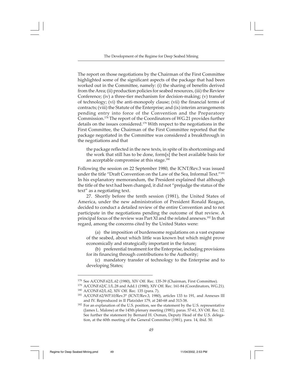The report on those negotiations by the Chairman of the First Committee highlighted some of the significant aspects of the package that had been worked out in the Committee, namely: (i) the sharing of benefits derived from the Area; (ii) production policies for seabed resources, (iii) the Review Conference; (iv) a three-tier mechanism for decision-making; (v) transfer of technology; (vi) the anti-monopoly clause; (vii) the financial terms of contracts; (viii) the Statute of the Enterprise; and (ix) interim arrangements pending entry into force of the Convention and the Preparatory Commission.178 The report of the Coordinators of WG.21 provides further details on the issues considered.179 With respect to the negotiations in the First Committee, the Chairman of the First Committee reported that the package negotiated in the Committee was considered a breakthrough in the negotiations and that

the package reflected in the new texts, in spite of its shortcomings and the work that still has to be done, form[s] the best available basis for an acceptable compromise at this stage.180

Following the session on 22 September 1980, the ICNT/Rev.3 was issued under the title "Draft Convention on the Law of the Sea, Informal Text."<sup>181</sup> In his explanatory memorandum, the President explained that although the title of the text had been changed, it did not "prejudge the status of the text" as a negotiating text.

27. Shortly before the tenth session (1981), the United States of America, under the new administration of President Ronald Reagan, decided to conduct a detailed review of the entire Convention and to not participate in the negotiations pending the outcome of that review. A principal focus of the review was Part XI and the related annexes.182 In that regard, among the concerns cited by the United States were:

(a) the imposition of burdensome regulations on a vast expanse of the seabed, about which little was known but which might prove economically and strategically important in the future;

(b) preferential treatment for the Enterprise, including provisions for its financing through contributions to the Authority;

(c) mandatory transfer of technology to the Enterprise and to developing States;

<sup>178</sup> See A/CONF.62/L.62 (1980), XIV Off. Rec. 135-39 (Chairman, First Committee).

<sup>179</sup> A/CONF.62/C.1/L.28 and Add.1 (1980), XIV Off. Rec. 161-84 (Coordinators, WG.21).

<sup>180</sup> A/CONF.62/L.62, XIV Off. Rec. 135 (para. 7).

<sup>181</sup> A/CONF.62/WP.10/Rev.3\* (ICNT/Rev.3, 1980), articles 133 to 191, and Annexes III and IV. Reproduced in II Platzöder 179, at 240-68 and 313-38.

<sup>&</sup>lt;sup>182</sup> For an explanation of the U.S. position, see the statement by the U.S. representative (James L. Malone) at the 145th plenary meeting (1981), paras. 57-61, XV Off. Rec. 12. See further the statement by Bernard H. Oxman, Deputy Head of the U.S. delegation, at the 60th meeting of the General Committee (1981), para. 14, ibid. 50.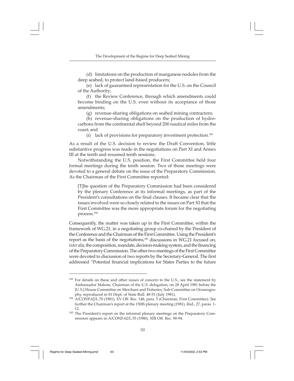(d) limitations on the production of manganese nodules from the deep seabed, to protect land-based producers;

(e) lack of guaranteed representation for the U.S. on the Council of the Authority;

(f) the Review Conference, through which amendments could become binding on the U.S. even without its acceptance of those amendments;

(g) revenue-sharing obligations on seabed mining contractors;

(h) revenue-sharing obligations on the production of hydrocarbons from the continental shelf beyond 200 nautical miles from the coast; and

(i) lack of provisions for preparatory investment protection.<sup>183</sup>

As a result of the U.S. decision to review the Draft Convention, little substantive progress was made in the negotiations on Part XI and Annex III at the tenth and resumed tenth sessions.

Notwithstanding the U.S. position, the First Committee held four formal meetings during the tenth session. Two of those meetings were devoted to a general debate on the issue of the Preparatory Commission. As the Chairman of the First Committee reported:

[T]he question of the Preparatory Commission had been considered by the plenary Conference at its informal meetings, as part of the President's consultations on the final clauses. It became clear that the issues involved were so closely related to the issues on Part XI that the First Committee was the more appropriate forum for the negotiating process.184

Consequently, the matter was taken up in the First Committee, within the framework of WG.21, in a negotiating group co-chaired by the President of the Conference and the Chairman of the First Committee. Using the Presidentís report as the basis of the negotiations,<sup>185</sup> discussions in WG.21 focused on, *inter alia*, the composition, mandate, decision-making system, and the financing of the Preparatory Commission. The other two meetings of the First Committee were devoted to discussion of two reports by the Secretary-General. The first addressed "Potential financial implications for States Parties to the future

<sup>&</sup>lt;sup>183</sup> For details on these and other issues of concern to the U.S., see the statement by Ambassador Malone, Chairman of the U.S. delegation, on 28 April 1981 before the [U.S.] House Committee on Merchant and Fisheries, Sub-Committee on Oceanography, reproduced in 81 Dept. of State Bull. 48-51 (July 1981).

<sup>184</sup> A/CONF.62/L.70 (1981), XV Off. Rec. 148, para. 5 (Chairman, First Committee). See further the Chairman's report at the 150th plenary meeting (1981), ibid., 27, paras. 1-12.

<sup>&</sup>lt;sup>185</sup> The President's report on the informal plenary meetings on the Preparatory Commission appears in A/CONF.62/L.55 (1980), XIII Off. Rec. 90-94.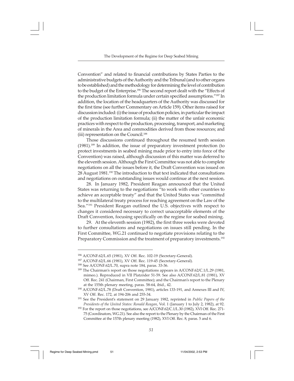Convention" and related to financial contributions by States Parties to the administrative budgets of the Authority and the Tribunal (and to other organs to be established) and the methodology for determining the level of contribution to the budget of the Enterprise.<sup>186</sup> The second report dealt with the "Effects of the production limitation formula under certain specified assumptions.<sup>"187</sup> In addition, the location of the headquarters of the Authority was discussed for the first time (see further Commentary on Article 159). Other items raised for discussion included: (i) the issue of production policies, in particular the impact of the production limitation formula; (ii) the matter of the unfair economic practices with respect to the production, processing, transport, and marketing of minerals in the Area and commodities derived from those resources; and (iii) representation on the Council.<sup>188</sup>

Those discussions continued throughout the resumed tenth session (1981).189 In addition, the issue of preparatory investment protection (to protect investments in seabed mining made prior to entry into force of the Convention) was raised, although discussion of this matter was deferred to the eleventh session. Although the First Committee was not able to complete negotiations on all the issues before it, the Draft Convention was issued on 28 August 1981.190 The introduction to that text indicated that consultations and negotiations on outstanding issues would continue at the next session.

28. In January 1982, President Reagan announced that the United States was returning to the negotiations "to work with other countries to achieve an acceptable treaty" and that the United States was "committed to the multilateral treaty process for reaching agreement on the Law of the Sea."<sup>191</sup> President Reagan outlined the U.S. objectives with respect to changes it considered necessary to correct unacceptable elements of the Draft Convention, focusing specifically on the regime for seabed mining.

29. At the eleventh session (1982), the first three weeks were devoted to further consultations and negotiations on issues still pending. In the First Committee, WG.21 continued to negotiate provisions relating to the Preparatory Commission and the treatment of preparatory investments.<sup>192</sup>

<sup>186</sup> A/CONF.62/L.65 (1981), XV Off. Rec. 102-19 (Secretary-General).

<sup>187</sup> A/CONF.62/L.66 (1981), XV Off. Rec. 119-45 (Secretary-General).

<sup>188</sup> See A/CONF.62/L.70, supra note 184, paras. 33-36.

<sup>&</sup>lt;sup>189</sup> The Chairman's report on those negotiations appears in A/CONF.62/C.1/L.29 (1981, mimeo.). Reproduced in VII Platzöder 51-59. See also A/CONF.62/L.81 (1981), XV Off. Rec. 241 (Chairman, First Committee); and the Chairman's report to the Plenary at the 155th plenary meeting, paras. 58-64, ibid., 42.

<sup>190</sup> A/CONF.62/L.78 (Draft Convention, 1981), articles 133-191, and Annexes III and IV, XV Off. Rec. 172, at 194-206 and 255-34.

<sup>191</sup> See the Presidentís statement on 29 January 1982, reprinted in *Public Papers of the Presidents of the United States: Ronald Reagan*, Vol. 1 (January 1 to July 2, 1982), at 92.

<sup>192</sup> For the report on those negotiations, see A/CONF.62/C.1/L.30 (1982), XVI Off. Rec. 271- 75 (Coordinators, WG.21). See also the report to the Plenary by the Chairman of the First Committee at the 157th plenary meeting (1982), XVI Off. Rec. 8, paras. 5 and 6.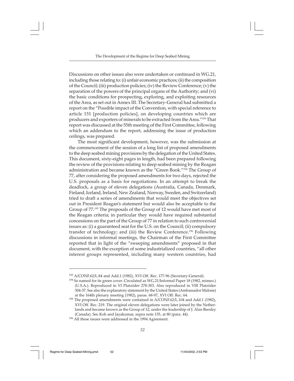Discussions on other issues also were undertaken or continued in WG.21, including those relating to: (i) unfair economic practices; (ii) the composition of the Council; (iii) production policies; (iv) the Review Conference; (v) the separation of the powers of the principal organs of the Authority; and (vi) the basic conditions for prospecting, exploring, and exploiting resources of the Area, as set out in Annex III. The Secretary-General had submitted a report on the "Possible impact of the Convention, with special reference to article 151 [production policies], on developing countries which are producers and exporters of minerals to be extracted from the Area.<sup>*n*193</sup> That report was discussed at the 55th meeting of the First Committee, following which an addendum to the report, addressing the issue of production ceilings, was prepared.

The most significant development, however, was the submission at the commencement of the session of a long list of proposed amendments to the deep seabed mining provisions by the delegation of the United States. This document, sixty-eight pages in length, had been prepared following the review of the provisions relating to deep seabed mining by the Reagan administration and became known as the "Green Book."<sup>194</sup> The Group of 77, after considering the proposed amendments for two days, rejected the U.S. proposals as a basis for negotiations. In an attempt to break the deadlock, a group of eleven delegations (Australia, Canada, Denmark, Finland, Iceland, Ireland, New Zealand, Norway, Sweden, and Switzerland) tried to draft a series of amendments that would meet the objectives set out in President Reaganís statement but would also be acceptable to the Group of 77.195 The proposals of the Group of 12 would have met most of the Reagan criteria; in particular they would have required substantial concessions on the part of the Group of 77 in relation to such controversial issues as: (i) a guaranteed seat for the U.S. on the Council; (ii) compulsory transfer of technology; and (iii) the Review Conference.196 Following discussions in informal meetings, the Chairman of the First Committee reported that in light of the "sweeping amendments" proposed in that document, with the exception of some industrialized countries, "all other interest groups represented, including many western countries, had

<sup>193</sup> A/CONF.62/L.84 and Add.1 (1982), XVI Off. Rec. 177-96 (Secretary-General).

<sup>&</sup>lt;sup>194</sup> So named for its green cover. Circulated as WG.21/Informal Paper 18 (1982, mimeo.) (U.S.A.). Reproduced in VI Platzöder 278-303. Also reproduced in VIII Platzöder 304-37. See also the explanatory statement by the United States (Ambassador Malone) at the 164th plenary meeting (1982), paras. 68-97, XVI Off. Rec. 64.

<sup>195</sup> The proposed amendments were contained in A/CONF.62/L.104 and Add.1 (1982), XVI Off. Rec. 219. The original eleven delegations were later joined by the Netherlands and became known as the Group of 12, under the leadership of J. Alan Beesley (Canada). See Koh and Jayakumar, supra note 135, at 80 (para. 44).

<sup>&</sup>lt;sup>196</sup> All these issues were addressed in the 1994 Agreement.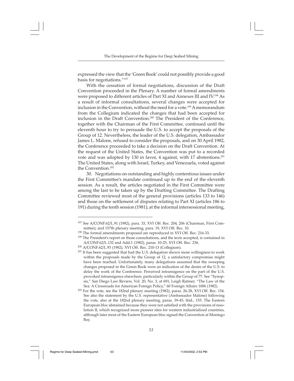expressed the view that the 'Green Book' could not possibly provide a good basis for negotiations."<sup>197</sup>

With the cessation of formal negotiations, discussion of the Draft Convention proceeded in the Plenary. A number of formal amendments were proposed to different articles of Part XI and Annexes III and IV.198 As a result of informal consultations, several changes were accepted for inclusion in the Convention, without the need for a vote.<sup>199</sup> A memorandum from the Collegium indicated the changes that had been accepted for inclusion in the Draft Convention.200 The President of the Conference, together with the Chairman of the First Committee, continued until the eleventh hour to try to persuade the U.S. to accept the proposals of the Group of 12. Nevertheless, the leader of the U.S. delegation, Ambassador James L. Malone, refused to consider the proposals, and on 30 April 1982, the Conference proceeded to take a decision on the Draft Convention. At the request of the United States, the Convention was put to a recorded vote and was adopted by 130 in favor, 4 against, with 17 abstentions.<sup>201</sup> The United States, along with Israel, Turkey, and Venezuela, voted against the Convention.202

30. Negotiations on outstanding and highly contentious issues under the First Committeeís mandate continued up to the end of the eleventh session. As a result, the articles negotiated in the First Committee were among the last to be taken up by the Drafting Committee. The Drafting Committee reviewed most of the general provisions (articles 133 to 146) and those on the settlement of disputes relating to Part XI (articles 186 to 191) during the tenth session (1981); at the informal intersessional meeting,

<sup>197</sup> See A/CONF.62/L.91 (1982), para. 33, XVI Off. Rec. 204, 206 (Chairman, First Committee); and 157th plenary meeting, para. 19, XVI Off. Rec. 10.

<sup>&</sup>lt;sup>198</sup> The formal amendments proposed are reproduced in XVI Off. Rec. 216-33.

<sup>&</sup>lt;sup>199</sup> The President's report on those consultations, and the texts accepted, is contained in A/CONF.62/L.132 and Add.1 (1982), paras. 10-25, XVI Off. Rec. 236.

<sup>200</sup> A/CONF.62/L.93 (1982), XVI Off. Rec. 210-13 (Collegium).

<sup>&</sup>lt;sup>201</sup> It has been suggested that had the U.S. delegation shown more willingness to work within the proposals made by the Group of 12, a satisfactory compromise might have been reached. Unfortunately, many delegations assumed that the sweeping changes proposed in the Green Book were an indication of the desire of the U.S. to delay the work of the Conference. Perceived intransigence on the part of the U.S. provoked intransigence elsewhere, particularly within the Group of 77. See "Synopsis," San Diego Law Review, Vol. 20, No. 3, at 691; Leigh Ratiner, "The Law of the Sea: A Crossroads for American Foreign Policy," 60 Foreign Affairs 1006 (1982).

<sup>&</sup>lt;sup>202</sup> For the vote, see the 182nd plenary meeting (1982), paras. 26-28, XVI Off. Rec. 154. See also the statement by the U.S. representative (Ambassador Malone) following the vote, also at the 182nd plenary meeting, paras. 39-45, ibid., 155. The Eastern European bloc abstained because they were not satisfied with the provisions of resolution II, which recognized more pioneer sites for western industrialized countries, although later most of the Eastern European bloc signed the Convention at Montego Bay.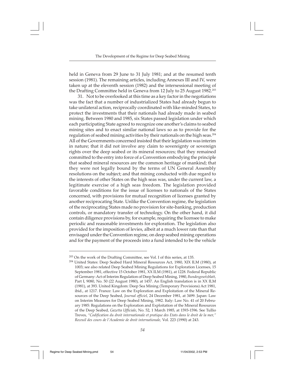held in Geneva from 29 June to 31 July 1981; and at the resumed tenth session (1981). The remaining articles, including Annexes III and IV, were taken up at the eleventh session (1982) and the intersessional meeting of the Drafting Committee held in Geneva from 12 July to 25 August 1982.203

31. Not to be overlooked at this time as a key factor in the negotiations was the fact that a number of industrialized States had already begun to take unilateral action, reciprocally coordinated with like-minded States, to protect the investments that their nationals had already made in seabed mining. Between 1980 and 1985, six States passed legislation under which each participating State agreed to recognize one another's claims to seabed mining sites and to enact similar national laws so as to provide for the regulation of seabed mining activities by their nationals on the high seas.204 All of the Governments concerned insisted that their legislation was interim in nature; that it did not involve any claim to sovereignty or sovereign rights over the deep seabed or its mineral resources; that they remained committed to the entry into force of a Convention embodying the principle that seabed mineral resources are the common heritage of mankind; that they were not legally bound by the terms of UN General Assembly resolutions on the subject; and that mining conducted with due regard to the interests of other States on the high seas was, under the current law, a legitimate exercise of a high seas freedom. The legislation provided favorable conditions for the issue of licenses to nationals of the States concerned, with provisions for mutual recognition of licenses granted by another reciprocating State. Unlike the Convention regime, the legislation of the reciprocating States made no provision for site-banking, production controls, or mandatory transfer of technology. On the other hand, it did contain diligence provisions by, for example, requiring the licensee to make periodic and reasonable investments for exploration. The legislation also provided for the imposition of levies, albeit at a much lower rate than that envisaged under the Convention regime, on deep seabed mining operations and for the payment of the proceeds into a fund intended to be the vehicle

<sup>203</sup> On the work of the Drafting Committee, see Vol. I of this series, at 135.

<sup>204</sup> United States: Deep Seabed Hard Mineral Resources Act, 1980, XIX ILM (1980), at 1003; see also related Deep Seabed Mining Regulations for Exploration Licenses, 15 September 1981, effective 15 October 1981, XX ILM (1981), at 1228. Federal Republic of Germany: Act of Interim Regulation of Deep Seabed Mining, 1980, *Bundesgesetzblatt*, Part I, 9080, No. 50 (22 August 1980), at 1457. An English translation is in XX ILM (1981), at 393. United Kingdom: Deep Sea Mining (Temporary Provisions) Act 1981, ibid., at 1217. France: Law on the Exploration and Exploitation of the Mineral Resources of the Deep Seabed, *Journal officiel*, 24 December 1981, at 3499. Japan: Law on Interim Measures for Deep Seabed Mining, 1982. Italy: Law No. 41 of 20 February 1985: Regulations on the Exploration and Exploitation of the Mineral Resources of the Deep Seabed, *Gazetta Ufficiale*, No. 52, 1 March 1985, at 1593-1596. See Tullio Treves, "Codification du droit internationale et pratique des Etats dans le droit de la mer," *Receuil des cours de líAcademie de droit internationale,* Vol. 223 (1990) at 243.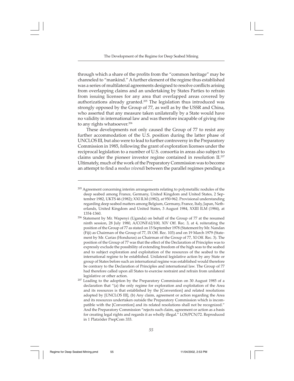through which a share of the profits from the "common heritage" may be channeled to "mankind." A further element of the regime thus established was a series of multilateral agreements designed to resolve conflicts arising from overlapping claims and an undertaking by States Parties to refrain from issuing licenses for any area that overlapped areas covered by authorizations already granted.<sup>205</sup> The legislation thus introduced was strongly opposed by the Group of 77, as well as by the USSR and China, who asserted that any measure taken unilaterally by a State would have no validity in international law and was therefore incapable of giving rise to any rights whatsoever.<sup>206</sup>

These developments not only caused the Group of 77 to resist any further accommodation of the U.S. position during the latter phase of UNCLOS III, but also were to lead to further controversy in the Preparatory Commission in 1985, following the grant of exploration licenses under the reciprocal legislation to a number of U.S. consortia in areas also subject to claims under the pioneer investor regime contained in resolution II.207 Ultimately, much of the work of the Preparatory Commission was to become an attempt to find a *modus vivendi* between the parallel regimes pending a

<sup>&</sup>lt;sup>205</sup> Agreement concerning interim arrangements relating to polymetallic nodules of the deep seabed among France, Germany, United Kingdom and United States, 2 September 1982, UKTS 46 (1982); XXI ILM (1982), at 950-962. Provisional understanding regarding deep seabed matters among Belgium, Germany, France, Italy, Japan, Netherlands, United Kingdom and United States, 3 August 1984, XXIII ILM (1984), at 1354-1360.

<sup>&</sup>lt;sup>206</sup> Statement by Mr. Wapenyi (Uganda) on behalf of the Group of 77 at the resumed ninth session, 28 July 1980, A/CONF.62/100, XIV Off. Rec. 3, at 4, reiterating the position of the Group of 77 as stated on 15 September 1978 (Statement by Mr. Nandan (Fiji) as Chairman of the Group of 77, IX Off. Rec. 103) and on 19 March 1979 (Statement by Mr. Carias (Honduras) as Chairman of the Group of 77, XI Off. Rec. 3). The position of the Group of 77 was that the effect of the Declaration of Principles was to expressly exclude the possibility of extending freedom of the high seas to the seabed and to subject exploration and exploitation of the resources of the seabed to the international regime to be established. Unilateral legislative action by any State or group of States before such an international regime was established would therefore be contrary to the Declaration of Principles and international law. The Group of 77 had therefore called upon all States to exercise restraint and refrain from unilateral legislative or other action.

<sup>&</sup>lt;sup>207</sup> Leading to the adoption by the Preparatory Commission on 30 August 1985 of a declaration that "(a) the only regime for exploration and exploitation of the Area and its resources is that established by the [Convention] and related resolutions adopted by [UNCLOS III], (b) Any claim, agreement or action regarding the Area and its resources undertaken outside the Preparatory Commission which is incompatible with the [Convention] and its related resolutions shall not be recognized." And the Preparatory Commission "rejects such claim, agreement or action as a basis for creating legal rights and regards it as wholly illegal." LOS/PCN/72. Reproduced in 1 Platzöder PrepCom 333.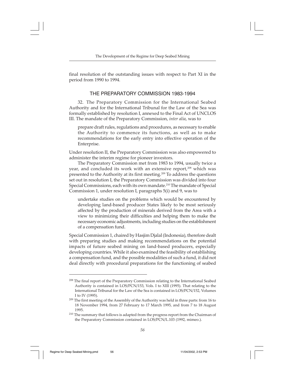final resolution of the outstanding issues with respect to Part XI in the period from 1990 to 1994.

## THE PREPARATORY COMMISSION 1983-1994

32. The Preparatory Commission for the International Seabed Authority and for the International Tribunal for the Law of the Sea was formally established by resolution I, annexed to the Final Act of UNCLOS III. The mandate of the Preparatory Commission, *inter alia*, was to

prepare draft rules, regulations and procedures, as necessary to enable the Authority to commence its functions, as well as to make recommendations for the early entry into effective operation of the Enterprise.

Under resolution II, the Preparatory Commission was also empowered to administer the interim regime for pioneer investors.

The Preparatory Commission met from 1983 to 1994, usually twice a year, and concluded its work with an extensive report,<sup>208</sup> which was presented to the Authority at its first meeting.<sup>209</sup> To address the questions set out in resolution I, the Preparatory Commission was divided into four Special Commissions, each with its own mandate.210 The mandate of Special Commission 1, under resolution I, paragraphs 5(i) and 9, was to

undertake studies on the problems which would be encountered by developing land-based producer States likely to be most seriously affected by the production of minerals derived from the Area with a view to minimizing their difficulties and helping them to make the necessary economic adjustments, including studies on the establishment of a compensation fund.

Special Commission 1, chaired by Hasjim Djalal (Indonesia), therefore dealt with preparing studies and making recommendations on the potential impacts of future seabed mining on land-based producers, especially developing countries. While it also examined the feasibility of establishing a compensation fund, and the possible modalities of such a fund, it did not deal directly with procedural preparations for the functioning of seabed

<sup>208</sup> The final report of the Preparatory Commission relating to the International Seabed Authority is contained in LOS/PCN/153, Vols. I to XIII (1995). That relating to the International Tribunal for the Law of the Sea is contained in LOS/PCN/152, Volumes I to IV (1995).

 $^{209}$  The first meeting of the Assembly of the Authority was held in three parts: from 16 to 18 November 1994, from 27 February to 17 March 1995, and from 7 to 18 August 1995.

<sup>210</sup> The summary that follows is adapted from the progress report from the Chairman of the Preparatory Commission contained in LOS/PCN/L.103 (1992, mimeo.).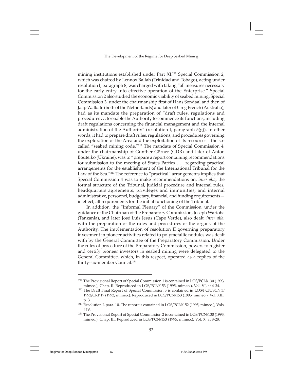mining institutions established under Part XI.<sup>211</sup> Special Commission 2, which was chaired by Lennox Ballah (Trinidad and Tobago), acting under resolution I, paragraph 8, was charged with taking "all measures necessary for the early entry into effective operation of the Enterprise.<sup>"</sup> Special Commission 2 also studied the economic viability of seabed mining. Special Commission 3, under the chairmanship first of Hans Sondaal and then of Jaap Walkate (both of the Netherlands) and later of Greg French (Australia), had as its mandate the preparation of "draft rules, regulations and procedures . . . to enable the Authority to commence its functions, including draft regulations concerning the financial management and the internal administration of the Authority" (resolution I, paragraph  $5(g)$ ). In other words, it had to prepare draft rules, regulations, and procedures governing the exploration of the Area and the exploitation of its resources—the socalled "seabed mining code."<sup>212</sup> The mandate of Special Commission 4, under the chairmanship of Gunther Görner (GDR) and later of Anton Bouteiko (Ukraine), was to "prepare a report containing recommendations for submission to the meeting of States Parties . . . regarding practical arrangements for the establishment of the International Tribunal for the Law of the Sea.<sup>"213</sup> The reference to "practical" arrangements implies that Special Commission 4 was to make recommendations on, *inter alia*, the formal structure of the Tribunal, judicial procedure and internal rules, headquarters agreements, privileges and immunities, and internal administrative, personnel, budgetary, financial, and funding requirements in effect, all requirements for the initial functioning of the Tribunal.

In addition, the "Informal Plenary" of the Commission, under the guidance of the Chairman of the Preparatory Commission, Joseph Warioba (Tanzania), and later JosÈ Luis Jesus (Cape Verde), also dealt, *inter alia*, with the preparation of the rules and procedures of the organs of the Authority. The implementation of resolution II governing preparatory investment in pioneer activities related to polymetallic nodules was dealt with by the General Committee of the Preparatory Commission. Under the rules of procedure of the Preparatory Commission, powers to register and certify pioneer investors in seabed mining were delegated to the General Committee, which, in this respect, operated as a replica of the thirty-six-member Council.214

 <sup>211</sup> The Provisional Report of Special Commission 1 is contained in LOS/PCN/130 (1993,

mimeo.), Chap. II. Reproduced in LOS/PCN/153 (1995, mimeo.), Vol. VI, at 4-34. 212 The Draft Final Report of Special Commission 3 is contained in LOS/PCN/SCN.3/ 1992/CRP.17 (1992, mimeo.). Reproduced in LOS/PCN/153 (1995, mimeo.), Vol. XIII,

p. 3. 213 Resolution I, para. 10. The report is contained in LOS/PCN/152 (1995, mimeo.), Vols.

I-IV. 214 The Provisional Report of Special Commission 2 is contained in LOS/PCN/130 (1993, mimeo.), Chap. III. Reproduced in LOS/PCN/153 (1995, mimeo.), Vol. X, at 8-28.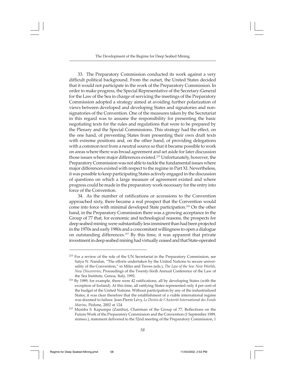33. The Preparatory Commission conducted its work against a very difficult political background. From the outset, the United States decided that it would not participate in the work of the Preparatory Commission. In order to make progress, the Special Representative of the Secretary-General for the Law of the Sea in charge of servicing the meetings of the Preparatory Commission adopted a strategy aimed at avoiding further polarization of views between developed and developing States and signatories and nonsignatories of the Convention. One of the measures taken by the Secretariat in this regard was to assume the responsibility for presenting the basic negotiating texts for the rules and regulations that were to be prepared by the Plenary and the Special Commissions. This strategy had the effect, on the one hand, of preventing States from presenting their own draft texts with extreme positions and, on the other hand, of providing delegations with a common text from a neutral source so that it became possible to work on areas where there was broad agreement and set aside for later discussion those issues where major differences existed.215 Unfortunately, however, the Preparatory Commission was not able to tackle the fundamental issues where major differences existed with respect to the regime in Part XI. Nevertheless, it was possible to keep participating States actively engaged in the discussion of questions on which a large measure of agreement existed and where progress could be made in the preparatory work necessary for the entry into force of the Convention.

34. As the number of ratifications or accessions to the Convention approached sixty, there became a real prospect that the Convention would come into force with minimal developed State participation.<sup>216</sup> On the other hand, in the Preparatory Commission there was a growing acceptance in the Group of 77 that, for economic and technological reasons, the prospects for deep seabed mining were substantially less imminent than had been projected in the 1970s and early 1980s and a concomitant willingness to open a dialogue on outstanding differences.217 By this time, it was apparent that private investment in deep seabed mining had virtually ceased and that State-operated

<sup>215</sup> For a review of the role of the UN Secretariat in the Preparatory Commission, see Satya N. Nandan, "The efforts undertaken by the United Nations to secure universality of the Convention," in Miles and Treves (eds.), *The Law of the Sea: New Worlds, New Discoveries*, Proceedings of the Twenty-Sixth Annual Conference of the Law of the Sea Institute, Genoa, Italy, 1992.

<sup>216</sup> By 1989, for example, there were 42 ratifications, all by developing States (with the exception of Iceland). At this time, all ratifying States represented only 4 per cent of the budget of the United Nations. Without participation by any of the industrialized States, it was clear therefore that the establishment of a viable international regime was doomed to failure. Jean-Pierre Lévy, *Le Destin de l'Autorité International des Fonds Marins*, PÈdone, 2002 at 124.

<sup>217</sup> Mumba S. Kapumpa (Zambia), Chairman of the Group of 77, Reflections on the Future Work of the Preparatory Commission and the Convention (1 September 1989, mimeo.), statement delivered to the 52nd meeting of the Preparatory Commission, 1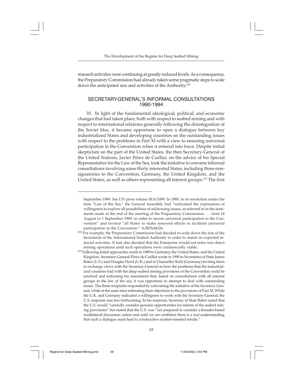research activities were continuing at greatly reduced levels. As a consequence, the Preparatory Commission had already taken some pragmatic steps to scale down the anticipated size and activities of the Authority.<sup>218</sup>

## SECRETARY-GENERAL'S INFORMAL CONSULTATIONS 1990-1994

35. In light of the fundamental ideological, political, and economic changes that had taken place, both with respect to seabed mining and with respect to international relations generally following the disintegration of the Soviet bloc, it became opportune to open a dialogue between key industrialized States and developing countries on the outstanding issues with respect to the problems in Part XI with a view to ensuring universal participation in the Convention when it entered into force. Despite initial skepticism on the part of the United States, the then Secretary-General of the United Nations, Javier Pérez de Cuéllar, on the advice of his Special Representative for the Law of the Sea, took the initiative to convene informal consultations involving some thirty interested States, including three nonsignatories to the Convention, Germany, the United Kingdom, and the United States, as well as others representing all interest groups.219 The first

September 1989. See UN press release SEA/1089. In 1989, in its resolution under the item "Law of the Sea," the General Assembly had "welcomed the expressions of willingness to explore all possibilities of addressing issues, as referred to in the statements made at the end of the meeting of the Preparatory Commission . . . from 14 August to 1 September 1989, in order to secure universal participation in the Convention" and invited "all States to make renewed efforts to facilitate universal participation in the Convention." A/RES/44/26.

<sup>&</sup>lt;sup>218</sup> For example, the Preparatory Commission had decided to scale down the size of the Secretariat of the International Seabed Authority in order to match its expected reduced activities. It had also decided that the Enterprise would not enter into direct mining operations until such operations were commercially viable.

<sup>&</sup>lt;sup>219</sup> Following initial approaches made in 1989 to Germany, the United States, and the United Kingdom, Secretary-General Pérez de Cuéllar wrote in 1990 to Secretaries of State James Baker (U.S.) and Douglas Hurd (U.K.) and to Chancellor Kohl (Germany) inviting them to exchange views with the Secretary-General on how the problems that the industrialized countries had with the deep seabed mining provisions of the Convention could be resolved and indicating his assessment that, based on consultations with all interest groups in the law of the sea, it was opportune to attempt to deal with outstanding issues. The three recipients responded by welcoming the initiative of the Secretary-General, while at the same time reiterating their objections to the provisions of Part XI. While the U.K. and Germany indicated a willingness to work with the Secretary-General, the U.S. response was less forthcoming. In his response, Secretary of State Baker noted that the U.S. would "carefully consider genuine opportunities for reform of the seabed mining provisions" but stated that the U.S. was "not prepared to consider a broader-based multilateral discussion unless and until we are confident there is a real understanding that such a dialogue must lead to constructive market-oriented results."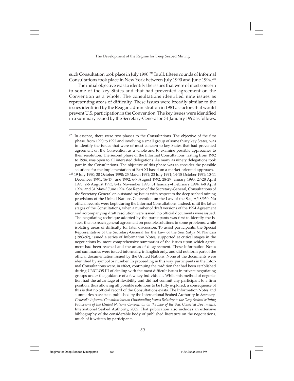such Consultation took place in July 1990.<sup>220</sup> In all, fifteen rounds of Informal Consultations took place in New York between July 1990 and June 1994.221

The initial objective was to identify the issues that were of most concern to some of the key States and that had prevented agreement on the Convention as a whole. The consultations identified nine issues as representing areas of difficulty. These issues were broadly similar to the issues identified by the Reagan administration in 1981 as factors that would prevent U.S. participation in the Convention. The key issues were identified in a summary issued by the Secretary-General on 31 January 1992 as follows:

<sup>&</sup>lt;sup>220</sup> In essence, there were two phases to the Consultations. The objective of the first phase, from 1990 to 1992 and involving a small group of some thirty key States, was to identify the issues that were of most concern to key States that had prevented agreement on the Convention as a whole and to examine possible approaches to their resolution. The second phase of the Informal Consultations, lasting from 1992 to 1994, was open to all interested delegations. As many as ninety delegations took part in the Consultations. The objective of this phase was to consider the possible solutions for the implementation of Part XI based on a market-oriented approach.

<sup>221 19</sup> July 1990; 30 October 1990; 25 March 1991; 23 July 1991; 14-15 October 1991; 10-11 December 1991; 16-17 June 1992; 6-7 August 1992; 28-29 January 1993; 27-28 April 1993; 2-6 August 1993; 8-12 November 1993; 31 January-4 February 1994; 4-8 April 1994; and 31 May-3 June 1994. See Report of the Secretary-General, Consultations of the Secretary-General on outstanding issues with respect to the deep seabed mining provisions of the United Nations Convention on the Law of the Sea, A/48/950. No official records were kept during the Informal Consultations. Indeed, until the latter stages of the Consultations, when a number of draft versions of the 1994 Agreement and accompanying draft resolution were issued, no official documents were issued. The negotiating technique adopted by the participants was first to identify the issues, then to reach general agreement on possible solutions to some problems, while isolating areas of difficulty for later discussion. To assist participants, the Special Representative of the Secretary-General for the Law of the Sea, Satya N. Nandan (1983-92), issued a series of Information Notes, supported at critical stages in the negotiations by more comprehensive summaries of the issues upon which agreement had been reached and the areas of disagreement. These Information Notes and summaries were issued informally, in English only, and did not form part of the official documentation issued by the United Nations. None of the documents were identified by symbol or number. In proceeding in this way, participants in the Informal Consultations were, in effect, continuing the tradition that had been established during UNCLOS III of dealing with the most difficult issues in private negotiating groups under the guidance of a few key individuals. While this method of negotiation had the advantage of flexibility and did not commit any participant to a firm position, thus allowing all possible solutions to be fully explored, a consequence of this is that no official record of the Consultations exists. The Information Notes and summaries have been published by the International Seabed Authority in *Secretary-Generalís Informal Consultations on Outstanding Issues Relating to the Deep Seabed Mining Provisions of the United Nations Convention on the Law of the Sea: Collected Documents*, International Seabed Authority, 2002. That publication also includes an extensive bibliography of the considerable body of published literature on the negotiations, much of it written by participants.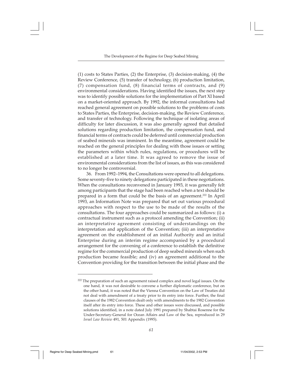(1) costs to States Parties, (2) the Enterprise, (3) decision-making, (4) the Review Conference, (5) transfer of technology, (6) production limitation, (7) compensation fund, (8) financial terms of contracts, and (9) environmental considerations. Having identified the issues, the next step was to identify possible solutions for the implementation of Part XI based on a market-oriented approach. By 1992, the informal consultations had reached general agreement on possible solutions to the problems of costs to States Parties, the Enterprise, decision-making, the Review Conference, and transfer of technology. Following the technique of isolating areas of difficulty for later discussion, it was also generally agreed that detailed solutions regarding production limitation, the compensation fund, and financial terms of contracts could be deferred until commercial production of seabed minerals was imminent. In the meantime, agreement could be reached on the general principles for dealing with those issues or setting the parameters within which rules, regulations, or procedures will be established at a later time. It was agreed to remove the issue of environmental considerations from the list of issues, as this was considered to no longer be controversial.

36. From 1992–1994, the Consultations were opened to all delegations. Some seventy-five to ninety delegations participated in these negotiations. When the consultations reconvened in January 1993, it was generally felt among participants that the stage had been reached when a text should be prepared in a form that could be the basis of an agreement.<sup>222</sup> In April 1993, an Information Note was prepared that set out various procedural approaches with respect to the use to be made of the results of the consultations. The four approaches could be summarized as follows: (i) a contractual instrument such as a protocol amending the Convention; (ii) an interpretative agreement consisting of understandings on the interpretation and application of the Convention; (iii) an interpretative agreement on the establishment of an initial Authority and an initial Enterprise during an interim regime accompanied by a procedural arrangement for the convening of a conference to establish the definitive regime for the commercial production of deep seabed minerals when such production became feasible; and (iv) an agreement additional to the Convention providing for the transition between the initial phase and the

<sup>222</sup> The preparation of such an agreement raised complex and novel legal issues. On the one hand, it was not desirable to convene a further diplomatic conference, but on the other hand, it was noted that the Vienna Convention on the Law of Treaties did not deal with amendment of a treaty prior to its entry into force. Further, the final clauses of the 1982 Convention dealt only with amendments to the 1982 Convention itself after its entry into force. These and other issues were discussed, and possible solutions identified, in a note dated July 1991 prepared by Shabtai Rosenne for the Under-Secretary-General for Ocean Affairs and Law of the Sea, reproduced in 29 *Israel Law Review* 491, 501 Appendix (1995).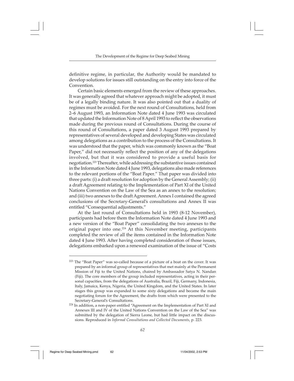definitive regime, in particular, the Authority would be mandated to develop solutions for issues still outstanding on the entry into force of the Convention.

Certain basic elements emerged from the review of these approaches. It was generally agreed that whatever approach might be adopted, it must be of a legally binding nature. It was also pointed out that a duality of regimes must be avoided. For the next round of Consultations, held from 2-6 August 1993, an Information Note dated 4 June 1993 was circulated that updated the Information Note of 8 April 1993 to reflect the observations made during the previous round of Consultations. During the course of this round of Consultations, a paper dated 3 August 1993 prepared by representatives of several developed and developing States was circulated among delegations as a contribution to the process of the Consultations. It was understood that the paper, which was commonly known as the "Boat" Paper," did not necessarily reflect the position of any of the delegations involved, but that it was considered to provide a useful basis for negotiation.223 Thereafter, while addressing the substantive issues contained in the Information Note dated 4 June 1993, delegations also made references to the relevant portions of the "Boat Paper." That paper was divided into three parts: (i) a draft resolution for adoption by the General Assembly; (ii) a draft Agreement relating to the Implementation of Part XI of the United Nations Convention on the Law of the Sea as an annex to the resolution; and (iii) two annexes to the draft Agreement. Annex I contained the agreed conclusions of the Secretary-General's consultations and Annex II was entitled "Consequential adjustments."

At the last round of Consultations held in 1993 (8-12 November), participants had before them the Information Note dated 4 June 1993 and a new version of the "Boat Paper" consolidating the two annexes to the original paper into one.224 At this November meeting, participants completed the review of all the items contained in the Information Note dated 4 June 1993. After having completed consideration of those issues, delegations embarked upon a renewed examination of the issue of "Costs"

 $223$  The "Boat Paper" was so-called because of a picture of a boat on the cover. It was prepared by an informal group of representatives that met mainly at the Permanent Mission of Fiji to the United Nations, chaired by Ambassador Satya N. Nandan (Fiji). The core members of the group included representatives, acting in their personal capacities, from the delegations of Australia, Brazil, Fiji, Germany, Indonesia, Italy, Jamaica, Kenya, Nigeria, the United Kingdom, and the United States. In later stages this group was expanded to some sixty delegations and became the main negotiating forum for the Agreement, the drafts from which were presented to the Secretary-General's Consultations.

 $224$  In addition, a non-paper entitled "Agreement on the Implementation of Part XI and Annexes III and IV of the United Nations Convention on the Law of the Sea" was submitted by the delegation of Sierra Leone, but had little impact on the discussions. Reproduced in *Informal Consultations and Collected Documents*, p. 223.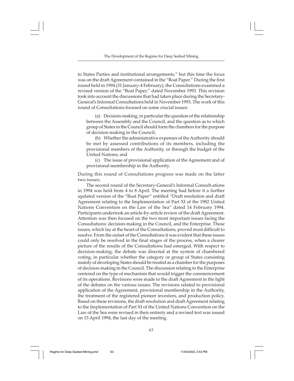to States Parties and institutional arrangements," but this time the focus was on the draft Agreement contained in the "Boat Paper." During the first round held in 1994 (31 January-4 February), the Consultations examined a revised version of the "Boat Paper," dated November 1993. This revision took into account the discussions that had taken place during the Secretary-General's Informal Consultations held in November 1993. The work of this round of Consultations focused on some crucial issues:

(a) Decision-making, in particular the question of the relationship between the Assembly and the Council, and the question as to which group of States in the Council should form the chambers for the purpose of decision-making in the Council;

(b) Whether the administrative expenses of the Authority should be met by assessed contributions of its members, including the provisional members of the Authority, or through the budget of the United Nations; and

(c) The issue of provisional application of the Agreement and of provisional membership in the Authority.

During this round of Consultations progress was made on the latter two issues.

The second round of the Secretary-General's Informal Consult-ations in 1994 was held from 4 to 8 April. The meeting had before it a further updated version of the "Boat Paper" entitled "Draft resolution and draft Agreement relating to the Implementation of Part XI of the 1982 United Nations Convention on the Law of the Sea" dated 14 February 1994. Participants undertook an article-by-article review of the draft Agreement. Attention was then focused on the two most important issues facing the Consultations: decision-making in the Council, and the Enterprise. These issues, which lay at the heart of the Consultations, proved most difficult to resolve. From the outset of the Consultations it was evident that these issues could only be resolved in the final stages of the process, when a clearer picture of the results of the Consultations had emerged. With respect to decision-making, the debate was directed at the system of chambered voting, in particular whether the category or group of States consisting mainly of developing States should be treated as a chamber for the purposes of decision-making in the Council. The discussion relating to the Enterprise centered on the type of mechanism that would trigger the commencement of its operations. Revisions were made to the draft Agreement in the light of the debates on the various issues. The revisions related to provisional application of the Agreement, provisional membership in the Authority, the treatment of the registered pioneer investors, and production policy. Based on these revisions, the draft resolution and draft Agreement relating to the Implementation of Part XI of the United Nations Convention on the Law of the Sea were revised in their entirety and a revised text was issued on 15 April 1994, the last day of the meeting.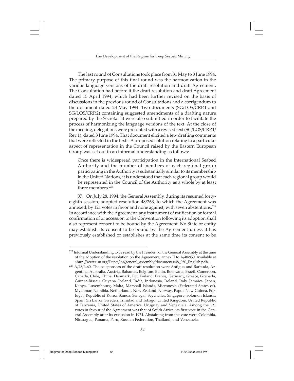The Development of the Regime for Deep Seabed Mining

The last round of Consultations took place from 31 May to 3 June 1994. The primary purpose of this final round was the harmonization in the various language versions of the draft resolution and draft Agreement. The Consultation had before it the draft resolution and draft Agreement dated 15 April 1994, which had been further revised on the basis of discussions in the previous round of Consultations and a corrigendum to the document dated 23 May 1994. Two documents (SG/LOS/CRP.1 and SG/LOS/CRP.2) containing suggested amendments of a drafting nature prepared by the Secretariat were also submitted in order to facilitate the process of harmonizing the language versions of the text. At the close of the meeting, delegations were presented with a revised text (SG/LOS/CRP.1/ Rev.1), dated 3 June 1994. That document elicited a few drafting comments that were reflected in the texts. A proposed solution relating to a particular aspect of representation in the Council raised by the Eastern European Group was set out in an informal understanding as follows:

Once there is widespread participation in the International Seabed Authority and the number of members of each regional group participating in the Authority is substantially similar to its membership in the United Nations, it is understood that each regional group would be represented in the Council of the Authority as a whole by at least three members.<sup>225</sup>

37. On July 28, 1994, the General Assembly, during its resumed fortyeighth session, adopted resolution 48/263, to which the Agreement was annexed, by 121 votes in favor and none against, with seven abstentions.<sup>226</sup> In accordance with the Agreement, any instrument of ratification or formal confirmation of or accession to the Convention following its adoption shall also represent consent to be bound by the Agreement. No State or entity may establish its consent to be bound by the Agreement unless it has previously established or establishes at the same time its consent to be

<sup>225</sup> Informal Understanding to be read by the President of the General Assembly at the time of the adoption of the resolution on the Agreement, annex II to A/48/950. Available at <http://www.un.org/Depts/los/general\_assembly/documents/48\_950\_English.pdf>.

<sup>226</sup> A/48/L.60. The co-sponsors of the draft resolution were Antigua and Barbuda, Argentina, Australia, Austria, Bahamas, Belgium, Benin, Botswana, Brazil, Cameroon, Canada, Chile, China, Denmark, Fiji, Finland, France, Germany, Greece, Grenada, Guinea-Bissau, Guyana, Iceland, India, Indonesia, Ireland, Italy, Jamaica, Japan, Kenya, Luxembourg, Malta, Marshall Islands, Micronesia (Federated States of), Myanmar, Namibia, Netherlands, New Zealand, Norway, Papua New Guinea, Portugal, Republic of Korea, Samoa, Senegal, Seychelles, Singapore, Solomon Islands, Spain, Sri Lanka, Sweden, Trinidad and Tobago, United Kingdom, United Republic of Tanzania, United States of America, Uruguay and Venezuela. Among the 121 votes in favour of the Agreement was that of South Africa: its first vote in the General Assembly after its exclusion in 1974. Abstaining from the vote were Colombia, Nicaragua, Panama, Peru, Russian Federation, Thailand, and Venezuela.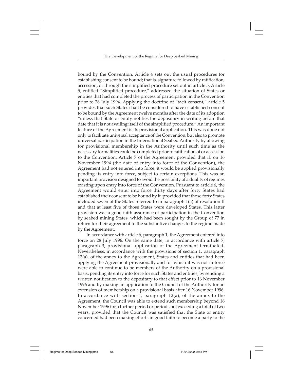The Development of the Regime for Deep Seabed Mining

bound by the Convention. Article 4 sets out the usual procedures for establishing consent to be bound; that is, signature followed by ratification, accession, or through the simplified procedure set out in article 5. Article 5, entitled "Simplified procedure," addressed the situation of States or entities that had completed the process of participation in the Convention prior to 28 July 1994. Applying the doctrine of "tacit consent," article 5 provides that such States shall be considered to have established consent to be bound by the Agreement twelve months after the date of its adoption "unless that State or entity notifies the depositary in writing before that date that it is not availing itself of the simplified procedure." An important feature of the Agreement is its provisional application. This was done not only to facilitate universal acceptance of the Convention, but also to promote universal participation in the International Seabed Authority by allowing for provisional membership in the Authority until such time as the necessary formalities could be completed prior to ratification of or accession to the Convention. Article 7 of the Agreement provided that if, on 16 November 1994 (the date of entry into force of the Convention), the Agreement had not entered into force, it would be applied provisionally pending its entry into force, subject to certain exceptions. This was an important provision designed to avoid the possibility of a duality of regimes existing upon entry into force of the Convention. Pursuant to article 6, the Agreement would enter into force thirty days after forty States had established their consent to be bound by it, provided that those forty States included seven of the States referred to in paragraph 1(a) of resolution II and that at least five of those States were developed States. This latter provision was a good faith assurance of participation in the Convention by seabed mining States, which had been sought by the Group of 77 in return for their agreement to the substantive changes to the regime made by the Agreement.

In accordance with article 6, paragraph 1, the Agreement entered into force on 28 July 1996. On the same date, in accordance with article 7, paragraph 3, provisional application of the Agreement terminated. Nevertheless, in accordance with the provisions of section 1, paragraph 12(a), of the annex to the Agreement, States and entities that had been applying the Agreement provisionally and for which it was not in force were able to continue to be members of the Authority on a provisional basis, pending its entry into force for such States and entities, by sending a written notification to the depositary to that effect prior to 16 November 1996 and by making an application to the Council of the Authority for an extension of membership on a provisional basis after 16 November 1996. In accordance with section 1, paragraph 12(a), of the annex to the Agreement, the Council was able to extend such membership beyond 16 November 1996 for a further period or periods not exceeding a total of two years, provided that the Council was satisfied that the State or entity concerned had been making efforts in good faith to become a party to the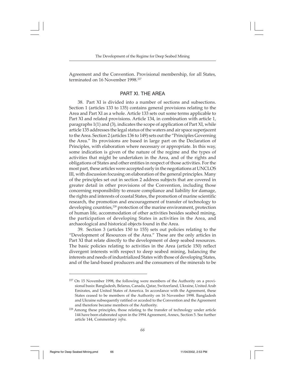Agreement and the Convention. Provisional membership, for all States, terminated on 16 November 1998.<sup>227</sup>

#### PART XI. THE AREA

38. Part XI is divided into a number of sections and subsections. Section 1 (articles 133 to 135) contains general provisions relating to the Area and Part XI as a whole. Article 133 sets out some terms applicable to Part XI and related provisions. Article 134, in combination with article 1, paragraphs 1(1) and (3), indicates the scope of application of Part XI, while article 135 addresses the legal status of the waters and air space superjacent to the Area. Section 2 (articles 136 to 149) sets out the "Principles Governing the Area." Its provisions are based in large part on the Declaration of Principles, with elaboration where necessary or appropriate. In this way, some indication is given of the nature of the regime and the types of activities that might be undertaken in the Area, and of the rights and obligations of States and other entities in respect of those activities. For the most part, these articles were accepted early in the negotiations at UNCLOS III, with discussion focusing on elaboration of the general principles. Many of the principles set out in section 2 address subjects that are covered in greater detail in other provisions of the Convention, including those concerning responsibility to ensure compliance and liability for damage, the rights and interests of coastal States, the promotion of marine scientific research, the promotion and encouragement of transfer of technology to developing countries,<sup>228</sup> protection of the marine environment, protection of human life, accommodation of other activities besides seabed mining, the participation of developing States in activities in the Area, and archaeological and historical objects found in the Area.

39. Section 3 (articles 150 to 155) sets out policies relating to the "Development of Resources of the Area." These are the only articles in Part XI that relate directly to the development of deep seabed resources. The basic policies relating to activities in the Area (article 150) reflect divergent interests with respect to deep seabed mining, balancing the interests and needs of industrialized States with those of developing States, and of the land-based producers and the consumers of the minerals to be

<sup>227</sup> On 15 November 1998, the following were members of the Authority on a provisional basis: Bangladesh, Belarus, Canada, Qatar, Switzerland, Ukraine, United Arab Emirates, and United States of America. In accordance with the Agreement, these States ceased to be members of the Authority on 16 November 1998. Bangladesh and Ukraine subsequently ratified or acceded to the Convention and the Agreement and therefore became members of the Authority.

<sup>&</sup>lt;sup>228</sup> Among these principles, those relating to the transfer of technology under article 144 have been elaborated upon in the 1994 Agreement, Annex, Section 5. See further article 144, Commentary *infra*.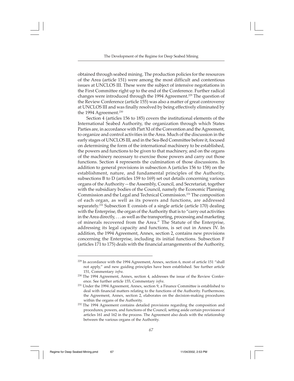obtained through seabed mining. The production policies for the resources of the Area (article 151) were among the most difficult and contentious issues at UNCLOS III. These were the subject of intensive negotiations in the First Committee right up to the end of the Conference. Further radical changes were introduced through the 1994 Agreement.<sup>229</sup> The question of the Review Conference (article 155) was also a matter of great controversy at UNCLOS III and was finally resolved by being effectively eliminated by the 1994 Agreement.<sup>230</sup>

Section 4 (articles 156 to 185) covers the institutional elements of the International Seabed Authority, the organization through which States Parties are, in accordance with Part XI of the Convention and the Agreement, to organize and control activities in the Area. Much of the discussion in the early stages of UNCLOS III, and in the Sea-Bed Committee before it, focused on determining the form of the international machinery to be established, the powers and functions to be given to that machinery, and on the organs of the machinery necessary to exercise those powers and carry out those functions. Section 4 represents the culmination of those discussions. In addition to general provisions in subsection A (articles 156 to 158) on the establishment, nature, and fundamental principles of the Authority, subsections B to D (articles 159 to 169) set out details concerning various organs of the Authority – the Assembly, Council, and Secretariat, together with the subsidiary bodies of the Council, namely the Economic Planning Commission and the Legal and Technical Commission.231 The composition of each organ, as well as its powers and functions, are addressed separately.<sup>232</sup> Subsection E consists of a single article (article 170) dealing with the Enterprise, the organ of the Authority that is to "carry out activities in the Area directly, . . . as well as the transporting, processing and marketing of minerals recovered from the Area." The Statute of the Enterprise, addressing its legal capacity and functions, is set out in Annex IV. In addition, the 1994 Agreement, Annex, section 2, contains new provisions concerning the Enterprise, including its initial functions. Subsection F (articles 171 to 175) deals with the financial arrangements of the Authority,

 $229$  In accordance with the 1994 Agreement, Annex, section 6, most of article 151 "shall not apply," and new guiding principles have been established. See further article 151, Commentary *infra*.

<sup>230</sup> The 1994 Agreement, Annex, section 4, addresses the issue of the Review Conference. See further article 155, Commentary *infra*.

<sup>231</sup> Under the 1994 Agreement, Annex, section 9, a Finance Committee is established to deal with financial matters relating to the functions of the Authority. Furthermore, the Agreement, Annex, section 2, elaborates on the decision-making procedures within the organs of the Authority.

<sup>232</sup> The 1994 Agreement contains detailed provisions regarding the composition and procedures, powers, and functions of the Council, setting aside certain provisions of articles 161 and 162 in the process. The Agreement also deals with the relationship between the various organs of the Authority.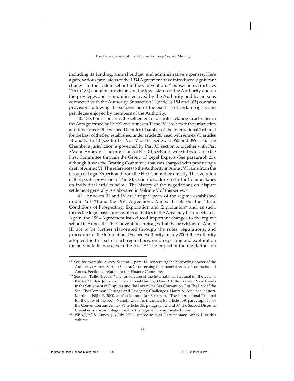including its funding, annual budget, and administrative expenses. Here again, various provisions of the 1994 Agreement have introduced significant changes to the system set out in the Convention.233 Subsection G (articles 176 to 183) contains provisions on the legal status of the Authority and on the privileges and immunities enjoyed by the Authority and by persons connected with the Authority. Subsection H (articles 184 and 185) contains provisions allowing the suspension of the exercise of certain rights and privileges enjoyed by members of the Authority.

40. Section 5 concerns the settlement of disputes relating to activities in the Area governed by Part XI and Annexes III and IV. It relates to the jurisdiction and functions of the Seabed Disputes Chamber of the International Tribunal for the Law of the Sea, established under article 287 read with Annex VI, articles 14 and 35 to 40 (see further Vol. V of this series, at 360 and 399-416). The Chamber's jurisdiction is governed by Part XI, section 5, together with Part XV and Annex VI. The provisions of Part XI, section 5, were introduced to the First Committee through the Group of Legal Experts (See paragraph 25), although it was the Drafting Committee that was charged with producing a draft of Annex VI. The references to the Authority in Annex VI came from the Group of Legal Experts and from the First Committee directly. The evolution of the specific provisions of Part XI, section 5, is addressed in the Commentaries on individual articles below. The history of the negotiations on dispute settlement generally is elaborated in Volume V of this series.<sup>234</sup>

41. Annexes III and IV are integral parts of the regime established under Part XI and the 1994 Agreement. Annex III sets out the "Basic Conditions of Prospecting, Exploration and Exploitation" and, as such, forms the legal basis upon which activities in the Area may be undertaken. Again, the 1994 Agreement introduced important changes to the regime set out in Annex III. The Convention envisages that the provisions of Annex III are to be further elaborated through the rules, regulations, and procedures of the International Seabed Authority. In July 2000, the Authority adopted the first set of such regulations, on prospecting and exploration for polymetallic nodules in the Area.<sup>235</sup> The impact of the regulations on

<sup>233</sup> See, for example, Annex, Section 1, para. 14, concerning the borrowing power of the Authority; Annex, Section 8, para. 2, concerning the financial terms of contracts; and Annex, Section 9, relating to the Finance Committee.

 $234$  See also, Tullio Treves, "The Jurisdiction of the International Tribunal for the Law of the Sea," Indian Journal of International Law, 37, 396-419; Tullio Treves, "New Trends in the Settlement of Disputes and the Law of the Sea Convention," in The Law of the Sea: The Common Heritage and Emerging Challenges, Harry N. Scheiber (editor), Martinus Nijhoff, 2000, at 61; Gudmundur Eiriksson, "The International Tribunal for the Law of the Sea," Nijhoff, 2000. As indicated by article 159, paragraph 10, of the Convention and Annex VI, articles 35, paragraph 2, and 37, the Seabed Disputes Chamber is also an integral part of the regime for deep seabed mining.

<sup>235</sup> ISBA/6/A/18, Annex (13 July 2000), reproduced as Documentary Annex II of this volume.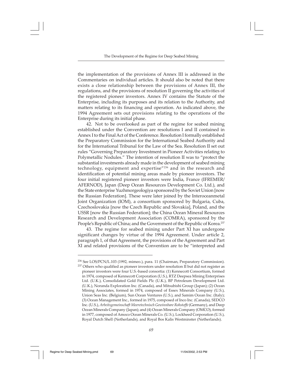The Development of the Regime for Deep Seabed Mining

the implementation of the provisions of Annex III is addressed in the Commentaries on individual articles. It should also be noted that there exists a close relationship between the provisions of Annex III, the regulations, and the provisions of resolution II governing the activities of the registered pioneer investors. Annex IV contains the Statute of the Enterprise, including its purposes and its relation to the Authority, and matters relating to its financing and operation. As indicated above, the 1994 Agreement sets out provisions relating to the operations of the Enterprise during its initial phase.

42. Not to be overlooked as part of the regime for seabed mining established under the Convention are resolutions I and II contained in Annex I to the Final Act of the Conference. Resolution I formally established the Preparatory Commission for the International Seabed Authority and for the International Tribunal for the Law of the Sea. Resolution II set out rules "Governing Preparatory Investment in Pioneer Activities relating to Polymetallic Nodules." The intention of resolution II was to "protect the substantial investments already made in the development of seabed mining technology, equipment and expertise<sup>"236</sup> and in the research and identification of potential mining areas made by pioneer investors. The four initial registered pioneer investors were India, France (IFREMER/ AFERNOD), Japan (Deep Ocean Resources Development Co. Ltd.), and the State enterprise Yuzhmorgeologiya sponsored by the Soviet Union [now the Russian Federation]. These were later joined by the Interoceanmetal Joint Organization (IOM), a consortium sponsored by Bulgaria, Cuba, Czechoslovakia [now the Czech Republic and Slovakia], Poland, and the USSR [now the Russian Federation]; the China Ocean Mineral Resources Research and Development Association (COMRA), sponsored by the People's Republic of China; and the Government of the Republic of Korea.<sup>237</sup>

43. The regime for seabed mining under Part XI has undergone significant changes by virtue of the 1994 Agreement. Under article 2, paragraph 1, of that Agreement, the provisions of the Agreement and Part XI and related provisions of the Convention are to be "interpreted and

<sup>236</sup> See LOS/PCN/L.103 (1992, mimeo.), para. 11 (Chairman, Preparatory Commission). <sup>237</sup> Others who qualified as pioneer investors under resolution II but did not register as pioneer investors were four U.S.-based consortia: (1) Kennecott Consortium, formed in 1974, composed of Kennecott Corporation (U.S.), RTZ Deepsea Mining Enterprises Ltd. (U.K.), Consolidated Gold Fields Plc (U.K.), BP Petroleum Development Ltd. (U.K.), Noranda Exploration Inc. (Canada), and Mitsubishi Group (Japan); (2) Ocean Mining Associates, formed in 1974, composed of Essex Minerals Company (U.S.), Union Seas Inc. (Belgium), Sun Ocean Ventures (U.S.), and Samim Ocean Inc. (Italy); (3) Ocean Management Inc., formed in 1975, composed of Inco Inc. (Canada), SEDCO Inc. (U.S.), *Arbeitsgemeinschaft Meeretechnisch Gewinnbare Rohstoffe* (Germany), and Deep Ocean Minerals Company (Japan); and (4) Ocean Minerals Company (OMCO), formed in 1977, composed of Amoco Ocean Minerals Co. (U.S.), Lockheed Corporation (U.S.), Royal Dutch Shell (Netherlands), and Royal Bos Kalis Westminster (Netherlands).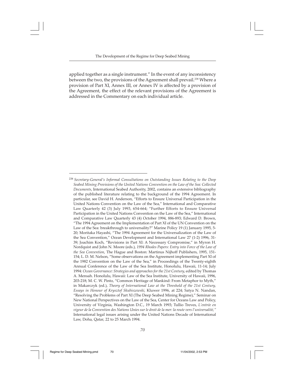applied together as a single instrument." In the event of any inconsistency between the two, the provisions of the Agreement shall prevail.<sup>238</sup> Where a provision of Part XI, Annex III, or Annex IV is affected by a provision of the Agreement, the effect of the relevant provisions of the Agreement is addressed in the Commentary on each individual article.

<sup>238</sup> *Secretary-Generalís Informal Consultations on Outstanding Issues Relating to the Deep Seabed Mining Provisions of the United Nations Convention on the Law of the Sea: Collected Documents*, International Seabed Authority, 2002, contains an extensive bibliography of the published literature relating to the background of the 1994 Agreement. In particular, see David H. Anderson, "Efforts to Ensure Universal Participation in the United Nations Convention on the Law of the Sea," International and Comparative Law Quarterly 42 (3) July 1993, 654-664; "Further Efforts to Ensure Universal Participation in the United Nations Convention on the Law of the Sea," International and Comparative Law Quarterly 43 (4) October 1994, 886-893; Edward D. Brown, ìThe 1994 Agreement on the Implementation of Part XI of the UN Convention on the Law of the Sea: breakthrough to universality?" Marine Policy 19 (1) January 1995, 5-20; Moritaka Hayashi, "The 1994 Agreement for the Universalization of the Law of the Sea Convention," Ocean Development and International Law 27 (1-2) 1996, 31-39; Joachim Koch, "Revisions in Part XI: A Necessary Compromise," in Myron H. Nordquist and John N. Moore (eds.), *1994 Rhodes Papers: Entry into Force of the Law of the Sea Convention*, The Hague and Boston: Martinus Nijhoff Publishers, 1995, 151- 154; L. D. M. Nelson, "Some observations on the Agreement implementing Part XI of the 1982 Convention on the Law of the Sea," in Proceedings of the Twenty-eighth Annual Conference of the Law of the Sea Institute, Honolulu, Hawaii, 11-14; July 1994: *Ocean Governance: Strategies and approaches for the 21st Century*, edited by Thomas A. Mensah. Honolulu, Hawaii: Law of the Sea Institute, University of Hawaii, 1996, 203-218; M. C. W. Pinto, "Common Heritage of Mankind: From Metaphor to Myth," in Makarczyk (ed.), *Theory of International Law at the Threshold of the 21st Century, Essays in Honour of Krysztof Skubiszewski*, Kluwer 1996, at 224; Satya N. Nandan, "Resolving the Problems of Part XI (The Deep Seabed Mining Regime)," Seminar on New National Perspectives on the Law of the Sea, Center for Oceans Law and Policy, University of Virginia, Washington D.C., 19 March 1993; Tullio Treves, *L'entrée en* vigeur de la Convention des Nations Unies sur le droit de la mer: la route vers l'universalité," International legal issues arising under the United Nations Decade of International Law, Doha, Qatar, 22 to 25 March 1994.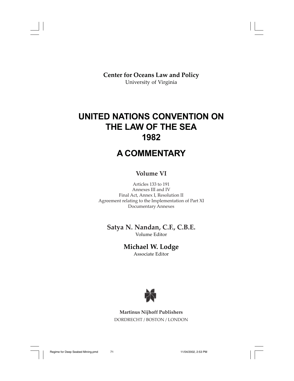**Center for Oceans Law and Policy** University of Virginia

## **UNITED NATIONS CONVENTION ON THE LAW OF THE SEA 1982**

## **A COMMENTARY**

### **Volume VI**

Articles 133 to 191 Annexes III and IV Final Act, Annex I, Resolution II Agreement relating to the Implementation of Part XI Documentary Annexes

#### **Satya N. Nandan, C.F., C.B.E.** Volume Editor

**Michael W. Lodge**

Associate Editor



**Martinus Nijhoff Publishers** DORDRECHT / BOSTON / LONDON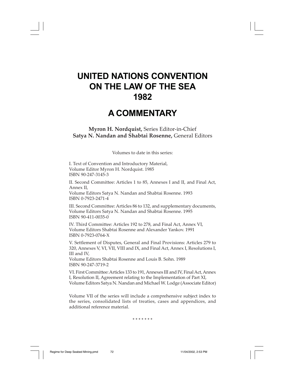# **UNITED NATIONS CONVENTION ON THE LAW OF THE SEA 1982**

### **A COMMENTARY**

**Myron H. Nordquist,** Series Editor-in-Chief **Satya N. Nandan and Shabtai Rosenne,** General Editors

Volumes to date in this series:

I. Text of Convention and Introductory Material, Volume Editor Myron H. Nordquist. 1985 ISBN 90-247-3145-3

II. Second Committee: Articles 1 to 85, Annexes I and II, and Final Act, Annex II,

Volume Editors Satya N. Nandan and Shabtai Rosenne. 1993 ISBN 0-7923-2471-4

III. Second Committee: Articles 86 to 132, and supplementary documents, Volume Editors Satya N. Nandan and Shabtai Rosenne. 1995 ISBN 90-411-0035-0

IV. Third Committee: Articles 192 to 278, and Final Act, Annex VI, Volume Editors Shabtai Rosenne and Alexander Yankov. 1991 ISBN 0-7923-0764-X

V. Settlement of Disputes, General and Final Provisions: Articles 279 to 320, Annexes V, VI, VII, VIII and IX, and Final Act, Annex I, Resolutions I, III and IV,

Volume Editors Shabtai Rosenne and Louis B. Sohn. 1989 ISBN 90-247-3719-2

VI. First Committee: Articles 133 to 191, Annexes III and IV, Final Act, Annex I, Resolution II, Agreement relating to the Implementation of Part XI, Volume Editors Satya N. Nandan and Michael W. Lodge (Associate Editor)

Volume VII of the series will include a comprehensive subject index to the series, consolidated lists of treaties, cases and appendices, and additional reference material.

\* \* \* \* \* \* \*